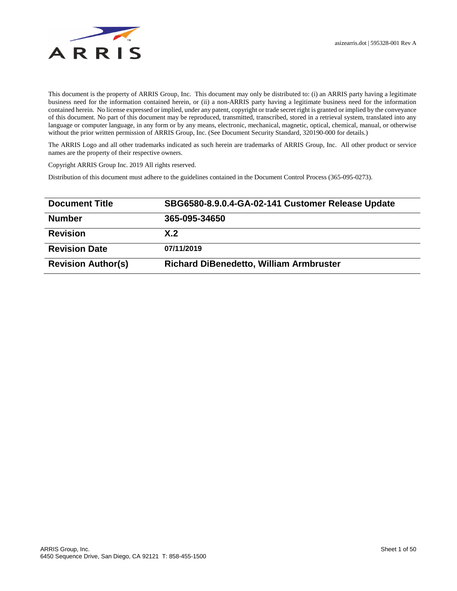

This document is the property of ARRIS Group, Inc. This document may only be distributed to: (i) an ARRIS party having a legitimate business need for the information contained herein, or (ii) a non-ARRIS party having a legitimate business need for the information contained herein. No license expressed or implied, under any patent, copyright or trade secret right is granted or implied by the conveyance of this document. No part of this document may be reproduced, transmitted, transcribed, stored in a retrieval system, translated into any language or computer language, in any form or by any means, electronic, mechanical, magnetic, optical, chemical, manual, or otherwise without the prior written permission of ARRIS Group, Inc. (See Document Security Standard, 320190-000 for details.)

The ARRIS Logo and all other trademarks indicated as such herein are trademarks of ARRIS Group, Inc. All other product or service names are the property of their respective owners.

Copyright ARRIS Group Inc. 2019 All rights reserved.

Distribution of this document must adhere to the guidelines contained in the Document Control Process (365-095-0273).

| <b>Document Title</b>     | SBG6580-8.9.0.4-GA-02-141 Customer Release Update |  |
|---------------------------|---------------------------------------------------|--|
| <b>Number</b>             | 365-095-34650                                     |  |
| <b>Revision</b>           | X.2                                               |  |
| <b>Revision Date</b>      | 07/11/2019                                        |  |
| <b>Revision Author(s)</b> | <b>Richard DiBenedetto, William Armbruster</b>    |  |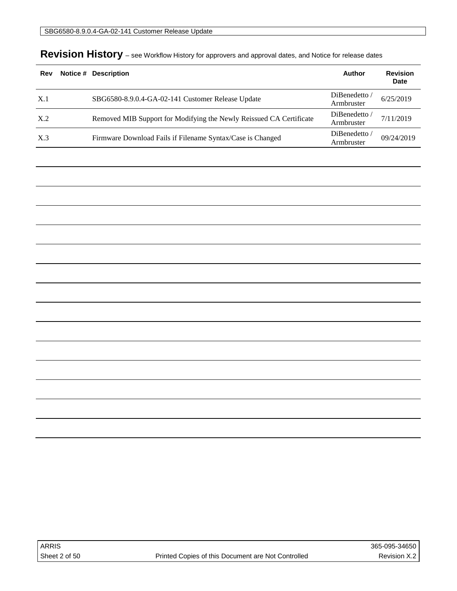| Rev | Notice # Description                                                | Author                      | <b>Revision</b><br><b>Date</b> |
|-----|---------------------------------------------------------------------|-----------------------------|--------------------------------|
| X.1 | SBG6580-8.9.0.4-GA-02-141 Customer Release Update                   | DiBenedetto /<br>Armbruster | 6/25/2019                      |
| X.2 | Removed MIB Support for Modifying the Newly Reissued CA Certificate | DiBenedetto /<br>Armbruster | 7/11/2019                      |
| X.3 | Firmware Download Fails if Filename Syntax/Case is Changed          | DiBenedetto /<br>Armbruster | 09/24/2019                     |

# Revision History - see Workflow History for approvers and approval dates, and Notice for release dates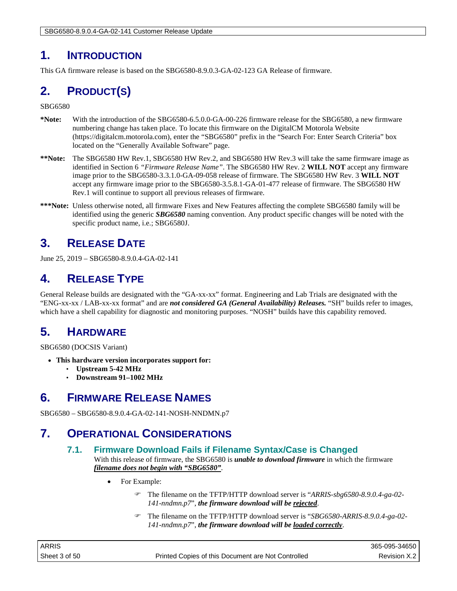SBG6580-8.9.0.4-GA-02-141 Customer Release Update

## **1. INTRODUCTION**

This GA firmware release is based on the SBG6580-8.9.0.3-GA-02-123 GA Release of firmware.

# **2. PRODUCT(S)**

SBG6580

- **\*Note:** With the introduction of the SBG6580-6.5.0.0-GA-00-226 firmware release for the SBG6580, a new firmware numbering change has taken place. To locate this firmware on the DigitalCM Motorola Website (https://digitalcm.motorola.com), enter the "SBG6580" prefix in the "Search For: Enter Search Criteria" box located on the "Generally Available Software" page.
- **\*\*Note:** The SBG6580 HW Rev.1, SBG6580 HW Rev.2, and SBG6580 HW Rev.3 will take the same firmware image as identified in Section 6 *"Firmware Release Name"*. The SBG6580 HW Rev. 2 **WILL NOT** accept any firmware image prior to the SBG6580-3.3.1.0-GA-09-058 release of firmware. The SBG6580 HW Rev. 3 **WILL NOT** accept any firmware image prior to the SBG6580-3.5.8.1-GA-01-477 release of firmware. The SBG6580 HW Rev.1 will continue to support all previous releases of firmware.
- **\*\*\*Note:** Unless otherwise noted, all firmware Fixes and New Features affecting the complete SBG6580 family will be identified using the generic *SBG6580* naming convention. Any product specific changes will be noted with the specific product name, i.e.; SBG6580J.

# **3. RELEASE DATE**

June 25, 2019 – SBG6580-8.9.0.4-GA-02-141

## **4. RELEASE TYPE**

General Release builds are designated with the "GA-xx-xx" format. Engineering and Lab Trials are designated with the "ENG-xx-xx / LAB-xx-xx format" and are *not considered GA (General Availability) Releases.* "SH" builds refer to images, which have a shell capability for diagnostic and monitoring purposes. "NOSH" builds have this capability removed.

## **5. HARDWARE**

SBG6580 (DOCSIS Variant)

- **This hardware version incorporates support for:**
	- **Upstream 5-42 MHz**
	- **Downstream 91–1002 MHz**

## **6. FIRMWARE RELEASE NAMES**

SBG6580 – SBG6580-8.9.0.4-GA-02-141-NOSH-NNDMN.p7

## **7. OPERATIONAL CONSIDERATIONS**

## **7.1. Firmware Download Fails if Filename Syntax/Case is Changed**

With this release of firmware, the SBG6580 is *unable to download firmware* in which the firmware *filename does not begin with "SBG6580"*.

- For Example:
	- The filename on the TFTP/HTTP download server is "*ARRIS-sbg6580-8.9.0.4-ga-02- 141-nndmn.p7*", *the firmware download will be rejected*.
	- The filename on the TFTP/HTTP download server is "*SBG6580-ARRIS-8.9.0.4-ga-02- 141-nndmn.p7*", *the firmware download will be loaded correctly*.

| <b>ARRIS</b>  |                                                    | 365-095-34650 |
|---------------|----------------------------------------------------|---------------|
| Sheet 3 of 50 | Printed Copies of this Document are Not Controlled | Revision X.2  |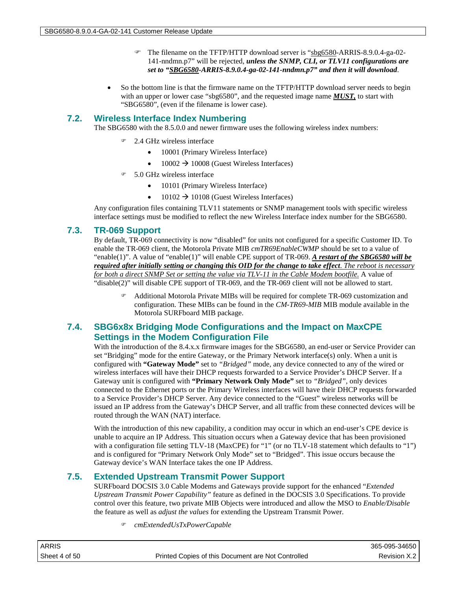- The filename on the TFTP/HTTP download server is "sbg6580-ARRIS-8.9.0.4-ga-02- 141-nndmn.p7" will be rejected, *unless the SNMP, CLI, or TLV11 configurations are set to "SBG6580-ARRIS-8.9.0.4-ga-02-141-nndmn.p7" and then it will download*.
- So the bottom line is that the firmware name on the TFTP/HTTP download server needs to begin with an upper or lower case "sbg6580", and the requested image name *MUST,* to start with "SBG6580", (even if the filename is lower case).

## **7.2. Wireless Interface Index Numbering**

The SBG6580 with the 8.5.0.0 and newer firmware uses the following wireless index numbers:

- 2.4 GHz wireless interface
	- 10001 (Primary Wireless Interface)
	- $10002 \rightarrow 10008$  (Guest Wireless Interfaces)
- 5.0 GHz wireless interface
	- 10101 (Primary Wireless Interface)
	- $10102 \rightarrow 10108$  (Guest Wireless Interfaces)

Any configuration files containing TLV11 statements or SNMP management tools with specific wireless interface settings must be modified to reflect the new Wireless Interface index number for the SBG6580.

## **7.3. TR-069 Support**

By default, TR-069 connectivity is now "disabled" for units not configured for a specific Customer ID. To enable the TR-069 client, the Motorola Private MIB *cmTR69EnableCWMP* should be set to a value of "enable(1)". A value of "enable(1)" will enable CPE support of TR-069. *A restart of the SBG6580 will be required after initially setting or changing this OID for the change to take effect*. *The reboot is necessary for both a direct SNMP Set or setting the value via TLV-11 in the Cable Modem bootfile.* A value of "disable(2)" will disable CPE support of TR-069, and the TR-069 client will not be allowed to start.

 Additional Motorola Private MIBs will be required for complete TR-069 customization and configuration. These MIBs can be found in the *CM-TR69-MIB* MIB module available in the Motorola SURFboard MIB package.

## **7.4. SBG6x8x Bridging Mode Configurations and the Impact on MaxCPE Settings in the Modem Configuration File**

With the introduction of the 8.4.x.x firmware images for the SBG6580, an end-user or Service Provider can set "Bridging" mode for the entire Gateway, or the Primary Network interface(s) only. When a unit is configured with **"Gateway Mode"** set to *"Bridged"* mode, any device connected to any of the wired or wireless interfaces will have their DHCP requests forwarded to a Service Provider's DHCP Server. If a Gateway unit is configured with **"Primary Network Only Mode"** set to *"Bridged",* only devices connected to the Ethernet ports or the Primary Wireless interfaces will have their DHCP requests forwarded to a Service Provider's DHCP Server. Any device connected to the "Guest" wireless networks will be issued an IP address from the Gateway's DHCP Server, and all traffic from these connected devices will be routed through the WAN (NAT) interface.

With the introduction of this new capability, a condition may occur in which an end-user's CPE device is unable to acquire an IP Address. This situation occurs when a Gateway device that has been provisioned with a configuration file setting TLV-18 (MaxCPE) for "1" (or no TLV-18 statement which defaults to "1") and is configured for "Primary Network Only Mode" set to "Bridged". This issue occurs because the Gateway device's WAN Interface takes the one IP Address.

## **7.5. Extended Upstream Transmit Power Support**

SURFboard DOCSIS 3.0 Cable Modems and Gateways provide support for the enhanced "*Extended Upstream Transmit Power Capability"* feature as defined in the DOCSIS 3.0 Specifications. To provide control over this feature, two private MIB Objects were introduced and allow the MSO to *Enable/Disable* the feature as well as *adjust the values* for extending the Upstream Transmit Power.

*cmExtendedUsTxPowerCapable*

| <b>ARRIS</b>  |                                                    | 365-095-34650 |
|---------------|----------------------------------------------------|---------------|
| Sheet 4 of 50 | Printed Copies of this Document are Not Controlled | Revision X.2  |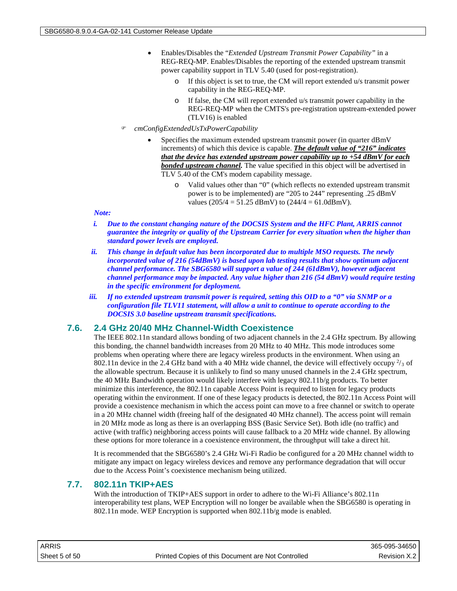- Enables/Disables the "*Extended Upstream Transmit Power Capability"* in a REG-REQ-MP. Enables/Disables the reporting of the extended upstream transmit power capability support in TLV 5.40 (used for post-registration).
	- o If this object is set to true, the CM will report extended u/s transmit power capability in the REG-REQ-MP.
	- o If false, the CM will report extended u/s transmit power capability in the REG-REQ-MP when the CMTS's pre-registration upstream-extended power (TLV16) is enabled
- *cmConfigExtendedUsTxPowerCapability*
	- Specifies the maximum extended upstream transmit power (in quarter dBmV increments) of which this device is capable. *The default value of "216" indicates that the device has extended upstream power capability up to +54 dBmV for each bonded upstream channel.* The value specified in this object will be advertised in TLV 5.40 of the CM's modem capability message.
		- o Valid values other than "0" (which reflects no extended upstream transmit power is to be implemented) are "205 to 244" representing .25 dBmV values (205/4 = 51.25 dBmV) to (244/4 = 61.0dBmV).

#### *Note:*

- *i. Due to the constant changing nature of the DOCSIS System and the HFC Plant, ARRIS cannot guarantee the integrity or quality of the Upstream Carrier for every situation when the higher than standard power levels are employed.*
- *ii. This change in default value has been incorporated due to multiple MSO requests. The newly incorporated value of 216 (54dBmV) is based upon lab testing results that show optimum adjacent channel performance. The SBG6580 will support a value of 244 (61dBmV), however adjacent channel performance may be impacted. Any value higher than 216 (54 dBmV) would require testing in the specific environment for deployment.*
- *iii. If no extended upstream transmit power is required, setting this OID to a "0" via SNMP or a configuration file TLV11 statement, will allow a unit to continue to operate according to the DOCSIS 3.0 baseline upstream transmit specifications.*

## **7.6. 2.4 GHz 20/40 MHz Channel-Width Coexistence**

The IEEE 802.11n standard allows bonding of two adjacent channels in the 2.4 GHz spectrum. By allowing this bonding, the channel bandwidth increases from 20 MHz to 40 MHz. This mode introduces some problems when operating where there are legacy wireless products in the environment. When using an 802.11n device in the 2.4 GHz band with a 40 MHz wide channel, the device will effectively occupy  $\frac{2}{3}$  of the allowable spectrum. Because it is unlikely to find so many unused channels in the 2.4 GHz spectrum, the 40 MHz Bandwidth operation would likely interfere with legacy 802.11b/g products. To better minimize this interference, the 802.11n capable Access Point is required to listen for legacy products operating within the environment. If one of these legacy products is detected, the 802.11n Access Point will provide a coexistence mechanism in which the access point can move to a free channel or switch to operate in a 20 MHz channel width (freeing half of the designated 40 MHz channel). The access point will remain in 20 MHz mode as long as there is an overlapping BSS (Basic Service Set). Both idle (no traffic) and active (with traffic) neighboring access points will cause fallback to a 20 MHz wide channel. By allowing these options for more tolerance in a coexistence environment, the throughput will take a direct hit.

It is recommended that the SBG6580's 2.4 GHz Wi-Fi Radio be configured for a 20 MHz channel width to mitigate any impact on legacy wireless devices and remove any performance degradation that will occur due to the Access Point's coexistence mechanism being utilized.

## **7.7. 802.11n TKIP+AES**

With the introduction of TKIP+AES support in order to adhere to the Wi-Fi Alliance's 802.11n interoperability test plans, WEP Encryption will no longer be available when the SBG6580 is operating in 802.11n mode. WEP Encryption is supported when 802.11b/g mode is enabled.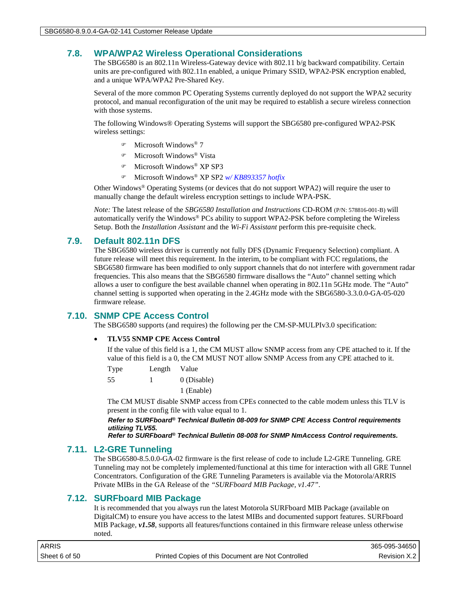## **7.8. WPA/WPA2 Wireless Operational Considerations**

The SBG6580 is an 802.11n Wireless-Gateway device with 802.11 b/g backward compatibility. Certain units are pre-configured with 802.11n enabled, a unique Primary SSID, WPA2-PSK encryption enabled, and a unique WPA/WPA2 Pre-Shared Key.

Several of the more common PC Operating Systems currently deployed do not support the WPA2 security protocol, and manual reconfiguration of the unit may be required to establish a secure wireless connection with those systems.

The following Windows® Operating Systems will support the SBG6580 pre-configured WPA2-PSK wireless settings:

- Microsoft Windows® 7
- Microsoft Windows® Vista
- Microsoft Windows® XP SP3
- Microsoft Windows® XP SP2 *w/ KB893357 hotfix*

Other Windows® Operating Systems (or devices that do not support WPA2) will require the user to manually change the default wireless encryption settings to include WPA-PSK.

*Note:* The latest release of the *SBG6580 Installation and Instructions* CD-ROM (P/N: 578816-001-B) will automatically verify the Windows® PCs ability to support WPA2-PSK before completing the Wireless Setup. Both the *Installation Assistant* and the *Wi-Fi Assistant* perform this pre-requisite check.

## **7.9. Default 802.11n DFS**

The SBG6580 wireless driver is currently not fully DFS (Dynamic Frequency Selection) compliant. A future release will meet this requirement. In the interim, to be compliant with FCC regulations, the SBG6580 firmware has been modified to only support channels that do not interfere with government radar frequencies. This also means that the SBG6580 firmware disallows the "Auto" channel setting which allows a user to configure the best available channel when operating in 802.11n 5GHz mode. The "Auto" channel setting is supported when operating in the 2.4GHz mode with the SBG6580-3.3.0.0-GA-05-020 firmware release.

## **7.10. SNMP CPE Access Control**

The SBG6580 supports (and requires) the following per the CM-SP-MULPIv3.0 specification:

#### • **TLV55 SNMP CPE Access Control**

If the value of this field is a 1, the CM MUST allow SNMP access from any CPE attached to it. If the value of this field is a 0, the CM MUST NOT allow SNMP Access from any CPE attached to it.

Type Length Value

55 1 0 (Disable)

1 (Enable)

The CM MUST disable SNMP access from CPEs connected to the cable modem unless this TLV is present in the config file with value equal to 1.

*Refer to SURFboard® Technical Bulletin 08-009 for SNMP CPE Access Control requirements utilizing TLV55.*

*Refer to SURFboard® Technical Bulletin 08-008 for SNMP NmAccess Control requirements.*

## **7.11. L2-GRE Tunneling**

The SBG6580-8.5.0.0-GA-02 firmware is the first release of code to include L2-GRE Tunneling. GRE Tunneling may not be completely implemented/functional at this time for interaction with all GRE Tunnel Concentrators. Configuration of the GRE Tunneling Parameters is available via the Motorola/ARRIS Private MIBs in the GA Release of the *"SURFboard MIB Package, v1.47"*.

## **7.12. SURFboard MIB Package**

It is recommended that you always run the latest Motorola SURFboard MIB Package (available on DigitalCM) to ensure you have access to the latest MIBs and documented support features. SURFboard MIB Package, *v1.58*, supports all features/functions contained in this firmware release unless otherwise noted.

| ARRIS         |                                                    | 365-095-34650 |
|---------------|----------------------------------------------------|---------------|
| Sheet 6 of 50 | Printed Copies of this Document are Not Controlled | Revision X.2  |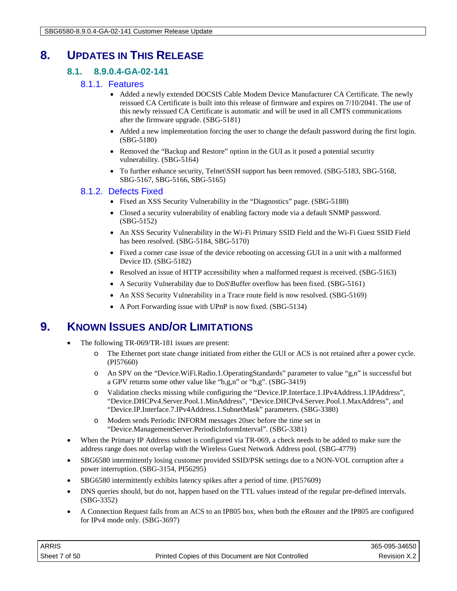## **8. UPDATES IN THIS RELEASE**

## **8.1. 8.9.0.4-GA-02-141**

## 8.1.1. Features

- Added a newly extended DOCSIS Cable Modem Device Manufacturer CA Certificate. The newly reissued CA Certificate is built into this release of firmware and expires on 7/10/2041. The use of this newly reissued CA Certificate is automatic and will be used in all CMTS communications after the firmware upgrade. (SBG-5181)
- Added a new implementation forcing the user to change the default password during the first login. (SBG-5180)
- Removed the "Backup and Restore" option in the GUI as it posed a potential security vulnerability. (SBG-5164)
- To further enhance security, Telnet\SSH support has been removed. (SBG-5183, SBG-5168, SBG-5167, SBG-5166, SBG-5165)

## 8.1.2. Defects Fixed

- Fixed an XSS Security Vulnerability in the "Diagnostics" page. (SBG-5188)
- Closed a security vulnerability of enabling factory mode via a default SNMP password. (SBG-5152)
- An XSS Security Vulnerability in the Wi-Fi Primary SSID Field and the Wi-Fi Guest SSID Field has been resolved. (SBG-5184, SBG-5170)
- Fixed a corner case issue of the device rebooting on accessing GUI in a unit with a malformed Device ID. (SBG-5182)
- Resolved an issue of HTTP accessibility when a malformed request is received. (SBG-5163)
- A Security Vulnerability due to DoS\Buffer overflow has been fixed. (SBG-5161)
- An XSS Security Vulnerability in a Trace route field is now resolved. (SBG-5169)
- A Port Forwarding issue with UPnP is now fixed. (SBG-5134)

## **9. KNOWN ISSUES AND/OR LIMITATIONS**

- The following TR-069/TR-181 issues are present:
	- o The Ethernet port state change initiated from either the GUI or ACS is not retained after a power cycle. (PI57660)
	- o An SPV on the "Device.WiFi.Radio.1.OperatingStandards" parameter to value "g,n" is successful but a GPV returns some other value like "b,g,n" or "b,g". (SBG-3419)
	- o Validation checks missing while configuring the "Device.IP.Interface.1.IPv4Address.1.IPAddress", "Device.DHCPv4.Server.Pool.1.MinAddress", "Device.DHCPv4.Server.Pool.1.MaxAddress", and "Device.IP.Interface.7.IPv4Address.1.SubnetMask" parameters. (SBG-3380)
	- o Modem sends Periodic INFORM messages 20sec before the time set in "Device.ManagementServer.PeriodicInformInterval". (SBG-3381)
- When the Primary IP Address subnet is configured via TR-069, a check needs to be added to make sure the address range does not overlap with the Wireless Guest Network Address pool. (SBG-4779)
- SBG6580 intermittently losing customer provided SSID/PSK settings due to a NON-VOL corruption after a power interruption. (SBG-3154, PI56295)
- SBG6580 intermittently exhibits latency spikes after a period of time. (PI57609)
- DNS queries should, but do not, happen based on the TTL values instead of the regular pre-defined intervals. (SBG-3352)
- A Connection Request fails from an ACS to an IP805 box, when both the eRouter and the IP805 are configured for IPv4 mode only. (SBG-3697)

| ARRIS         |                                                    | 365-095-34650 |
|---------------|----------------------------------------------------|---------------|
| Sheet 7 of 50 | Printed Copies of this Document are Not Controlled | Revision X.2  |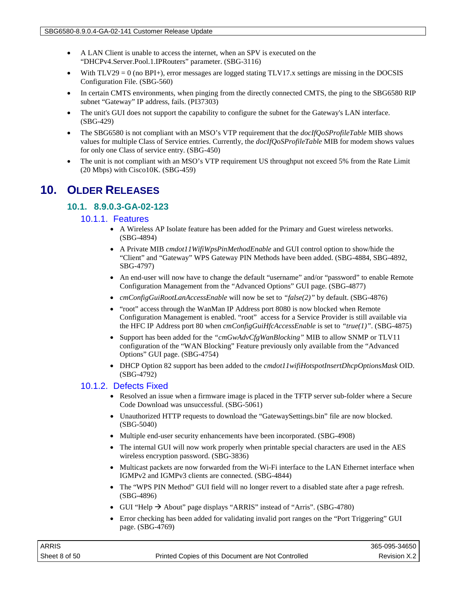- A LAN Client is unable to access the internet, when an SPV is executed on the "DHCPv4.Server.Pool.1.IPRouters" parameter. (SBG-3116)
- With  $TLV29 = 0$  (no BPI+), error messages are logged stating  $TLV17.x$  settings are missing in the DOCSIS Configuration File. (SBG-560)
- In certain CMTS environments, when pinging from the directly connected CMTS, the ping to the SBG6580 RIP subnet "Gateway" IP address, fails. (PI37303)
- The unit's GUI does not support the capability to configure the subnet for the Gateway's LAN interface. (SBG-429)
- The SBG6580 is not compliant with an MSO's VTP requirement that the *docIfQoSProfileTable* MIB shows values for multiple Class of Service entries. Currently, the *docIfQoSProfileTable* MIB for modem shows values for only one Class of service entry. (SBG-450)
- The unit is not compliant with an MSO's VTP requirement US throughput not exceed 5% from the Rate Limit (20 Mbps) with Cisco10K. (SBG-459)

## **10. OLDER RELEASES**

## **10.1. 8.9.0.3-GA-02-123**

#### 10.1.1. Features

- A Wireless AP Isolate feature has been added for the Primary and Guest wireless networks. (SBG-4894)
- A Private MIB *cmdot11WifiWpsPinMethodEnable* and GUI control option to show/hide the "Client" and "Gateway" WPS Gateway PIN Methods have been added. (SBG-4884, SBG-4892, SBG-4797)
- An end-user will now have to change the default "username" and/or "password" to enable Remote Configuration Management from the "Advanced Options" GUI page. (SBG-4877)
- *cmConfigGuiRootLanAccessEnable* will now be set to *"false(2)"* by default. (SBG-4876)
- "root" access through the WanMan IP Address port 8080 is now blocked when Remote Configuration Management is enabled. "root" access for a Service Provider is still available via the HFC IP Address port 80 when *cmConfigGuiHfcAccessEnable* is set to *"true(1)"*. (SBG-4875)
- Support has been added for the *"cmGwAdvCfgWanBlocking"* MIB to allow SNMP or TLV11 configuration of the "WAN Blocking" Feature previously only available from the "Advanced Options" GUI page. (SBG-4754)
- DHCP Option 82 support has been added to the *cmdot11wifiHotspotInsertDhcpOptionsMask* OID. (SBG-4792)

## 10.1.2. Defects Fixed

- Resolved an issue when a firmware image is placed in the TFTP server sub-folder where a Secure Code Download was unsuccessful. (SBG-5061)
- Unauthorized HTTP requests to download the "GatewaySettings.bin" file are now blocked. (SBG-5040)
- Multiple end-user security enhancements have been incorporated. (SBG-4908)
- The internal GUI will now work properly when printable special characters are used in the AES wireless encryption password. (SBG-3836)
- Multicast packets are now forwarded from the Wi-Fi interface to the LAN Ethernet interface when IGMPv2 and IGMPv3 clients are connected. (SBG-4844)
- The "WPS PIN Method" GUI field will no longer revert to a disabled state after a page refresh. (SBG-4896)
- GUI "Help  $\rightarrow$  About" page displays "ARRIS" instead of "Arris". (SBG-4780)
- Error checking has been added for validating invalid port ranges on the "Port Triggering" GUI page. (SBG-4769)

| ARRIS         |                                                    | 365-095-34650 |
|---------------|----------------------------------------------------|---------------|
| Sheet 8 of 50 | Printed Copies of this Document are Not Controlled | Revision X.2  |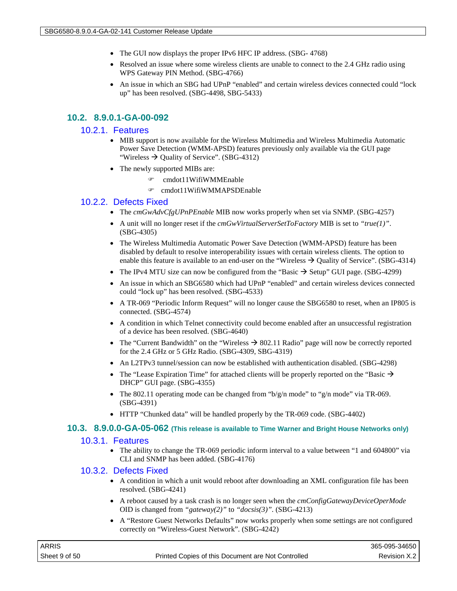- The GUI now displays the proper IPv6 HFC IP address. (SBG- 4768)
- Resolved an issue where some wireless clients are unable to connect to the 2.4 GHz radio using WPS Gateway PIN Method. (SBG-4766)
- An issue in which an SBG had UPnP "enabled" and certain wireless devices connected could "lock up" has been resolved. (SBG-4498, SBG-5433)

## **10.2. 8.9.0.1-GA-00-092**

#### 10.2.1. Features

- MIB support is now available for the Wireless Multimedia and Wireless Multimedia Automatic Power Save Detection (WMM-APSD) features previously only available via the GUI page "Wireless  $\rightarrow$  Quality of Service". (SBG-4312)
- The newly supported MIBs are:
	- cmdot11WifiWMMEnable
	- cmdot11WifiWMMAPSDEnable

#### 10.2.2. Defects Fixed

- The *cmGwAdvCfgUPnPEnable* MIB now works properly when set via SNMP. (SBG-4257)
- A unit will no longer reset if the *cmGwVirtualServerSetToFactory* MIB is set to *"true(1)"*. (SBG-4305)
- The Wireless Multimedia Automatic Power Save Detection (WMM-APSD) feature has been disabled by default to resolve interoperability issues with certain wireless clients. The option to enable this feature is available to an end-user on the "Wireless  $\rightarrow$  Quality of Service". (SBG-4314)
- The IPv4 MTU size can now be configured from the "Basic  $\rightarrow$  Setup" GUI page. (SBG-4299)
- An issue in which an SBG6580 which had UPnP "enabled" and certain wireless devices connected could "lock up" has been resolved. (SBG-4533)
- A TR-069 "Periodic Inform Request" will no longer cause the SBG6580 to reset, when an IP805 is connected. (SBG-4574)
- A condition in which Telnet connectivity could become enabled after an unsuccessful registration of a device has been resolved. (SBG-4640)
- The "Current Bandwidth" on the "Wireless  $\rightarrow$  802.11 Radio" page will now be correctly reported for the 2.4 GHz or 5 GHz Radio. (SBG-4309, SBG-4319)
- An L2TPv3 tunnel/session can now be established with authentication disabled. (SBG-4298)
- The "Lease Expiration Time" for attached clients will be properly reported on the "Basic  $\rightarrow$ DHCP" GUI page. (SBG-4355)
- The 802.11 operating mode can be changed from " $b/g/n$  mode" to " $g/n$  mode" via TR-069. (SBG-4391)
- HTTP "Chunked data" will be handled properly by the TR-069 code. (SBG-4402)

#### **10.3. 8.9.0.0-GA-05-062 (This release is available to Time Warner and Bright House Networks only)**

#### 10.3.1. Features

• The ability to change the TR-069 periodic inform interval to a value between "1 and 604800" via CLI and SNMP has been added. (SBG-4176)

#### 10.3.2. Defects Fixed

- A condition in which a unit would reboot after downloading an XML configuration file has been resolved. (SBG-4241)
- A reboot caused by a task crash is no longer seen when the *cmConfigGatewayDeviceOperMode* OID is changed from *"gateway(2)"* to *"docsis(3)"*. (SBG-4213)
- A "Restore Guest Networks Defaults" now works properly when some settings are not configured correctly on "Wireless-Guest Network". (SBG-4242)

| <b>ARRIS</b>  |                                                    | 365-095-34650 |
|---------------|----------------------------------------------------|---------------|
| Sheet 9 of 50 | Printed Copies of this Document are Not Controlled | Revision X.2  |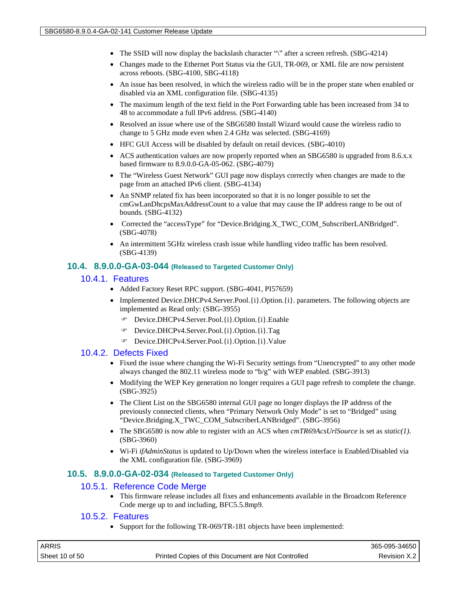- The SSID will now display the backslash character "\" after a screen refresh. (SBG-4214)
- Changes made to the Ethernet Port Status via the GUI, TR-069, or XML file are now persistent across reboots. (SBG-4100, SBG-4118)
- An issue has been resolved, in which the wireless radio will be in the proper state when enabled or disabled via an XML configuration file. (SBG-4135)
- The maximum length of the text field in the Port Forwarding table has been increased from 34 to 48 to accommodate a full IPv6 address. (SBG-4140)
- Resolved an issue where use of the SBG6580 Install Wizard would cause the wireless radio to change to 5 GHz mode even when 2.4 GHz was selected. (SBG-4169)
- HFC GUI Access will be disabled by default on retail devices. (SBG-4010)
- ACS authentication values are now properly reported when an SBG6580 is upgraded from 8.6.x.x based firmware to 8.9.0.0-GA-05-062. (SBG-4079)
- The "Wireless Guest Network" GUI page now displays correctly when changes are made to the page from an attached IPv6 client. (SBG-4134)
- An SNMP related fix has been incorporated so that it is no longer possible to set the cmGwLanDhcpsMaxAddressCount to a value that may cause the IP address range to be out of bounds. (SBG-4132)
- Corrected the "accessType" for "Device.Bridging.X\_TWC\_COM\_SubscriberLANBridged". (SBG-4078)
- An intermittent 5GHz wireless crash issue while handling video traffic has been resolved. (SBG-4139)

#### **10.4. 8.9.0.0-GA-03-044 (Released to Targeted Customer Only)**

#### 10.4.1. Features

- Added Factory Reset RPC support. (SBG-4041, PI57659)
- Implemented Device.DHCPv4.Server.Pool.{i}.Option.{i}. parameters. The following objects are implemented as Read only: (SBG-3955)
	- Device.DHCPv4.Server.Pool.{i}.Option.{i}.Enable
	- Device.DHCPv4.Server.Pool.{i}.Option.{i}.Tag
	- Device.DHCPv4.Server.Pool.{i}.Option.{i}.Value

#### 10.4.2. Defects Fixed

- Fixed the issue where changing the Wi-Fi Security settings from "Unencrypted" to any other mode always changed the 802.11 wireless mode to "b/g" with WEP enabled. (SBG-3913)
- Modifying the WEP Key generation no longer requires a GUI page refresh to complete the change. (SBG-3925)
- The Client List on the SBG6580 internal GUI page no longer displays the IP address of the previously connected clients, when "Primary Network Only Mode" is set to "Bridged" using "Device.Bridging.X\_TWC\_COM\_SubscriberLANBridged". (SBG-3956)
- The SBG6580 is now able to register with an ACS when *cmTR69AcsUrlSource* is set as *static(1)*. (SBG-3960)
- Wi-Fi *ifAdminStatus* is updated to Up/Down when the wireless interface is Enabled/Disabled via the XML configuration file. (SBG-3969)

#### **10.5. 8.9.0.0-GA-02-034 (Released to Targeted Customer Only)**

#### 10.5.1. Reference Code Merge

• This firmware release includes all fixes and enhancements available in the Broadcom Reference Code merge up to and including, BFC5.5.8mp9.

#### 10.5.2. Features

• Support for the following TR-069/TR-181 objects have been implemented:

| <b>ARRIS</b>   |                                                    | 365-095-34650 |
|----------------|----------------------------------------------------|---------------|
| Sheet 10 of 50 | Printed Copies of this Document are Not Controlled | Revision X.2  |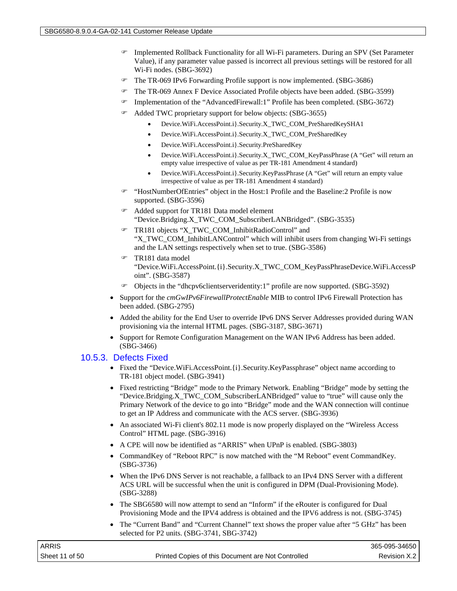- Implemented Rollback Functionality for all Wi-Fi parameters. During an SPV (Set Parameter Value), if any parameter value passed is incorrect all previous settings will be restored for all Wi-Fi nodes. (SBG-3692)
- The TR-069 IPv6 Forwarding Profile support is now implemented. (SBG-3686)
- The TR-069 Annex F Device Associated Profile objects have been added. (SBG-3599)
- Implementation of the "AdvancedFirewall:1" Profile has been completed. (SBG-3672)
- Added TWC proprietary support for below objects: (SBG-3655)
	- Device.WiFi.AccessPoint.i}.Security.X\_TWC\_COM\_PreSharedKeySHA1
	- Device.WiFi.AccessPoint.i}.Security.X\_TWC\_COM\_PreSharedKey
	- Device.WiFi.AccessPoint.i}.Security.PreSharedKey
	- Device.WiFi.AccessPoint.i}.Security.X\_TWC\_COM\_KeyPassPhrase (A "Get" will return an empty value irrespective of value as per TR-181 Amendment 4 standard)
	- Device.WiFi.AccessPoint.i}.Security.KeyPassPhrase (A "Get" will return an empty value irrespective of value as per TR-181 Amendment 4 standard)
- "HostNumberOfEntries" object in the Host:1 Profile and the Baseline:2 Profile is now supported. (SBG-3596)
- Added support for TR181 Data model element "Device.Bridging.X\_TWC\_COM\_SubscriberLANBridged". (SBG-3535)
- TR181 objects "X\_TWC\_COM\_InhibitRadioControl" and "X\_TWC\_COM\_InhibitLANControl" which will inhibit users from changing Wi-Fi settings and the LAN settings respectively when set to true. (SBG-3586)
- TR181 data model "Device.WiFi.AccessPoint.{i}.Security.X\_TWC\_COM\_KeyPassPhraseDevice.WiFi.AccessP oint". (SBG-3587)
- Objects in the "dhcpv6clientserveridentity:1" profile are now supported. (SBG-3592)
- Support for the *cmGwIPv6FirewallProtectEnable* MIB to control IPv6 Firewall Protection has been added. (SBG-2795)
- Added the ability for the End User to override IPv6 DNS Server Addresses provided during WAN provisioning via the internal HTML pages. (SBG-3187, SBG-3671)
- Support for Remote Configuration Management on the WAN IPv6 Address has been added. (SBG-3466)

#### 10.5.3. Defects Fixed

- Fixed the "Device.WiFi.AccessPoint.{i}.Security.KeyPassphrase" object name according to TR-181 object model. (SBG-3941)
- Fixed restricting "Bridge" mode to the Primary Network. Enabling "Bridge" mode by setting the "Device.Bridging.X\_TWC\_COM\_SubscriberLANBridged" value to "true" will cause only the Primary Network of the device to go into "Bridge" mode and the WAN connection will continue to get an IP Address and communicate with the ACS server. (SBG-3936)
- An associated Wi-Fi client's 802.11 mode is now properly displayed on the "Wireless Access" Control" HTML page. (SBG-3916)
- A CPE will now be identified as "ARRIS" when UPnP is enabled. (SBG-3803)
- CommandKey of "Reboot RPC" is now matched with the "M Reboot" event CommandKey. (SBG-3736)
- When the IPv6 DNS Server is not reachable, a fallback to an IPv4 DNS Server with a different ACS URL will be successful when the unit is configured in DPM (Dual-Provisioning Mode). (SBG-3288)
- The SBG6580 will now attempt to send an "Inform" if the eRouter is configured for Dual Provisioning Mode and the IPV4 address is obtained and the IPV6 address is not. (SBG-3745)
- The "Current Band" and "Current Channel" text shows the proper value after "5 GHz" has been selected for P2 units. (SBG-3741, SBG-3742)

| ARRIS          |                                                    | 365-095-34650 |
|----------------|----------------------------------------------------|---------------|
| Sheet 11 of 50 | Printed Copies of this Document are Not Controlled | Revision X.2  |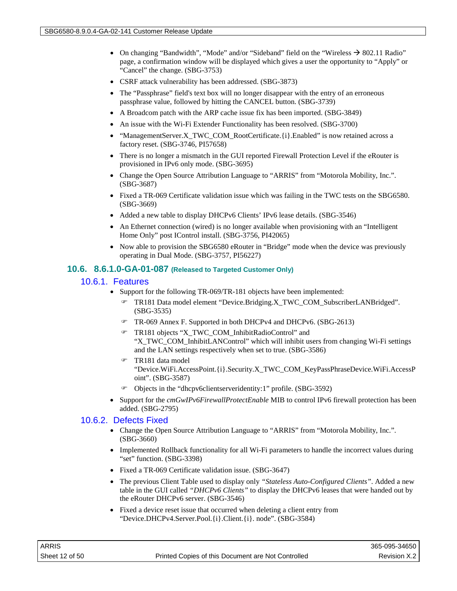- On changing "Bandwidth", "Mode" and/or "Sideband" field on the "Wireless  $\rightarrow$  802.11 Radio" page, a confirmation window will be displayed which gives a user the opportunity to "Apply" or "Cancel" the change. (SBG-3753)
- CSRF attack vulnerability has been addressed. (SBG-3873)
- The "Passphrase" field's text box will no longer disappear with the entry of an erroneous passphrase value, followed by hitting the CANCEL button. (SBG-3739)
- A Broadcom patch with the ARP cache issue fix has been imported. (SBG-3849)
- An issue with the Wi-Fi Extender Functionality has been resolved. (SBG-3700)
- "ManagementServer.X\_TWC\_COM\_RootCertificate.{i}.Enabled" is now retained across a factory reset. (SBG-3746, PI57658)
- There is no longer a mismatch in the GUI reported Firewall Protection Level if the eRouter is provisioned in IPv6 only mode. (SBG-3695)
- Change the Open Source Attribution Language to "ARRIS" from "Motorola Mobility, Inc.". (SBG-3687)
- Fixed a TR-069 Certificate validation issue which was failing in the TWC tests on the SBG6580. (SBG-3669)
- Added a new table to display DHCPv6 Clients' IPv6 lease details. (SBG-3546)
- An Ethernet connection (wired) is no longer available when provisioning with an "Intelligent" Home Only" post IControl install. (SBG-3756, PI42065)
- Now able to provision the SBG6580 eRouter in "Bridge" mode when the device was previously operating in Dual Mode. (SBG-3757, PI56227)

#### **10.6. 8.6.1.0-GA-01-087 (Released to Targeted Customer Only)**

#### 10.6.1. Features

- Support for the following TR-069/TR-181 objects have been implemented:
	- TR181 Data model element "Device.Bridging.X\_TWC\_COM\_SubscriberLANBridged". (SBG-3535)
	- TR-069 Annex F. Supported in both DHCPv4 and DHCPv6. (SBG-2613)
	- TR181 objects "X\_TWC\_COM\_InhibitRadioControl" and "X\_TWC\_COM\_InhibitLANControl" which will inhibit users from changing Wi-Fi settings and the LAN settings respectively when set to true. (SBG-3586)
	- TR181 data model "Device.WiFi.AccessPoint.{i}.Security.X\_TWC\_COM\_KeyPassPhraseDevice.WiFi.AccessP oint". (SBG-3587)
	- Objects in the "dhcpv6clientserveridentity:1" profile. (SBG-3592)
- Support for the *cmGwIPv6FirewallProtectEnable* MIB to control IPv6 firewall protection has been added. (SBG-2795)

#### 10.6.2. Defects Fixed

- Change the Open Source Attribution Language to "ARRIS" from "Motorola Mobility, Inc.". (SBG-3660)
- Implemented Rollback functionality for all Wi-Fi parameters to handle the incorrect values during "set" function. (SBG-3398)
- Fixed a TR-069 Certificate validation issue. (SBG-3647)
- The previous Client Table used to display only *"Stateless Auto-Configured Clients"*. Added a new table in the GUI called *"DHCPv6 Clients"* to display the DHCPv6 leases that were handed out by the eRouter DHCPv6 server. (SBG-3546)
- Fixed a device reset issue that occurred when deleting a client entry from "Device.DHCPv4.Server.Pool.{i}.Client.{i}. node". (SBG-3584)

| ARRIS          |                                                    | 365-095-34650 |
|----------------|----------------------------------------------------|---------------|
| Sheet 12 of 50 | Printed Copies of this Document are Not Controlled | Revision X.2  |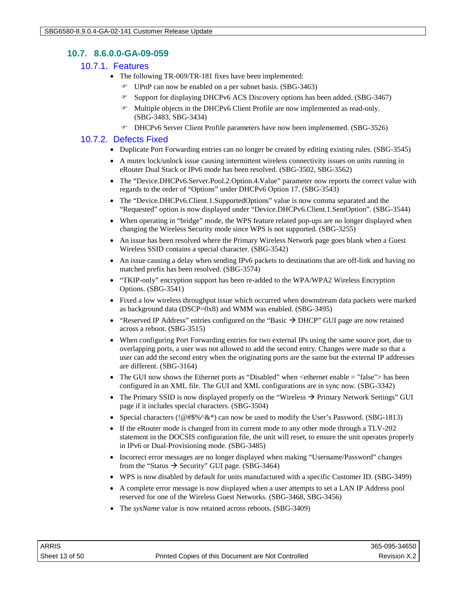## **10.7. 8.6.0.0-GA-09-059**

#### 10.7.1. Features

- The following TR-069/TR-181 fixes have been implemented:
	- UPnP can now be enabled on a per subnet basis. (SBG-3463)
	- Support for displaying DHCPv6 ACS Discovery options has been added. (SBG-3467)
	- Multiple objects in the DHCPv6 Client Profile are now implemented as read-only. (SBG-3483, SBG-3434)
	- DHCPv6 Server Client Profile parameters have now been implemented. (SBG-3526)

## 10.7.2. Defects Fixed

- Duplicate Port Forwarding entries can no longer be created by editing existing rules. (SBG-3545)
- A mutex lock/unlock issue causing intermittent wireless connectivity issues on units running in eRouter Dual Stack or IPv6 mode has been resolved. (SBG-3502, SBG-3562)
- The "Device.DHCPv6.Server.Pool.2.Option.4.Value" parameter now reports the correct value with regards to the order of "Options" under DHCPv6 Option 17. (SBG-3543)
- The "Device.DHCPv6.Client.1.SupportedOptions" value is now comma separated and the "Requested" option is now displayed under "Device.DHCPv6.Client.1.SentOption". (SBG-3544)
- When operating in "bridge" mode, the WPS feature related pop-ups are no longer displayed when changing the Wireless Security mode since WPS is not supported. (SBG-3255)
- An issue has been resolved where the Primary Wireless Network page goes blank when a Guest Wireless SSID contains a special character. (SBG-3542)
- An issue causing a delay when sending IPv6 packets to destinations that are off-link and having no matched prefix has been resolved. (SBG-3574)
- "TKIP-only" encryption support has been re-added to the WPA/WPA2 Wireless Encryption Options. (SBG-3541)
- Fixed a low wireless throughput issue which occurred when downstream data packets were marked as background data (DSCP=0x8) and WMM was enabled. (SBG-3495)
- "Reserved IP Address" entries configured on the "Basic  $\rightarrow$  DHCP" GUI page are now retained across a reboot. (SBG-3515)
- When configuring Port Forwarding entries for two external IPs using the same source port, due to overlapping ports, a user was not allowed to add the second entry. Changes were made so that a user can add the second entry when the originating ports are the same but the external IP addresses are different. (SBG-3164)
- The GUI now shows the Ethernet ports as "Disabled" when <ethernet enable = "false"> has been configured in an XML file. The GUI and XML configurations are in sync now. (SBG-3342)
- The Primary SSID is now displayed properly on the "Wireless  $\rightarrow$  Primary Network Settings" GUI page if it includes special characters. (SBG-3504)
- Special characters ( $!@#\$%^{\wedge}$ &\*) can now be used to modify the User's Password. (SBG-1813)
- If the eRouter mode is changed from its current mode to any other mode through a TLV-202 statement in the DOCSIS configuration file, the unit will reset, to ensure the unit operates properly in IPv6 or Dual-Provisioning mode. (SBG-3485)
- Incorrect error messages are no longer displayed when making "Username/Password" changes from the "Status  $\rightarrow$  Security" GUI page. (SBG-3464)
- WPS is now disabled by default for units manufactured with a specific Customer ID. (SBG-3499)
- A complete error message is now displayed when a user attempts to set a LAN IP Address pool reserved for one of the Wireless Guest Networks. (SBG-3468, SBG-3456)
- The *sysName* value is now retained across reboots. (SBG-3409)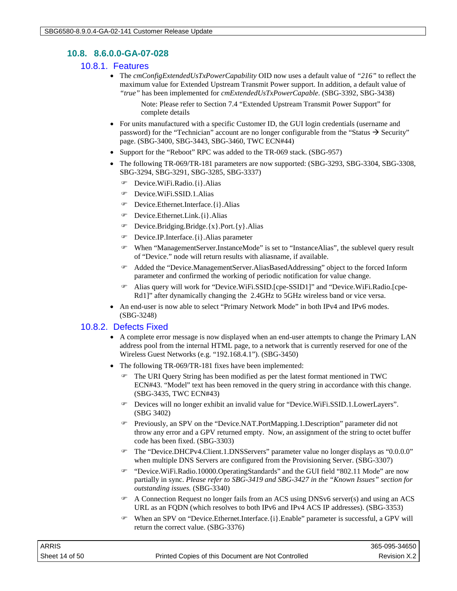## **10.8. 8.6.0.0-GA-07-028**

#### 10.8.1. Features

• The *cmConfigExtendedUsTxPowerCapability* OID now uses a default value of *"216"* to reflect the maximum value for Extended Upstream Transmit Power support. In addition, a default value of *"true"* has been implemented for *cmExtendedUsTxPowerCapable*. (SBG-3392, SBG-3438)

Note: Please refer to Section 7.4 "Extended Upstream Transmit Power Support" for complete details

- For units manufactured with a specific Customer ID, the GUI login credentials (username and password) for the "Technician" account are no longer configurable from the "Status  $\rightarrow$  Security" page. (SBG-3400, SBG-3443, SBG-3460, TWC ECN#44)
- Support for the "Reboot" RPC was added to the TR-069 stack. (SBG-957)
- The following TR-069/TR-181 parameters are now supported: (SBG-3293, SBG-3304, SBG-3308, SBG-3294, SBG-3291, SBG-3285, SBG-3337)
	- Device.WiFi.Radio.{i}.Alias
	- Device.WiFi.SSID.1.Alias
	- Device.Ethernet.Interface.{i}.Alias
	- Device.Ethernet.Link.{i}.Alias
	- Device.Bridging.Bridge.{x}.Port.{y}.Alias
	- Device.IP.Interface.{i}.Alias parameter
	- When "ManagementServer.InstanceMode" is set to "InstanceAlias", the sublevel query result of "Device." node will return results with aliasname, if available.
	- Added the "Device.ManagementServer.AliasBasedAddressing" object to the forced Inform parameter and confirmed the working of periodic notification for value change.
	- Alias query will work for "Device.WiFi.SSID.[cpe-SSID1]" and "Device.WiFi.Radio.[cpe-Rd1]" after dynamically changing the 2.4GHz to 5GHz wireless band or vice versa.
- An end-user is now able to select "Primary Network Mode" in both IPv4 and IPv6 modes. (SBG-3248)

## 10.8.2. Defects Fixed

- A complete error message is now displayed when an end-user attempts to change the Primary LAN address pool from the internal HTML page, to a network that is currently reserved for one of the Wireless Guest Networks (e.g. "192.168.4.1"). (SBG-3450)
- The following TR-069/TR-181 fixes have been implemented:
	- The URI Query String has been modified as per the latest format mentioned in TWC ECN#43. "Model" text has been removed in the query string in accordance with this change. (SBG-3435, TWC ECN#43)
	- Devices will no longer exhibit an invalid value for "Device.WiFi.SSID.1.LowerLayers". (SBG 3402)
	- Previously, an SPV on the "Device.NAT.PortMapping.1.Description" parameter did not throw any error and a GPV returned empty. Now, an assignment of the string to octet buffer code has been fixed. (SBG-3303)
	- The "Device.DHCPv4.Client.1.DNSServers" parameter value no longer displays as "0.0.0.0" when multiple DNS Servers are configured from the Provisioning Server. (SBG-3307)
	- "Device.WiFi.Radio.10000.OperatingStandards" and the GUI field "802.11 Mode" are now partially in sync. *Please refer to SBG-3419 and SBG-3427 in the "Known Issues" section for outstanding issues.* (SBG-3340)
	- A Connection Request no longer fails from an ACS using DNSv6 server(s) and using an ACS URL as an FQDN (which resolves to both IPv6 and IPv4 ACS IP addresses). (SBG-3353)
	- When an SPV on "Device.Ethernet.Interface.{i}.Enable" parameter is successful, a GPV will return the correct value. (SBG-3376)

| ARRIS          |                                                    | 365-095-34650 |
|----------------|----------------------------------------------------|---------------|
| Sheet 14 of 50 | Printed Copies of this Document are Not Controlled | Revision X.2  |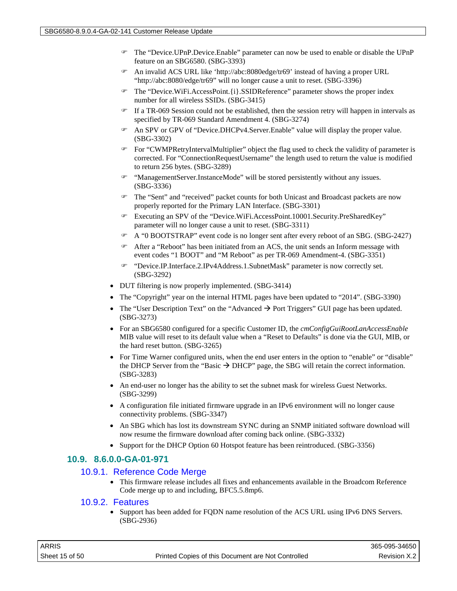- The "Device.UPnP.Device.Enable" parameter can now be used to enable or disable the UPnP feature on an SBG6580. (SBG-3393)
- An invalid ACS URL like 'http://abc:8080edge/tr69' instead of having a proper URL "http://abc:8080/edge/tr69" will no longer cause a unit to reset. (SBG-3396)
- The "Device.WiFi.AccessPoint.{i}.SSIDReference" parameter shows the proper index number for all wireless SSIDs. (SBG-3415)
- $\mathcal F$  If a TR-069 Session could not be established, then the session retry will happen in intervals as specified by TR-069 Standard Amendment 4. (SBG-3274)
- An SPV or GPV of "Device.DHCPv4.Server.Enable" value will display the proper value. (SBG-3302)
- For "CWMPRetryIntervalMultiplier" object the flag used to check the validity of parameter is corrected. For "ConnectionRequestUsername" the length used to return the value is modified to return 256 bytes. (SBG-3289)
- "ManagementServer.InstanceMode" will be stored persistently without any issues. (SBG-3336)
- The "Sent" and "received" packet counts for both Unicast and Broadcast packets are now properly reported for the Primary LAN Interface. (SBG-3301)
- Executing an SPV of the "Device.WiFi.AccessPoint.10001.Security.PreSharedKey" parameter will no longer cause a unit to reset. (SBG-3311)
- A "0 BOOTSTRAP" event code is no longer sent after every reboot of an SBG. (SBG-2427)
- After a "Reboot" has been initiated from an ACS, the unit sends an Inform message with event codes "1 BOOT" and "M Reboot" as per TR-069 Amendment-4. (SBG-3351)
- "Device.IP.Interface.2.IPv4Address.1.SubnetMask" parameter is now correctly set. (SBG-3292)
- DUT filtering is now properly implemented. (SBG-3414)
- The "Copyright" year on the internal HTML pages have been updated to "2014". (SBG-3390)
- The "User Description Text" on the "Advanced  $\rightarrow$  Port Triggers" GUI page has been updated. (SBG-3273)
- For an SBG6580 configured for a specific Customer ID, the *cmConfigGuiRootLanAccessEnable* MIB value will reset to its default value when a "Reset to Defaults" is done via the GUI, MIB, or the hard reset button. (SBG-3265)
- For Time Warner configured units, when the end user enters in the option to "enable" or "disable" the DHCP Server from the "Basic  $\rightarrow$  DHCP" page, the SBG will retain the correct information. (SBG-3283)
- An end-user no longer has the ability to set the subnet mask for wireless Guest Networks. (SBG-3299)
- A configuration file initiated firmware upgrade in an IPv6 environment will no longer cause connectivity problems. (SBG-3347)
- An SBG which has lost its downstream SYNC during an SNMP initiated software download will now resume the firmware download after coming back online. (SBG-3332)
- Support for the DHCP Option 60 Hotspot feature has been reintroduced. (SBG-3356)

#### **10.9. 8.6.0.0-GA-01-971**

#### 10.9.1. Reference Code Merge

• This firmware release includes all fixes and enhancements available in the Broadcom Reference Code merge up to and including, BFC5.5.8mp6.

#### 10.9.2. Features

• Support has been added for FODN name resolution of the ACS URL using IPv6 DNS Servers. (SBG-2936)

| ARRIS          |                                                    | 365-095-34650 |
|----------------|----------------------------------------------------|---------------|
| Sheet 15 of 50 | Printed Copies of this Document are Not Controlled | Revision X.2  |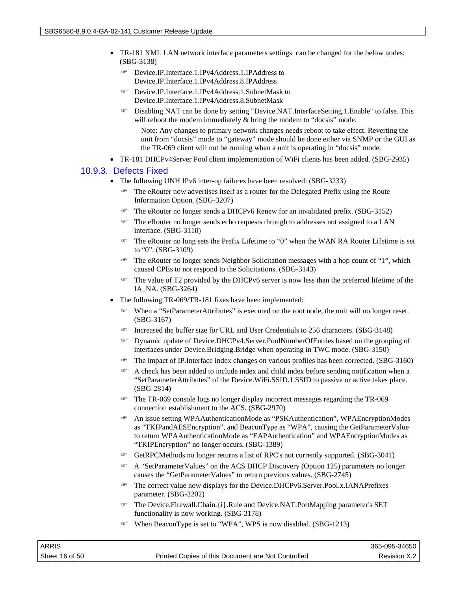- TR-181 XML LAN network interface parameters settings can be changed for the below nodes: (SBG-3138)
	- Device.IP.Interface.1.IPv4Address.1.IPAddress to Device.IP.Interface.1.IPv4Address.8.IPAddress
	- Device.IP.Interface.1.IPv4Address.1.SubnetMask to Device.IP.Interface.1.IPv4Address.8.SubnetMask
	- Disabling NAT can be done by setting "Device.NAT.InterfaceSetting.1.Enable" to false. This will reboot the modem immediately  $\&$  bring the modem to "docsis" mode.

Note: Any changes to primary network changes needs reboot to take effect. Reverting the unit from "docsis" mode to "gateway" mode should be done either via SNMP or the GUI as the TR-069 client will not be running when a unit is operating in "docsis" mode.

• TR-181 DHCPv4Server Pool client implementation of WiFi clients has been added. (SBG-2935)

#### 10.9.3. Defects Fixed

- The following UNH IPv6 inter-op failures have been resolved: (SBG-3233)
	- The eRouter now advertises itself as a router for the Delegated Prefix using the Route Information Option. (SBG-3207)
	- The eRouter no longer sends a DHCPv6 Renew for an invalidated prefix. (SBG-3152)
	- The eRouter no longer sends echo requests through to addresses not assigned to a LAN interface. (SBG-3110)
	- The eRouter no long sets the Prefix Lifetime to "0" when the WAN RA Router Lifetime is set to "0". (SBG-3109)
	- The eRouter no longer sends Neighbor Solicitation messages with a hop count of "1", which caused CPEs to not respond to the Solicitations. (SBG-3143)
	- The value of T2 provided by the DHCPv6 server is now less than the preferred lifetime of the IA\_NA. (SBG-3264)
- The following TR-069/TR-181 fixes have been implemented:
	- When a "SetParameterAttributes" is executed on the root node, the unit will no longer reset. (SBG-3167)
	- Increased the buffer size for URL and User Credentials to 256 characters. (SBG-3148)
	- Dynamic update of Device.DHCPv4.Server.PoolNumberOfEntries based on the grouping of interfaces under Device.Bridging.Bridge when operating in TWC mode. (SBG-3150)
	- The impact of IP.Interface index changes on various profiles has been corrected. (SBG-3160)
	- A check has been added to include index and child index before sending notification when a "SetParameterAttributes" of the Device.WiFi.SSID.1.SSID to passive or active takes place. (SBG-2814)
	- The TR-069 console logs no longer display incorrect messages regarding the TR-069 connection establishment to the ACS. (SBG-2970)
	- An issue setting WPAAuthenticationMode as "PSKAuthentication", WPAEncryptionModes as "TKIPandAESEncryption", and BeaconType as "WPA", causing the GetParameterValue to return WPAAuthenticationMode as "EAPAuthentication" and WPAEncryptionModes as "TKIPEncryption" no longer occurs. (SBG-1389)
	- GetRPCMethods no longer returns a list of RPC's not currently supported. (SBG-3041)
	- A "SetParameterValues" on the ACS DHCP Discovery (Option 125) parameters no longer causes the "GetParameterValues" to return previous values. (SBG-2745)
	- The correct value now displays for the Device.DHCPv6.Server.Pool.x.IANAPrefixes parameter. (SBG-3202)
	- The Device.Firewall.Chain.{i}.Rule and Device.NAT.PortMapping parameter's SET functionality is now working. (SBG-3178)
	- When BeaconType is set to "WPA", WPS is now disabled. (SBG-1213)

| ARRIS          |                                                    | 365-095-34650 |
|----------------|----------------------------------------------------|---------------|
| Sheet 16 of 50 | Printed Copies of this Document are Not Controlled | Revision X.2  |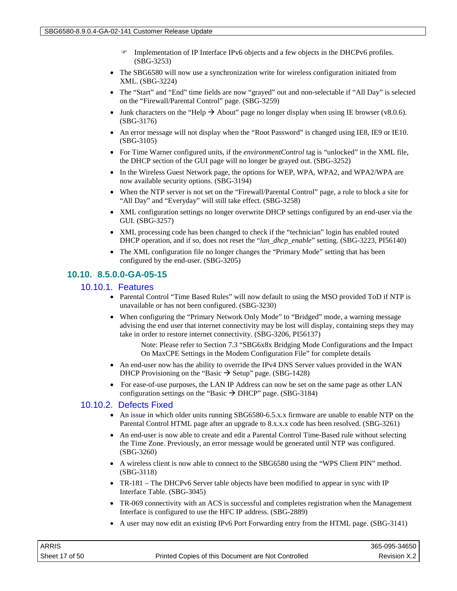- Implementation of IP Interface IPv6 objects and a few objects in the DHCPv6 profiles. (SBG-3253)
- The SBG6580 will now use a synchronization write for wireless configuration initiated from XML. (SBG-3224)
- The "Start" and "End" time fields are now "grayed" out and non-selectable if "All Day" is selected on the "Firewall/Parental Control" page. (SBG-3259)
- Junk characters on the "Help  $\rightarrow$  About" page no longer display when using IE browser (v8.0.6). (SBG-3176)
- An error message will not display when the "Root Password" is changed using IE8, IE9 or IE10. (SBG-3105)
- For Time Warner configured units, if the *environmentControl* tag is "unlocked" in the XML file, the DHCP section of the GUI page will no longer be grayed out. (SBG-3252)
- In the Wireless Guest Network page, the options for WEP, WPA, WPA2, and WPA2/WPA are now available security options. (SBG-3194)
- When the NTP server is not set on the "Firewall/Parental Control" page, a rule to block a site for "All Day" and "Everyday" will still take effect. (SBG-3258)
- XML configuration settings no longer overwrite DHCP settings configured by an end-user via the GUI. (SBG-3257)
- XML processing code has been changed to check if the "technician" login has enabled routed DHCP operation, and if so, does not reset the "*lan\_dhcp\_enable*" setting. (SBG-3223, PI56140)
- The XML configuration file no longer changes the "Primary Mode" setting that has been configured by the end-user. (SBG-3205)

## **10.10. 8.5.0.0-GA-05-15**

#### 10.10.1. Features

- Parental Control "Time Based Rules" will now default to using the MSO provided ToD if NTP is unavailable or has not been configured. (SBG-3230)
- When configuring the "Primary Network Only Mode" to "Bridged" mode, a warning message advising the end user that internet connectivity may be lost will display, containing steps they may take in order to restore internet connectivity. (SBG-3206, PI56137)
	- Note: Please refer to Section 7.3 "SBG6x8x Bridging Mode Configurations and the Impact On MaxCPE Settings in the Modem Configuration File" for complete details
- An end-user now has the ability to override the IPv4 DNS Server values provided in the WAN DHCP Provisioning on the "Basic  $\rightarrow$  Setup" page. (SBG-1428)
- For ease-of-use purposes, the LAN IP Address can now be set on the same page as other LAN configuration settings on the "Basic  $\rightarrow$  DHCP" page. (SBG-3184)

## 10.10.2. Defects Fixed

- An issue in which older units running SBG6580-6.5.x.x firmware are unable to enable NTP on the Parental Control HTML page after an upgrade to 8.x.x.x code has been resolved. (SBG-3261)
- An end-user is now able to create and edit a Parental Control Time-Based rule without selecting the Time Zone. Previously, an error message would be generated until NTP was configured. (SBG-3260)
- A wireless client is now able to connect to the SBG6580 using the "WPS Client PIN" method. (SBG-3118)
- TR-181 The DHCPv6 Server table objects have been modified to appear in sync with IP Interface Table. (SBG-3045)
- TR-069 connectivity with an ACS is successful and completes registration when the Management Interface is configured to use the HFC IP address. (SBG-2889)
- A user may now edit an existing IPv6 Port Forwarding entry from the HTML page. (SBG-3141)

| ARRIS          |                                                    | 365-095-34650 |
|----------------|----------------------------------------------------|---------------|
| Sheet 17 of 50 | Printed Copies of this Document are Not Controlled | Revision X.2  |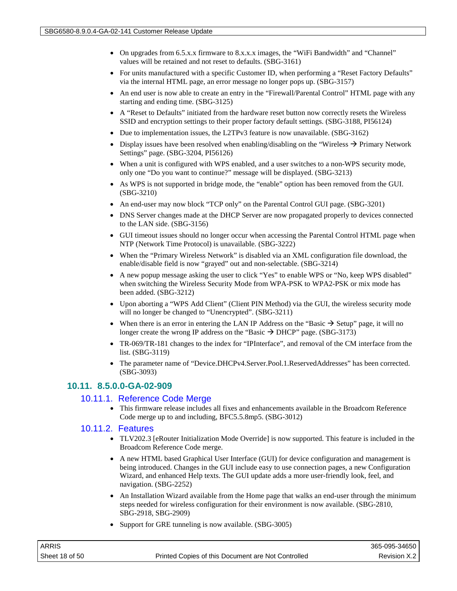- On upgrades from 6.5.x.x firmware to 8.x.x.x images, the "WiFi Bandwidth" and "Channel" values will be retained and not reset to defaults. (SBG-3161)
- For units manufactured with a specific Customer ID, when performing a "Reset Factory Defaults" via the internal HTML page, an error message no longer pops up. (SBG-3157)
- An end user is now able to create an entry in the "Firewall/Parental Control" HTML page with any starting and ending time. (SBG-3125)
- A "Reset to Defaults" initiated from the hardware reset button now correctly resets the Wireless SSID and encryption settings to their proper factory default settings. (SBG-3188, PI56124)
- Due to implementation issues, the L2TPv3 feature is now unavailable. (SBG-3162)
- Display issues have been resolved when enabling/disabling on the "Wireless  $\rightarrow$  Primary Network Settings" page. (SBG-3204, PI56126)
- When a unit is configured with WPS enabled, and a user switches to a non-WPS security mode, only one "Do you want to continue?" message will be displayed. (SBG-3213)
- As WPS is not supported in bridge mode, the "enable" option has been removed from the GUI. (SBG-3210)
- An end-user may now block "TCP only" on the Parental Control GUI page. (SBG-3201)
- DNS Server changes made at the DHCP Server are now propagated properly to devices connected to the LAN side. (SBG-3156)
- GUI timeout issues should no longer occur when accessing the Parental Control HTML page when NTP (Network Time Protocol) is unavailable. (SBG-3222)
- When the "Primary Wireless Network" is disabled via an XML configuration file download, the enable/disable field is now "grayed" out and non-selectable. (SBG-3214)
- A new popup message asking the user to click "Yes" to enable WPS or "No, keep WPS disabled" when switching the Wireless Security Mode from WPA-PSK to WPA2-PSK or mix mode has been added. (SBG-3212)
- Upon aborting a "WPS Add Client" (Client PIN Method) via the GUI, the wireless security mode will no longer be changed to "Unencrypted". (SBG-3211)
- When there is an error in entering the LAN IP Address on the "Basic  $\rightarrow$  Setup" page, it will no longer create the wrong IP address on the "Basic  $\rightarrow$  DHCP" page. (SBG-3173)
- TR-069/TR-181 changes to the index for "IPInterface", and removal of the CM interface from the list. (SBG-3119)
- The parameter name of "Device.DHCPv4.Server.Pool.1.ReservedAddresses" has been corrected. (SBG-3093)

## **10.11. 8.5.0.0-GA-02-909**

#### 10.11.1. Reference Code Merge

• This firmware release includes all fixes and enhancements available in the Broadcom Reference Code merge up to and including, BFC5.5.8mp5. (SBG-3012)

#### 10.11.2. Features

- TLV202.3 [eRouter Initialization Mode Override] is now supported. This feature is included in the Broadcom Reference Code merge.
- A new HTML based Graphical User Interface (GUI) for device configuration and management is being introduced. Changes in the GUI include easy to use connection pages, a new Configuration Wizard, and enhanced Help texts. The GUI update adds a more user-friendly look, feel, and navigation. (SBG-2252)
- An Installation Wizard available from the Home page that walks an end-user through the minimum steps needed for wireless configuration for their environment is now available. (SBG-2810, SBG-2918, SBG-2909)
- Support for GRE tunneling is now available. (SBG-3005)

| <b>ARRIS</b>   |                                                    | 365-095-34650 |
|----------------|----------------------------------------------------|---------------|
| Sheet 18 of 50 | Printed Copies of this Document are Not Controlled | Revision X.2  |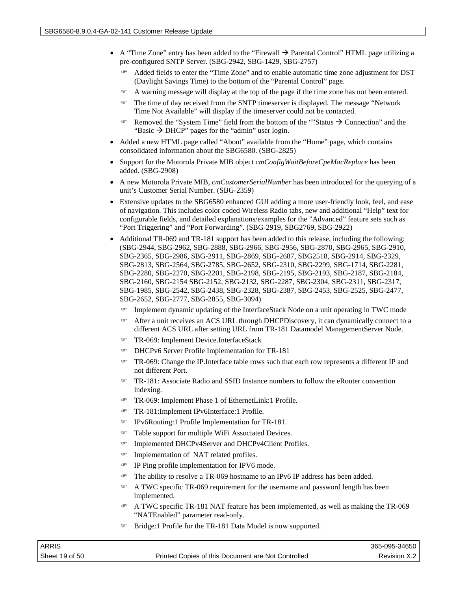- A "Time Zone" entry has been added to the "Firewall  $\rightarrow$  Parental Control" HTML page utilizing a pre-configured SNTP Server. (SBG-2942, SBG-1429, SBG-2757)
	- Added fields to enter the "Time Zone" and to enable automatic time zone adjustment for DST (Daylight Savings Time) to the bottom of the "Parental Control" page.
	- A warning message will display at the top of the page if the time zone has not been entered.
	- The time of day received from the SNTP timeserver is displayed. The message "Network Time Not Available" will display if the timeserver could not be contacted.
	- **Removed the "System Time" field from the bottom of the ""Status**  $\rightarrow$  **Connection" and the** "Basic  $\rightarrow$  DHCP" pages for the "admin" user login.
- Added a new HTML page called "About" available from the "Home" page, which contains consolidated information about the SBG6580. (SBG-2825)
- Support for the Motorola Private MIB object *cmConfigWaitBeforeCpeMacReplace* has been added. (SBG-2908)
- A new Motorola Private MIB, *cmCustomerSerialNumber* has been introduced for the querying of a unit's Customer Serial Number. (SBG-2359)
- Extensive updates to the SBG6580 enhanced GUI adding a more user-friendly look, feel, and ease of navigation. This includes color coded Wireless Radio tabs, new and additional "Help" text for configurable fields, and detailed explanations/examples for the "Advanced" feature sets such as "Port Triggering" and "Port Forwarding". (SBG-2919, SBG2769, SBG-2922)
- Additional TR-069 and TR-181 support has been added to this release, including the following: (SBG-2944, SBG-2962, SBG-2888, SBG-2966, SBG-2956, SBG-2870, SBG-2965, SBG-2910, SBG-2365, SBG-2986, SBG-2911, SBG-2869, SBG-2687, SBG2518, SBG-2914, SBG-2329, SBG-2813, SBG-2564, SBG-2785, SBG-2652, SBG-2310, SBG-2299, SBG-1714, SBG-2281, SBG-2280, SBG-2270, SBG-2201, SBG-2198, SBG-2195, SBG-2193, SBG-2187, SBG-2184, SBG-2160, SBG-2154 SBG-2152, SBG-2132, SBG-2287, SBG-2304, SBG-2311, SBG-2317, SBG-1985, SBG-2542, SBG-2438, SBG-2328, SBG-2387, SBG-2453, SBG-2525, SBG-2477, SBG-2652, SBG-2777, SBG-2855, SBG-3094)
	- Implement dynamic updating of the InterfaceStack Node on a unit operating in TWC mode
	- After a unit receives an ACS URL through DHCPDiscovery, it can dynamically connect to a different ACS URL after setting URL from TR-181 Datamodel ManagementServer Node.
	- TR-069: Implement Device.InterfaceStack
	- DHCPv6 Server Profile Implementation for TR-181
	- TR-069: Change the IP.Interface table rows such that each row represents a different IP and not different Port.
	- TR-181: Associate Radio and SSID Instance numbers to follow the eRouter convention indexing.
	- TR-069: Implement Phase 1 of EthernetLink:1 Profile.
	- TR-181:Implement IPv6Interface:1 Profile.
	- IPv6Routing:1 Profile Implementation for TR-181.
	- Table support for multiple WiFi Associated Devices.
	- Implemented DHCPv4Server and DHCPv4Client Profiles.
	- Implementation of NAT related profiles.
	- IP Ping profile implementation for IPV6 mode.
	- The ability to resolve a TR-069 hostname to an IPv6 IP address has been added.
	- A TWC specific TR-069 requirement for the username and password length has been implemented.
	- A TWC specific TR-181 NAT feature has been implemented, as well as making the TR-069 "NATEnabled" parameter read-only.
	- Bridge:1 Profile for the TR-181 Data Model is now supported.

| ARRIS          |                                                    | 365-095-34650 |
|----------------|----------------------------------------------------|---------------|
| Sheet 19 of 50 | Printed Copies of this Document are Not Controlled | Revision X.2  |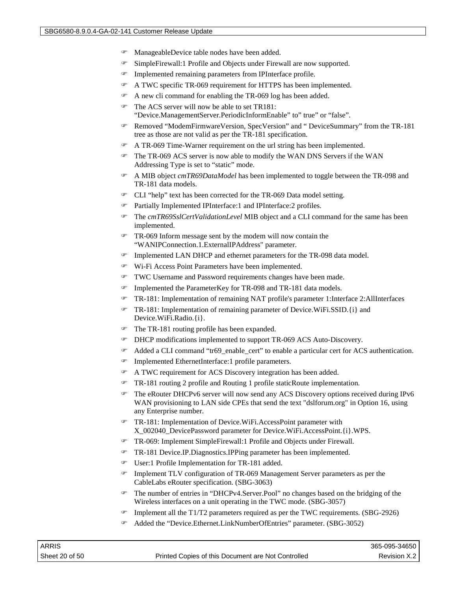- ManageableDevice table nodes have been added.
- SimpleFirewall:1 Profile and Objects under Firewall are now supported.
- Implemented remaining parameters from IPInterface profile.
- A TWC specific TR-069 requirement for HTTPS has been implemented.
- A new cli command for enabling the TR-069 log has been added.
- The ACS server will now be able to set TR181: "Device.ManagementServer.PeriodicInformEnable" to" true" or "false".
- Removed "ModemFirmwareVersion, SpecVersion" and " DeviceSummary" from the TR-181 tree as those are not valid as per the TR-181 specification.
- A TR-069 Time-Warner requirement on the url string has been implemented.
- The TR-069 ACS server is now able to modify the WAN DNS Servers if the WAN Addressing Type is set to "static" mode.
- A MIB object *cmTR69DataModel* has been implemented to toggle between the TR-098 and TR-181 data models.
- CLI "help" text has been corrected for the TR-069 Data model setting.
- Partially Implemented IPInterface:1 and IPInterface:2 profiles.
- The *cmTR69SslCertValidationLevel* MIB object and a CLI command for the same has been implemented.
- TR-069 Inform message sent by the modem will now contain the "WANIPConnection.1.ExternalIPAddress" parameter.
- Implemented LAN DHCP and ethernet parameters for the TR-098 data model.
- Wi-Fi Access Point Parameters have been implemented.
- TWC Username and Password requirements changes have been made.
- Implemented the ParameterKey for TR-098 and TR-181 data models.
- TR-181: Implementation of remaining NAT profile's parameter 1:Interface 2:AllInterfaces
- TR-181: Implementation of remaining parameter of Device.WiFi.SSID.{i} and Device.WiFi.Radio.{i}.
- The TR-181 routing profile has been expanded.
- DHCP modifications implemented to support TR-069 ACS Auto-Discovery.
- Added a CLI command "tr69\_enable\_cert" to enable a particular cert for ACS authentication.
- Implemented EthernetInterface:1 profile parameters.
- A TWC requirement for ACS Discovery integration has been added.
- TR-181 routing 2 profile and Routing 1 profile staticRoute implementation.
- The eRouter DHCPv6 server will now send any ACS Discovery options received during IPv6 WAN provisioning to LAN side CPEs that send the text "dslforum.org" in Option 16, using any Enterprise number.
- TR-181: Implementation of Device.WiFi.AccessPoint parameter with X\_002040\_DevicePassword parameter for Device.WiFi.AccessPoint.{i}.WPS.
- TR-069: Implement SimpleFirewall:1 Profile and Objects under Firewall.
- TR-181 Device.IP.Diagnostics.IPPing parameter has been implemented.
- User:1 Profile Implementation for TR-181 added.
- Implement TLV configuration of TR-069 Management Server parameters as per the CableLabs eRouter specification. (SBG-3063)
- The number of entries in "DHCPv4.Server.Pool" no changes based on the bridging of the Wireless interfaces on a unit operating in the TWC mode. (SBG-3057)
- $\approx$  Implement all the T1/T2 parameters required as per the TWC requirements. (SBG-2926)
- Added the "Device.Ethernet.LinkNumberOfEntries" parameter. (SBG-3052)

| ARRIS          |                                                    | 365-095-34650 |
|----------------|----------------------------------------------------|---------------|
| Sheet 20 of 50 | Printed Copies of this Document are Not Controlled | Revision X.2  |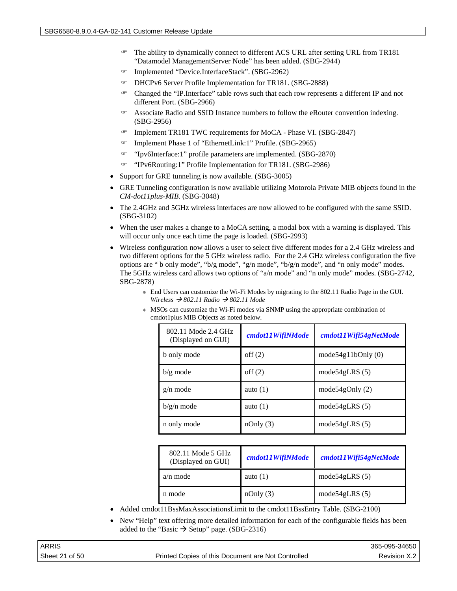- The ability to dynamically connect to different ACS URL after setting URL from TR181 "Datamodel ManagementServer Node" has been added. (SBG-2944)
- Implemented "Device.InterfaceStack". (SBG-2962)
- DHCPv6 Server Profile Implementation for TR181. (SBG-2888)
- Changed the "IP.Interface" table rows such that each row represents a different IP and not different Port. (SBG-2966)
- Associate Radio and SSID Instance numbers to follow the eRouter convention indexing. (SBG-2956)
- Implement TR181 TWC requirements for MoCA Phase VI. (SBG-2847)
- Implement Phase 1 of "EthernetLink:1" Profile. (SBG-2965)
- "Ipv6Interface:1" profile parameters are implemented. (SBG-2870)
- "IPv6Routing:1" Profile Implementation for TR181. (SBG-2986)
- Support for GRE tunneling is now available. (SBG-3005)
- GRE Tunneling configuration is now available utilizing Motorola Private MIB objects found in the *CM-dot11plus-MIB*. (SBG-3048)
- The 2.4GHz and 5GHz wireless interfaces are now allowed to be configured with the same SSID. (SBG-3102)
- When the user makes a change to a MoCA setting, a modal box with a warning is displayed. This will occur only once each time the page is loaded. (SBG-2993)
- Wireless configuration now allows a user to select five different modes for a 2.4 GHz wireless and two different options for the 5 GHz wireless radio. For the 2.4 GHz wireless configuration the five options are " b only mode", "b/g mode", "g/n mode", "b/g/n mode", and "n only mode" modes. The 5GHz wireless card allows two options of "a/n mode" and "n only mode" modes. (SBG-2742, SBG-2878)
	- End Users can customize the Wi-Fi Modes by migrating to the 802.11 Radio Page in the GUI. *Wireless 802.11 Radio 802.11 Mode*
	- MSOs can customize the Wi-Fi modes via SNMP using the appropriate combination of cmdot1plus MIB Objects as noted below.

| 802.11 Mode 2.4 GHz<br>(Displayed on GUI) | cmdot11WifiNMode | cmdot11Wifi54gNetMode |
|-------------------------------------------|------------------|-----------------------|
| b only mode                               | $\text{off}(2)$  | mode54g11bOnly $(0)$  |
| $b/g \text{ mode}$                        | $\text{off}(2)$  | mode54gLRS $(5)$      |
| $g/n \text{ mode}$                        | auto $(1)$       | mode54 $g$ Only $(2)$ |
| $b/g/n$ mode                              | auto $(1)$       | mode54gLRS $(5)$      |
| n only mode                               | nOnly(3)         | mode54gLRS $(5)$      |

| 802.11 Mode 5 GHz<br>(Displayed on GUI) | cmdot11WifiNMode | cmdot11Wifi54gNetMode |
|-----------------------------------------|------------------|-----------------------|
| $a/n$ mode                              | auto $(1)$       | mode $54gLRS(5)$      |
| n mode                                  | nOnly(3)         | mode $54gLRS(5)$      |

- Added cmdot11BssMaxAssociationsLimit to the cmdot11BssEntry Table. (SBG-2100)
- New "Help" text offering more detailed information for each of the configurable fields has been added to the "Basic  $\rightarrow$  Setup" page. (SBG-2316)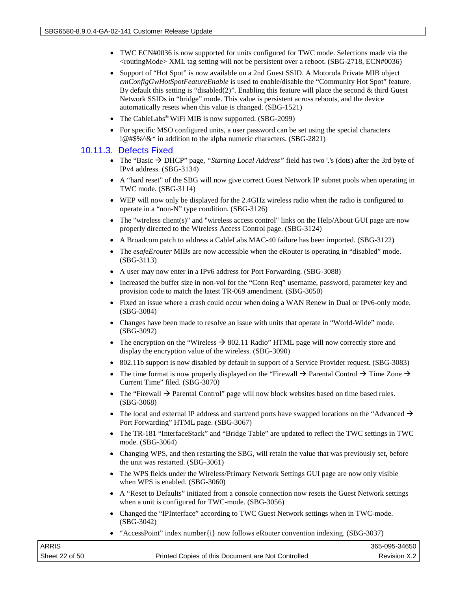- TWC ECN#0036 is now supported for units configured for TWC mode. Selections made via the <routingMode> XML tag setting will not be persistent over a reboot. (SBG-2718, ECN#0036)
- Support of "Hot Spot" is now available on a 2nd Guest SSID. A Motorola Private MIB object *cmConfigGwHotSpotFeatureEnable* is used to enable/disable the "Community Hot Spot" feature. By default this setting is "disabled(2)". Enabling this feature will place the second & third Guest Network SSIDs in "bridge" mode. This value is persistent across reboots, and the device automatically resets when this value is changed. (SBG-1521)
- The CableLabs® WiFi MIB is now supported. (SBG-2099)
- For specific MSO configured units, a user password can be set using the special characters !@#\$%^&\* in addition to the alpha numeric characters. (SBG-2821)

#### 10.11.3. Defects Fixed

- The "Basic  $\rightarrow$  DHCP" page, "Starting Local Address" field has two '.'s (dots) after the 3rd byte of IPv4 address. (SBG-3134)
- A "hard reset" of the SBG will now give correct Guest Network IP subnet pools when operating in TWC mode. (SBG-3114)
- WEP will now only be displayed for the 2.4GHz wireless radio when the radio is configured to operate in a "non-N" type condition. (SBG-3126)
- The "wireless client(s)" and "wireless access control" links on the Help/About GUI page are now properly directed to the Wireless Access Control page. (SBG-3124)
- A Broadcom patch to address a CableLabs MAC-40 failure has been imported. (SBG-3122)
- The *esafeErouter* MIBs are now accessible when the eRouter is operating in "disabled" mode. (SBG-3113)
- A user may now enter in a IPv6 address for Port Forwarding. (SBG-3088)
- Increased the buffer size in non-vol for the "Conn Req" username, password, parameter key and provision code to match the latest TR-069 amendment. (SBG-3050)
- Fixed an issue where a crash could occur when doing a WAN Renew in Dual or IPv6-only mode. (SBG-3084)
- Changes have been made to resolve an issue with units that operate in "World-Wide" mode. (SBG-3092)
- The encryption on the "Wireless  $\rightarrow$  802.11 Radio" HTML page will now correctly store and display the encryption value of the wireless. (SBG-3090)
- 802.11b support is now disabled by default in support of a Service Provider request. (SBG-3083)
- The time format is now properly displayed on the "Firewall  $\rightarrow$  Parental Control  $\rightarrow$  Time Zone  $\rightarrow$ Current Time" filed. (SBG-3070)
- The "Firewall  $\rightarrow$  Parental Control" page will now block websites based on time based rules. (SBG-3068)
- The local and external IP address and start/end ports have swapped locations on the "Advanced  $\rightarrow$ Port Forwarding" HTML page. (SBG-3067)
- The TR-181 "InterfaceStack" and "Bridge Table" are updated to reflect the TWC settings in TWC mode. (SBG-3064)
- Changing WPS, and then restarting the SBG, will retain the value that was previously set, before the unit was restarted. (SBG-3061)
- The WPS fields under the Wireless/Primary Network Settings GUI page are now only visible when WPS is enabled. (SBG-3060)
- A "Reset to Defaults" initiated from a console connection now resets the Guest Network settings when a unit is configured for TWC-mode. (SBG-3056)
- Changed the "IPInterface" according to TWC Guest Network settings when in TWC-mode. (SBG-3042)
- "AccessPoint" index number $\{i\}$  now follows eRouter convention indexing. (SBG-3037)

| ARRIS          |                                                    | 365-095-34650 |
|----------------|----------------------------------------------------|---------------|
| Sheet 22 of 50 | Printed Copies of this Document are Not Controlled | Revision X.2  |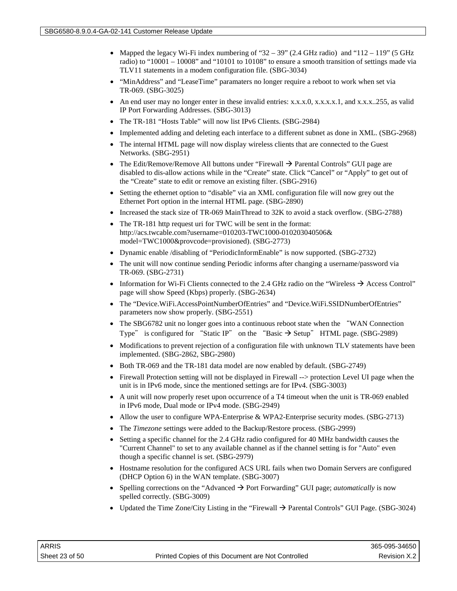- Mapped the legacy Wi-Fi index numbering of "32 39" (2.4 GHz radio) and "112 119" (5 GHz radio) to "10001 – 10008" and "10101 to 10108" to ensure a smooth transition of settings made via TLV11 statements in a modem configuration file. (SBG-3034)
- "MinAddress" and "LeaseTime" paramaters no longer require a reboot to work when set via TR-069. (SBG-3025)
- An end user may no longer enter in these invalid entries: x.x.x.0, x.x.x.x.1, and x.x.x..255, as valid IP Port Forwarding Addresses. (SBG-3013)
- The TR-181 "Hosts Table" will now list IPv6 Clients. (SBG-2984)
- Implemented adding and deleting each interface to a different subnet as done in XML. (SBG-2968)
- The internal HTML page will now display wireless clients that are connected to the Guest Networks. (SBG-2951)
- The Edit/Remove/Remove All buttons under "Firewall  $\rightarrow$  Parental Controls" GUI page are disabled to dis-allow actions while in the "Create" state. Click "Cancel" or "Apply" to get out of the "Create" state to edit or remove an existing filter. (SBG-2916)
- Setting the ethernet option to "disable" via an XML configuration file will now grey out the Ethernet Port option in the internal HTML page. (SBG-2890)
- Increased the stack size of TR-069 MainThread to 32K to avoid a stack overflow. (SBG-2788)
- The TR-181 http request uri for TWC will be sent in the format: http://acs.twcable.com?username=010203-TWC1000-010203040506& model=TWC1000&provcode=provisioned). (SBG-2773)
- Dynamic enable /disabling of "PeriodicInformEnable" is now supported. (SBG-2732)
- The unit will now continue sending Periodic informs after changing a username/password via TR-069. (SBG-2731)
- Information for Wi-Fi Clients connected to the 2.4 GHz radio on the "Wireless  $\rightarrow$  Access Control" page will show Speed (Kbps) properly. (SBG-2634)
- The "Device.WiFi.AccessPointNumberOfEntries" and "Device.WiFi.SSIDNumberOfEntries" parameters now show properly. (SBG-2551)
- The SBG6782 unit no longer goes into a continuous reboot state when the "WAN Connection" Type" is configured for "Static IP" on the "Basic  $\rightarrow$  Setup" HTML page. (SBG-2989)
- Modifications to prevent rejection of a configuration file with unknown TLV statements have been implemented. (SBG-2862, SBG-2980)
- Both TR-069 and the TR-181 data model are now enabled by default. (SBG-2749)
- Firewall Protection setting will not be displayed in Firewall --> protection Level UI page when the unit is in IPv6 mode, since the mentioned settings are for IPv4. (SBG-3003)
- A unit will now properly reset upon occurrence of a T4 timeout when the unit is TR-069 enabled in IPv6 mode, Dual mode or IPv4 mode. (SBG-2949)
- Allow the user to configure WPA-Enterprise & WPA2-Enterprise security modes. (SBG-2713)
- The *Timezone* settings were added to the Backup/Restore process. (SBG-2999)
- Setting a specific channel for the 2.4 GHz radio configured for 40 MHz bandwidth causes the "Current Channel" to set to any available channel as if the channel setting is for "Auto" even though a specific channel is set. (SBG-2979)
- Hostname resolution for the configured ACS URL fails when two Domain Servers are configured (DHCP Option 6) in the WAN template. (SBG-3007)
- Spelling corrections on the "Advanced  $\rightarrow$  Port Forwarding" GUI page; *automatically* is now spelled correctly. (SBG-3009)
- Updated the Time Zone/City Listing in the "Firewall  $\rightarrow$  Parental Controls" GUI Page. (SBG-3024)

| ARRIS          |                                                    | 365-095-34650 |
|----------------|----------------------------------------------------|---------------|
| Sheet 23 of 50 | Printed Copies of this Document are Not Controlled | Revision X.2  |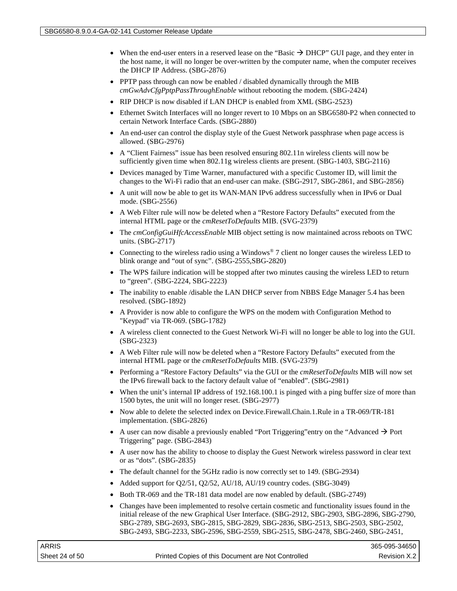- When the end-user enters in a reserved lease on the "Basic  $\rightarrow$  DHCP" GUI page, and they enter in the host name, it will no longer be over-written by the computer name, when the computer receives the DHCP IP Address. (SBG-2876)
- PPTP pass through can now be enabled / disabled dynamically through the MIB *cmGwAdvCfgPptpPassThroughEnable* without rebooting the modem. (SBG-2424)
- RIP DHCP is now disabled if LAN DHCP is enabled from XML (SBG-2523)
- Ethernet Switch Interfaces will no longer revert to 10 Mbps on an SBG6580-P2 when connected to certain Network Interface Cards. (SBG-2880)
- An end-user can control the display style of the Guest Network passphrase when page access is allowed. (SBG-2976)
- A "Client Fairness" issue has been resolved ensuring 802.11n wireless clients will now be sufficiently given time when 802.11g wireless clients are present. (SBG-1403, SBG-2116)
- Devices managed by Time Warner, manufactured with a specific Customer ID, will limit the changes to the Wi-Fi radio that an end-user can make. (SBG-2917, SBG-2861, and SBG-2856)
- A unit will now be able to get its WAN-MAN IPv6 address successfully when in IPv6 or Dual mode. (SBG-2556)
- A Web Filter rule will now be deleted when a "Restore Factory Defaults" executed from the internal HTML page or the *cmResetToDefaults* MIB. (SVG-2379)
- The *cmConfigGuiHfcAccessEnable* MIB object setting is now maintained across reboots on TWC units. (SBG-2717)
- Connecting to the wireless radio using a Windows<sup>®</sup> 7 client no longer causes the wireless LED to blink orange and "out of sync". (SBG-2555,SBG-2820)
- The WPS failure indication will be stopped after two minutes causing the wireless LED to return to "green". (SBG-2224, SBG-2223)
- The inability to enable /disable the LAN DHCP server from NBBS Edge Manager 5.4 has been resolved. (SBG-1892)
- A Provider is now able to configure the WPS on the modem with Configuration Method to "Keypad" via TR-069. (SBG-1782)
- A wireless client connected to the Guest Network Wi-Fi will no longer be able to log into the GUI. (SBG-2323)
- A Web Filter rule will now be deleted when a "Restore Factory Defaults" executed from the internal HTML page or the *cmResetToDefaults* MIB. (SVG-2379)
- Performing a "Restore Factory Defaults" via the GUI or the *cmResetToDefaults* MIB will now set the IPv6 firewall back to the factory default value of "enabled". (SBG-2981)
- When the unit's internal IP address of 192.168.100.1 is pinged with a ping buffer size of more than 1500 bytes, the unit will no longer reset. (SBG-2977)
- Now able to delete the selected index on Device.Firewall.Chain.1.Rule in a TR-069/TR-181 implementation. (SBG-2826)
- A user can now disable a previously enabled "Port Triggering" entry on the "Advanced  $\rightarrow$  Port Triggering" page. (SBG-2843)
- A user now has the ability to choose to display the Guest Network wireless password in clear text or as "dots". (SBG-2835)
- The default channel for the 5GHz radio is now correctly set to 149. (SBG-2934)
- Added support for Q2/51, Q2/52, AU/18, AU/19 country codes. (SBG-3049)
- Both TR-069 and the TR-181 data model are now enabled by default. (SBG-2749)
- Changes have been implemented to resolve certain cosmetic and functionality issues found in the initial release of the new Graphical User Interface. (SBG-2912, SBG-2903, SBG-2896, SBG-2790, SBG-2789, SBG-2693, SBG-2815, SBG-2829, SBG-2836, SBG-2513, SBG-2503, SBG-2502, SBG-2493, SBG-2233, SBG-2596, SBG-2559, SBG-2515, SBG-2478, SBG-2460, SBG-2451,

| ARRIS          |                                                    | 365-095-34650 |
|----------------|----------------------------------------------------|---------------|
| Sheet 24 of 50 | Printed Copies of this Document are Not Controlled | Revision X.2  |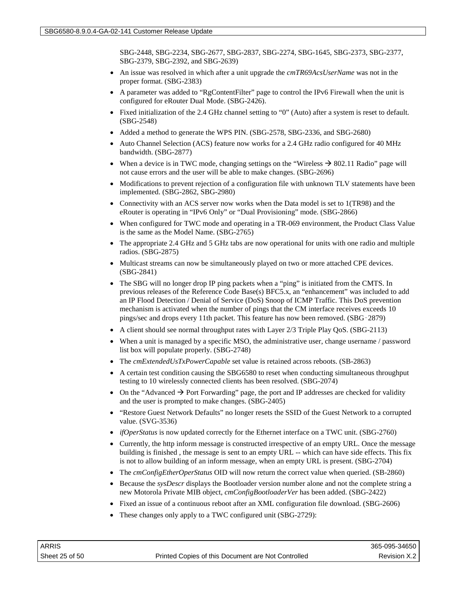SBG-2448, SBG-2234, SBG-2677, SBG-2837, SBG-2274, SBG-1645, SBG-2373, SBG-2377, SBG-2379, SBG-2392, and SBG-2639)

- An issue was resolved in which after a unit upgrade the *cmTR69AcsUserName* was not in the proper format. (SBG-2383)
- A parameter was added to "RgContentFilter" page to control the IPv6 Firewall when the unit is configured for eRouter Dual Mode. (SBG-2426).
- Fixed initialization of the 2.4 GHz channel setting to "0" (Auto) after a system is reset to default. (SBG-2548)
- Added a method to generate the WPS PIN. (SBG-2578, SBG-2336, and SBG-2680)
- Auto Channel Selection (ACS) feature now works for a 2.4 GHz radio configured for 40 MHz bandwidth. (SBG-2877)
- When a device is in TWC mode, changing settings on the "Wireless  $\rightarrow$  802.11 Radio" page will not cause errors and the user will be able to make changes. (SBG-2696)
- Modifications to prevent rejection of a configuration file with unknown TLV statements have been implemented. (SBG-2862, SBG-2980)
- Connectivity with an ACS server now works when the Data model is set to 1(TR98) and the eRouter is operating in "IPv6 Only" or "Dual Provisioning" mode. (SBG-2866)
- When configured for TWC mode and operating in a TR-069 environment, the Product Class Value is the same as the Model Name. (SBG-2765)
- The appropriate 2.4 GHz and 5 GHz tabs are now operational for units with one radio and multiple radios. (SBG-2875)
- Multicast streams can now be simultaneously played on two or more attached CPE devices. (SBG-2841)
- The SBG will no longer drop IP ping packets when a "ping" is initiated from the CMTS. In previous releases of the Reference Code Base(s) BFC5.x, an "enhancement" was included to add an IP Flood Detection / Denial of Service (DoS) Snoop of ICMP Traffic. This DoS prevention mechanism is activated when the number of pings that the CM interface receives exceeds 10 pings/sec and drops every 11th packet. This feature has now been removed. (SBG‑2879)
- A client should see normal throughput rates with Layer 2/3 Triple Play QoS. (SBG-2113)
- When a unit is managed by a specific MSO, the administrative user, change username / password list box will populate properly. (SBG-2748)
- The *cmExtendedUsTxPowerCapable* set value is retained across reboots. (SB-2863)
- A certain test condition causing the SBG6580 to reset when conducting simultaneous throughput testing to 10 wirelessly connected clients has been resolved. (SBG-2074)
- On the "Advanced  $\rightarrow$  Port Forwarding" page, the port and IP addresses are checked for validity and the user is prompted to make changes. (SBG-2405)
- "Restore Guest Network Defaults" no longer resets the SSID of the Guest Network to a corrupted value. (SVG-3536)
- *ifOperStatus* is now updated correctly for the Ethernet interface on a TWC unit. (SBG-2760)
- Currently, the http inform message is constructed irrespective of an empty URL. Once the message building is finished , the message is sent to an empty URL -- which can have side effects. This fix is not to allow building of an inform message, when an empty URL is present. (SBG-2704)
- The *cmConfigEtherOperStatus* OID will now return the correct value when queried. (SB-2860)
- Because the *sysDescr* displays the Bootloader version number alone and not the complete string a new Motorola Private MIB object, *cmConfigBootloaderVer* has been added. (SBG-2422)
- Fixed an issue of a continuous reboot after an XML configuration file download. (SBG-2606)
- These changes only apply to a TWC configured unit (SBG-2729):

| ARRIS          |                                                    | 365-095-34650 |
|----------------|----------------------------------------------------|---------------|
| Sheet 25 of 50 | Printed Copies of this Document are Not Controlled | Revision X.2  |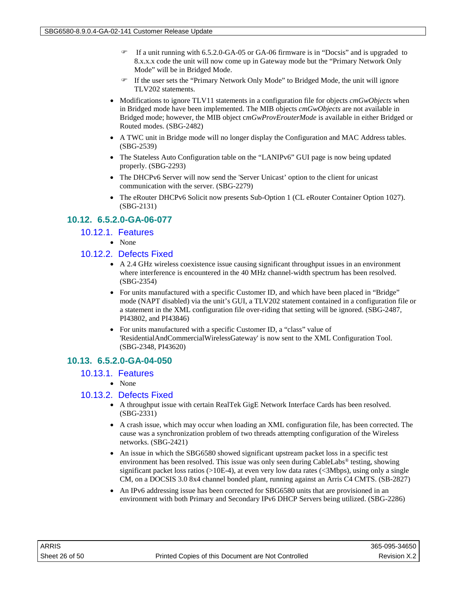- If a unit running with 6.5.2.0-GA-05 or GA-06 firmware is in "Docsis" and is upgraded to 8.x.x.x code the unit will now come up in Gateway mode but the "Primary Network Only Mode" will be in Bridged Mode.
- If the user sets the "Primary Network Only Mode" to Bridged Mode, the unit will ignore TLV202 statements.
- Modifications to ignore TLV11 statements in a configuration file for objects *cmGwObjects* when in Bridged mode have been implemented. The MIB objects *cmGwObjects* are not available in Bridged mode; however, the MIB object c*mGwProvErouterMode* is available in either Bridged or Routed modes. (SBG-2482)
- A TWC unit in Bridge mode will no longer display the Configuration and MAC Address tables. (SBG-2539)
- The Stateless Auto Configuration table on the "LANIPv6" GUI page is now being updated properly. (SBG-2293)
- The DHCPv6 Server will now send the 'Server Unicast' option to the client for unicast communication with the server. (SBG-2279)
- The eRouter DHCPv6 Solicit now presents Sub-Option 1 (CL eRouter Container Option 1027). (SBG-2131)

## **10.12. 6.5.2.0-GA-06-077**

- 10.12.1. Features
	- None

## 10.12.2. Defects Fixed

- A 2.4 GHz wireless coexistence issue causing significant throughput issues in an environment where interference is encountered in the 40 MHz channel-width spectrum has been resolved. (SBG-2354)
- For units manufactured with a specific Customer ID, and which have been placed in "Bridge" mode (NAPT disabled) via the unit's GUI, a TLV202 statement contained in a configuration file or a statement in the XML configuration file over-riding that setting will be ignored. (SBG-2487, PI43802, and PI43846)
- For units manufactured with a specific Customer ID, a "class" value of 'ResidentialAndCommercialWirelessGateway' is now sent to the XML Configuration Tool. (SBG-2348, PI43620)

## **10.13. 6.5.2.0-GA-04-050**

## 10.13.1. Features

• None

## 10.13.2. Defects Fixed

- A throughput issue with certain RealTek GigE Network Interface Cards has been resolved. (SBG-2331)
- A crash issue, which may occur when loading an XML configuration file, has been corrected. The cause was a synchronization problem of two threads attempting configuration of the Wireless networks. (SBG-2421)
- An issue in which the SBG6580 showed significant upstream packet loss in a specific test environment has been resolved. This issue was only seen during CableLabs® testing, showing significant packet loss ratios  $(>10E-4)$ , at even very low data rates  $( $3Mbps$ ), using only a single$ CM, on a DOCSIS 3.0 8x4 channel bonded plant, running against an Arris C4 CMTS. (SB-2827)
- An IPv6 addressing issue has been corrected for SBG6580 units that are provisioned in an environment with both Primary and Secondary IPv6 DHCP Servers being utilized. (SBG-2286)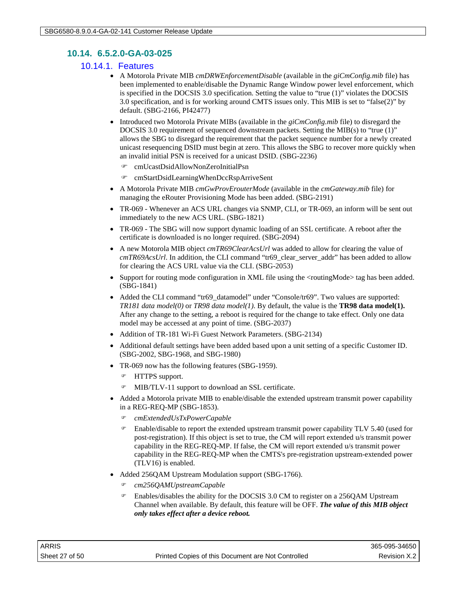## **10.14. 6.5.2.0-GA-03-025**

## 10.14.1. Features

- A Motorola Private MIB *cmDRWEnforcementDisable* (available in the *giCmConfig.mib* file) has been implemented to enable/disable the Dynamic Range Window power level enforcement, which is specified in the DOCSIS 3.0 specification. Setting the value to "true (1)" violates the DOCSIS 3.0 specification, and is for working around CMTS issues only. This MIB is set to "false(2)" by default. (SBG-2166, PI42477)
- Introduced two Motorola Private MIBs (available in the *giCmConfig.mib* file) to disregard the DOCSIS 3.0 requirement of sequenced downstream packets. Setting the MIB(s) to "true (1)" allows the SBG to disregard the requirement that the packet sequence number for a newly created unicast resequencing DSID must begin at zero. This allows the SBG to recover more quickly when an invalid initial PSN is received for a unicast DSID. (SBG-2236)
	- cmUcastDsidAllowNonZeroInitialPsn
	- cmStartDsidLearningWhenDccRspArriveSent
- A Motorola Private MIB *cmGwProvErouterMode* (available in the *cmGateway.mib* file) for managing the eRouter Provisioning Mode has been added. (SBG-2191)
- TR-069 Whenever an ACS URL changes via SNMP, CLI, or TR-069, an inform will be sent out immediately to the new ACS URL. (SBG-1821)
- TR-069 The SBG will now support dynamic loading of an SSL certificate. A reboot after the certificate is downloaded is no longer required. (SBG-2094)
- A new Motorola MIB object *cmTR69ClearAcsUrl* was added to allow for clearing the value of *cmTR69AcsUrl*. In addition, the CLI command "tr69\_clear\_server\_addr" has been added to allow for clearing the ACS URL value via the CLI. (SBG-2053)
- Support for routing mode configuration in XML file using the  $\langle$  routingMode $\rangle$  tag has been added. (SBG-1841)
- Added the CLI command "tr69\_datamodel" under "Console/tr69". Two values are supported: *TR181 data model(0)* or *TR98 data model(1)*. By default, the value is the **TR98 data model(1).** After any change to the setting, a reboot is required for the change to take effect. Only one data model may be accessed at any point of time. (SBG-2037)
- Addition of TR-181 Wi-Fi Guest Network Parameters. (SBG-2134)
- Additional default settings have been added based upon a unit setting of a specific Customer ID. (SBG-2002, SBG-1968, and SBG-1980)
- TR-069 now has the following features (SBG-1959).
	- HTTPS support.
	- MIB/TLV-11 support to download an SSL certificate.
- Added a Motorola private MIB to enable/disable the extended upstream transmit power capability in a REG-REQ-MP (SBG-1853).
	- *cmExtendedUsTxPowerCapable*
	- Enable/disable to report the extended upstream transmit power capability TLV 5.40 (used for post-registration). If this object is set to true, the CM will report extended u/s transmit power capability in the REG-REQ-MP. If false, the CM will report extended u/s transmit power capability in the REG-REQ-MP when the CMTS's pre-registration upstream-extended power (TLV16) is enabled.
- Added 256QAM Upstream Modulation support (SBG-1766).
	- *cm256QAMUpstreamCapable*
	- Enables/disables the ability for the DOCSIS 3.0 CM to register on a 256QAM Upstream Channel when available. By default, this feature will be OFF. *The value of this MIB object only takes effect after a device reboot.*

| ARRIS          |                                                    | 365-095-34650 |
|----------------|----------------------------------------------------|---------------|
| Sheet 27 of 50 | Printed Copies of this Document are Not Controlled | Revision X.2  |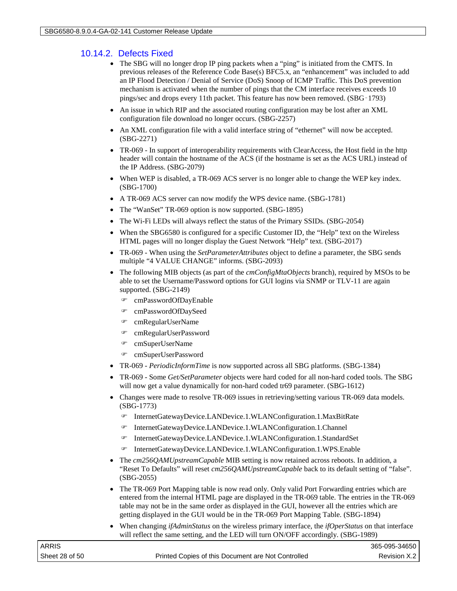## 10.14.2. Defects Fixed

- The SBG will no longer drop IP ping packets when a "ping" is initiated from the CMTS. In previous releases of the Reference Code Base(s) BFC5.x, an "enhancement" was included to add an IP Flood Detection / Denial of Service (DoS) Snoop of ICMP Traffic. This DoS prevention mechanism is activated when the number of pings that the CM interface receives exceeds 10 pings/sec and drops every 11th packet. This feature has now been removed. (SBG‑1793)
- An issue in which RIP and the associated routing configuration may be lost after an XML configuration file download no longer occurs. (SBG-2257)
- An XML configuration file with a valid interface string of "ethernet" will now be accepted. (SBG-2271)
- TR-069 In support of interoperability requirements with ClearAccess, the Host field in the http header will contain the hostname of the ACS (if the hostname is set as the ACS URL) instead of the IP Address. (SBG-2079)
- When WEP is disabled, a TR-069 ACS server is no longer able to change the WEP key index. (SBG-1700)
- A TR-069 ACS server can now modify the WPS device name. (SBG-1781)
- The "WanSet" TR-069 option is now supported. (SBG-1895)
- The Wi-Fi LEDs will always reflect the status of the Primary SSIDs. (SBG-2054)
- When the SBG6580 is configured for a specific Customer ID, the "Help" text on the Wireless HTML pages will no longer display the Guest Network "Help" text. (SBG-2017)
- TR-069 When using the *SetParameterAttributes* object to define a parameter, the SBG sends multiple "4 VALUE CHANGE" informs. (SBG-2093)
- The following MIB objects (as part of the *cmConfigMtaObjects* branch), required by MSOs to be able to set the Username/Password options for GUI logins via SNMP or TLV-11 are again supported. (SBG-2149)
	- cmPasswordOfDayEnable
	- cmPasswordOfDaySeed
	- cmRegularUserName
	- cmRegularUserPassword
	- cmSuperUserName
	- cmSuperUserPassword
- TR-069 *PeriodicInformTime* is now supported across all SBG platforms. (SBG-1384)
- TR-069 Some *Get/SetParameter* objects were hard coded for all non-hard coded tools. The SBG will now get a value dynamically for non-hard coded tr69 parameter. (SBG-1612)
- Changes were made to resolve TR-069 issues in retrieving/setting various TR-069 data models. (SBG-1773)
	- InternetGatewayDevice.LANDevice.1.WLANConfiguration.1.MaxBitRate
	- InternetGatewayDevice.LANDevice.1.WLANConfiguration.1.Channel
	- InternetGatewayDevice.LANDevice.1.WLANConfiguration.1.StandardSet
	- InternetGatewayDevice.LANDevice.1.WLANConfiguration.1.WPS.Enable
- The *cm256QAMUpstreamCapable* MIB setting is now retained across reboots. In addition, a "Reset To Defaults" will reset *cm256QAMUpstreamCapable* back to its default setting of "false". (SBG-2055)
- The TR-069 Port Mapping table is now read only. Only valid Port Forwarding entries which are entered from the internal HTML page are displayed in the TR-069 table. The entries in the TR-069 table may not be in the same order as displayed in the GUI, however all the entries which are getting displayed in the GUI would be in the TR-069 Port Mapping Table. (SBG-1894)
- When changing *ifAdminStatus* on the wireless primary interface, the *ifOperStatus* on that interface will reflect the same setting, and the LED will turn ON/OFF accordingly. (SBG-1989)

| ARRIS          |                                                    | 365-095-34650  |
|----------------|----------------------------------------------------|----------------|
| Sheet 28 of 50 | Printed Copies of this Document are Not Controlled | Revision X.2 I |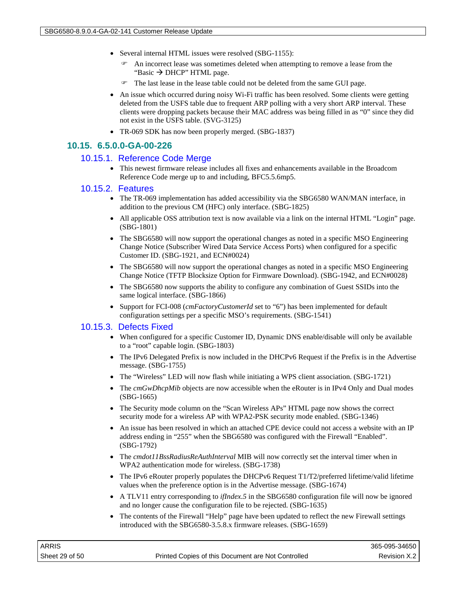- Several internal HTML issues were resolved (SBG-1155):
	- An incorrect lease was sometimes deleted when attempting to remove a lease from the "Basic  $\rightarrow$  DHCP" HTML page.
	- The last lease in the lease table could not be deleted from the same GUI page.
- An issue which occurred during noisy Wi-Fi traffic has been resolved. Some clients were getting deleted from the USFS table due to frequent ARP polling with a very short ARP interval. These clients were dropping packets because their MAC address was being filled in as "0" since they did not exist in the USFS table. (SVG-3125)
- TR-069 SDK has now been properly merged. (SBG-1837)

#### **10.15. 6.5.0.0-GA-00-226**

#### 10.15.1. Reference Code Merge

• This newest firmware release includes all fixes and enhancements available in the Broadcom Reference Code merge up to and including, BFC5.5.6mp5.

#### 10.15.2. Features

- The TR-069 implementation has added accessibility via the SBG6580 WAN/MAN interface, in addition to the previous CM (HFC) only interface. (SBG-1825)
- All applicable OSS attribution text is now available via a link on the internal HTML "Login" page. (SBG-1801)
- The SBG6580 will now support the operational changes as noted in a specific MSO Engineering Change Notice (Subscriber Wired Data Service Access Ports) when configured for a specific Customer ID. (SBG-1921, and ECN#0024)
- The SBG6580 will now support the operational changes as noted in a specific MSO Engineering Change Notice (TFTP Blocksize Option for Firmware Download). (SBG-1942, and ECN#0028)
- The SBG6580 now supports the ability to configure any combination of Guest SSIDs into the same logical interface. (SBG-1866)
- Support for FCI-008 (*cmFactoryCustomerId* set to "6") has been implemented for default configuration settings per a specific MSO's requirements. (SBG-1541)

#### 10.15.3. Defects Fixed

- When configured for a specific Customer ID, Dynamic DNS enable/disable will only be available to a "root" capable login. (SBG-1803)
- The IPv6 Delegated Prefix is now included in the DHCPv6 Request if the Prefix is in the Advertise message. (SBG-1755)
- The "Wireless" LED will now flash while initiating a WPS client association. (SBG-1721)
- The *cmGwDhcpMib* objects are now accessible when the eRouter is in IPv4 Only and Dual modes (SBG-1665)
- The Security mode column on the "Scan Wireless APs" HTML page now shows the correct security mode for a wireless AP with WPA2-PSK security mode enabled. (SBG-1346)
- An issue has been resolved in which an attached CPE device could not access a website with an IP address ending in "255" when the SBG6580 was configured with the Firewall "Enabled". (SBG-1792)
- The *cmdot11BssRadiusReAuthInterval* MIB will now correctly set the interval timer when in WPA2 authentication mode for wireless. (SBG-1738)
- The IPv6 eRouter properly populates the DHCPv6 Request T1/T2/preferred lifetime/valid lifetime values when the preference option is in the Advertise message. (SBG-1674)
- A TLV11 entry corresponding to *ifIndex.5* in the SBG6580 configuration file will now be ignored and no longer cause the configuration file to be rejected. (SBG-1635)
- The contents of the Firewall "Help" page have been updated to reflect the new Firewall settings introduced with the SBG6580-3.5.8.x firmware releases. (SBG-1659)

| ARRIS          |                                                    | 365-095-34650 |
|----------------|----------------------------------------------------|---------------|
| Sheet 29 of 50 | Printed Copies of this Document are Not Controlled | Revision X.2  |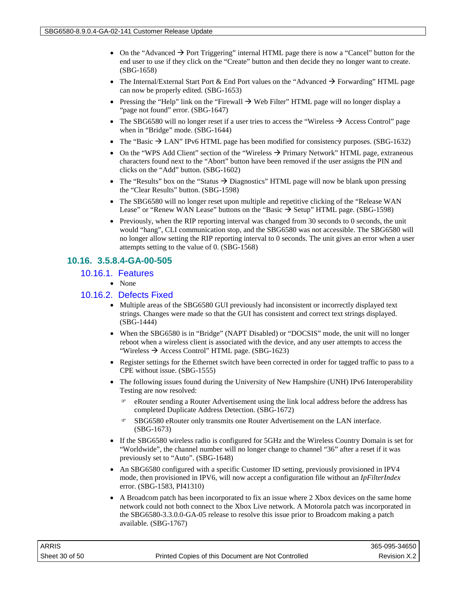- On the "Advanced  $\rightarrow$  Port Triggering" internal HTML page there is now a "Cancel" button for the end user to use if they click on the "Create" button and then decide they no longer want to create. (SBG-1658)
- The Internal/External Start Port & End Port values on the "Advanced  $\rightarrow$  Forwarding" HTML page can now be properly edited. (SBG-1653)
- Pressing the "Help" link on the "Firewall  $\rightarrow$  Web Filter" HTML page will no longer display a "page not found" error. (SBG-1647)
- The SBG6580 will no longer reset if a user tries to access the "Wireless  $\rightarrow$  Access Control" page when in "Bridge" mode. (SBG-1644)
- The "Basic  $\rightarrow$  LAN" IPv6 HTML page has been modified for consistency purposes. (SBG-1632)
- On the "WPS Add Client" section of the "Wireless  $\rightarrow$  Primary Network" HTML page, extraneous characters found next to the "Abort" button have been removed if the user assigns the PIN and clicks on the "Add" button. (SBG-1602)
- The "Results" box on the "Status  $\rightarrow$  Diagnostics" HTML page will now be blank upon pressing the "Clear Results" button. (SBG-1598)
- The SBG6580 will no longer reset upon multiple and repetitive clicking of the "Release WAN Lease" or "Renew WAN Lease" buttons on the "Basic  $\rightarrow$  Setup" HTML page. (SBG-1598)
- Previously, when the RIP reporting interval was changed from 30 seconds to 0 seconds, the unit would "hang", CLI communication stop, and the SBG6580 was not accessible. The SBG6580 will no longer allow setting the RIP reporting interval to 0 seconds. The unit gives an error when a user attempts setting to the value of 0. (SBG-1568)

## **10.16. 3.5.8.4-GA-00-505**

#### 10.16.1. Features

• None

#### 10.16.2. Defects Fixed

- Multiple areas of the SBG6580 GUI previously had inconsistent or incorrectly displayed text strings. Changes were made so that the GUI has consistent and correct text strings displayed. (SBG-1444)
- When the SBG6580 is in "Bridge" (NAPT Disabled) or "DOCSIS" mode, the unit will no longer reboot when a wireless client is associated with the device, and any user attempts to access the "Wireless  $\rightarrow$  Access Control" HTML page. (SBG-1623)
- Register settings for the Ethernet switch have been corrected in order for tagged traffic to pass to a CPE without issue. (SBG-1555)
- The following issues found during the University of New Hampshire (UNH) IPv6 Interoperability Testing are now resolved:
	- eRouter sending a Router Advertisement using the link local address before the address has completed Duplicate Address Detection. (SBG-1672)
	- SBG6580 eRouter only transmits one Router Advertisement on the LAN interface. (SBG-1673)
- If the SBG6580 wireless radio is configured for 5GHz and the Wireless Country Domain is set for "Worldwide", the channel number will no longer change to channel "36" after a reset if it was previously set to "Auto". (SBG-1648)
- An SBG6580 configured with a specific Customer ID setting, previously provisioned in IPV4 mode, then provisioned in IPV6, will now accept a configuration file without an *IpFilterIndex*  error. (SBG-1583, PI41310)
- A Broadcom patch has been incorporated to fix an issue where 2 Xbox devices on the same home network could not both connect to the Xbox Live network. A Motorola patch was incorporated in the SBG6580-3.3.0.0-GA-05 release to resolve this issue prior to Broadcom making a patch available. (SBG-1767)

| ARRIS          |                                                    | 365-095-34650  |
|----------------|----------------------------------------------------|----------------|
| Sheet 30 of 50 | Printed Copies of this Document are Not Controlled | Revision X.2 I |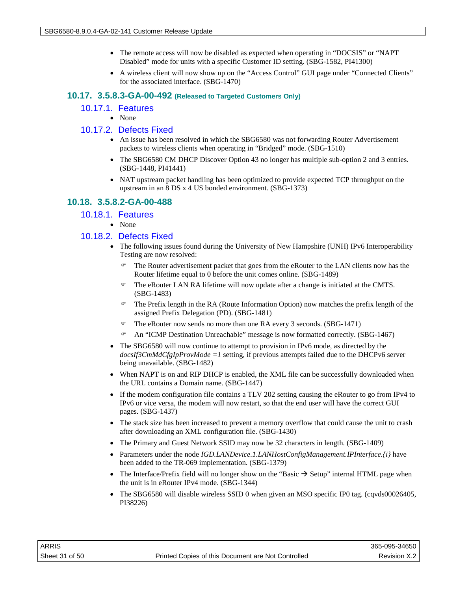- The remote access will now be disabled as expected when operating in "DOCSIS" or "NAPT" Disabled" mode for units with a specific Customer ID setting. (SBG-1582, PI41300)
- A wireless client will now show up on the "Access Control" GUI page under "Connected Clients" for the associated interface. (SBG-1470)

#### **10.17. 3.5.8.3-GA-00-492 (Released to Targeted Customers Only)**

- 10.17.1. Features
	- None

## 10.17.2. Defects Fixed

- An issue has been resolved in which the SBG6580 was not forwarding Router Advertisement packets to wireless clients when operating in "Bridged" mode. (SBG-1510)
- The SBG6580 CM DHCP Discover Option 43 no longer has multiple sub-option 2 and 3 entries. (SBG-1448, PI41441)
- NAT upstream packet handling has been optimized to provide expected TCP throughput on the upstream in an 8 DS x 4 US bonded environment. (SBG-1373)

## **10.18. 3.5.8.2-GA-00-488**

#### 10.18.1. Features

• None

## 10.18.2. Defects Fixed

- The following issues found during the University of New Hampshire (UNH) IPv6 Interoperability Testing are now resolved:
	- The Router advertisement packet that goes from the eRouter to the LAN clients now has the Router lifetime equal to 0 before the unit comes online. (SBG-1489)
	- The eRouter LAN RA lifetime will now update after a change is initiated at the CMTS. (SBG-1483)
	- The Prefix length in the RA (Route Information Option) now matches the prefix length of the assigned Prefix Delegation (PD). (SBG-1481)
	- The eRouter now sends no more than one RA every 3 seconds. (SBG-1471)
	- An "ICMP Destination Unreachable" message is now formatted correctly. (SBG-1467)
- The SBG6580 will now continue to attempt to provision in IPv6 mode, as directed by the *docsIf3CmMdCfgIpProvMode =1* setting, if previous attempts failed due to the DHCPv6 server being unavailable. (SBG-1482)
- When NAPT is on and RIP DHCP is enabled, the XML file can be successfully downloaded when the URL contains a Domain name. (SBG-1447)
- If the modem configuration file contains a TLV 202 setting causing the eRouter to go from IPv4 to IPv6 or vice versa, the modem will now restart, so that the end user will have the correct GUI pages. (SBG-1437)
- The stack size has been increased to prevent a memory overflow that could cause the unit to crash after downloading an XML configuration file. (SBG-1430)
- The Primary and Guest Network SSID may now be 32 characters in length. (SBG-1409)
- Parameters under the node *IGD.LANDevice.1.LANHostConfigManagement.IPInterface.{i}* have been added to the TR-069 implementation. (SBG-1379)
- The Interface/Prefix field will no longer show on the "Basic  $\rightarrow$  Setup" internal HTML page when the unit is in eRouter IPv4 mode. (SBG-1344)
- The SBG6580 will disable wireless SSID 0 when given an MSO specific IP0 tag. (cqvds00026405, PI38226)

| <b>ARRIS</b>   |                                                    | 365-095-34650 |
|----------------|----------------------------------------------------|---------------|
| Sheet 31 of 50 | Printed Copies of this Document are Not Controlled | Revision X.2  |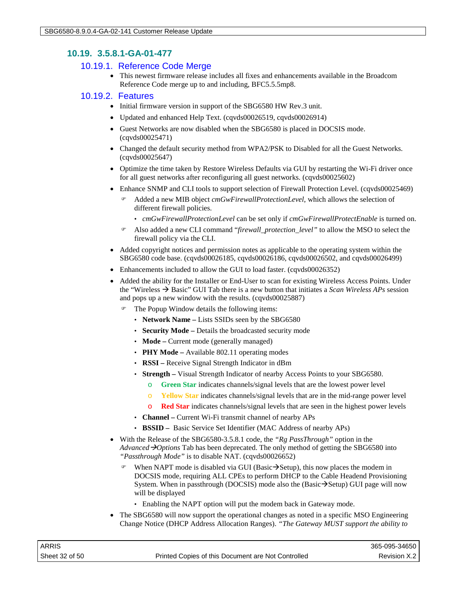## **10.19. 3.5.8.1-GA-01-477**

## 10.19.1. Reference Code Merge

• This newest firmware release includes all fixes and enhancements available in the Broadcom Reference Code merge up to and including, BFC5.5.5mp8.

#### 10.19.2. Features

- Initial firmware version in support of the SBG6580 HW Rev.3 unit.
- Updated and enhanced Help Text. (cqvds00026519, cqvds00026914)
- Guest Networks are now disabled when the SBG6580 is placed in DOCSIS mode. (cqvds00025471)
- Changed the default security method from WPA2/PSK to Disabled for all the Guest Networks. (cqvds00025647)
- Optimize the time taken by Restore Wireless Defaults via GUI by restarting the Wi-Fi driver once for all guest networks after reconfiguring all guest networks. (cqvds00025602)
- Enhance SNMP and CLI tools to support selection of Firewall Protection Level. (cqvds00025469)
	- Added a new MIB object *cmGwFirewallProtectionLevel*, which allows the selection of different firewall policies.
		- *cmGwFirewallProtectionLevel* can be set only if *cmGwFirewallProtectEnable* is turned on.
	- Also added a new CLI command "*firewall\_protection\_level"* to allow the MSO to select the firewall policy via the CLI.
- Added copyright notices and permission notes as applicable to the operating system within the SBG6580 code base. (cqvds00026185, cqvds00026186, cqvds00026502, and cqvds00026499)
- Enhancements included to allow the GUI to load faster. (cqvds00026352)
- Added the ability for the Installer or End-User to scan for existing Wireless Access Points. Under the "Wireless  $\rightarrow$  Basic" GUI Tab there is a new button that initiates a *Scan Wireless APs* session and pops up a new window with the results. (cqvds00025887)
	- The Popup Window details the following items:
		- **Network Name –** Lists SSIDs seen by the SBG6580
		- **Security Mode –** Details the broadcasted security mode
		- **Mode** Current mode (generally managed)
		- **PHY Mode** Available 802.11 operating modes
		- **RSSI –** Receive Signal Strength Indicator in dBm
		- **Strength –** Visual Strength Indicator of nearby Access Points to your SBG6580.
			- o **Green Star** indicates channels/signal levels that are the lowest power level
			- o **Yellow Star** indicates channels/signal levels that are in the mid-range power level
			- o **Red Star** indicates channels/signal levels that are seen in the highest power levels
		- **Channel –** Current Wi-Fi transmit channel of nearby APs
		- **BSSID –** Basic Service Set Identifier (MAC Address of nearby APs)
- With the Release of the SBG6580-3.5.8.1 code, the *"Rg PassThrough"* option in the *Advanced*  $\rightarrow$ *Options* Tab has been deprecated. The only method of getting the SBG6580 into *"Passthrough Mode"* is to disable NAT. (cqvds00026652)
	- When NAPT mode is disabled via GUI (Basic $\rightarrow$ Setup), this now places the modem in DOCSIS mode, requiring ALL CPEs to perform DHCP to the Cable Headend Provisioning System. When in passthrough (DOCSIS) mode also the (Basic $\rightarrow$ Setup) GUI page will now will be displayed
		- Enabling the NAPT option will put the modem back in Gateway mode.
- The SBG6580 will now support the operational changes as noted in a specific MSO Engineering Change Notice (DHCP Address Allocation Ranges). *"The Gateway MUST support the ability to*

| ARRIS          |                                                    | 365-095-34650 |
|----------------|----------------------------------------------------|---------------|
| Sheet 32 of 50 | Printed Copies of this Document are Not Controlled | Revision X.2  |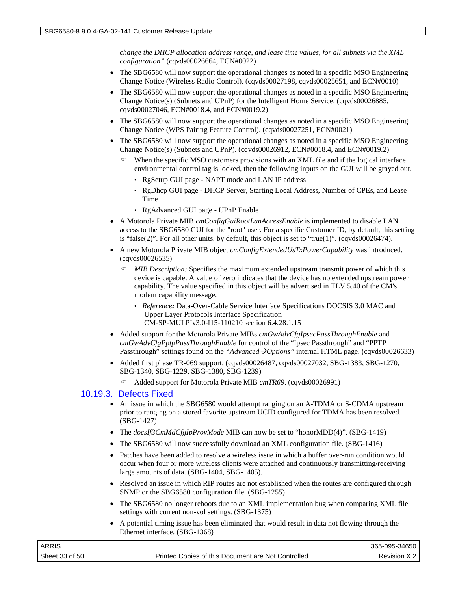*change the DHCP allocation address range, and lease time values, for all subnets via the XML configuration"* (cqvds00026664, ECN#0022)

- The SBG6580 will now support the operational changes as noted in a specific MSO Engineering Change Notice (Wireless Radio Control). (cqvds00027198, cqvds00025651, and ECN#0010)
- The SBG6580 will now support the operational changes as noted in a specific MSO Engineering Change Notice(s) (Subnets and UPnP) for the Intelligent Home Service. (cqvds00026885, cqvds00027046, ECN#0018.4, and ECN#0019.2)
- The SBG6580 will now support the operational changes as noted in a specific MSO Engineering Change Notice (WPS Pairing Feature Control). (cqvds00027251, ECN#0021)
- The SBG6580 will now support the operational changes as noted in a specific MSO Engineering Change Notice(s) (Subnets and UPnP). (cqvds00026912, ECN#0018.4, and ECN#0019.2)
	- When the specific MSO customers provisions with an XML file and if the logical interface environmental control tag is locked, then the following inputs on the GUI will be grayed out.
		- RgSetup GUI page NAPT mode and LAN IP address
		- RgDhcp GUI page DHCP Server, Starting Local Address, Number of CPEs, and Lease Time
		- RgAdvanced GUI page UPnP Enable
- A Motorola Private MIB *cmConfigGuiRootLanAccessEnable* is implemented to disable LAN access to the SBG6580 GUI for the "root" user. For a specific Customer ID, by default, this setting is "false(2)". For all other units, by default, this object is set to "true(1)". (cqvds00026474).
- A new Motorola Private MIB object *cmConfigExtendedUsTxPowerCapability* was introduced. (cqvds00026535)
	- *MIB Description:* Specifies the maximum extended upstream transmit power of which this device is capable. A value of zero indicates that the device has no extended upstream power capability. The value specified in this object will be advertised in TLV 5.40 of the CM's modem capability message.
		- *Reference:* Data-Over-Cable Service Interface Specifications DOCSIS 3.0 MAC and Upper Layer Protocols Interface Specification CM-SP-MULPIv3.0-I15-110210 section 6.4.28.1.15
- Added support for the Motorola Private MIBs *cmGwAdvCfgIpsecPassThroughEnable* and *cmGwAdvCfgPptpPassThroughEnable* for control of the "Ipsec Passthrough" and "PPTP Passthrough" settings found on the "*Advanced*  $\rightarrow$  *Options*" internal HTML page. (cqvds00026633)
- Added first phase TR-069 support. (cqvds00026487, cqvds00027032, SBG-1383, SBG-1270, SBG-1340, SBG-1229, SBG-1380, SBG-1239)
	- Added support for Motorola Private MIB *cmTR69*. (cqvds00026991)

#### 10.19.3. Defects Fixed

- An issue in which the SBG6580 would attempt ranging on an A-TDMA or S-CDMA upstream prior to ranging on a stored favorite upstream UCID configured for TDMA has been resolved. (SBG-1427)
- The *docsIf3CmMdCfgIpProvMode* MIB can now be set to "honorMDD(4)". (SBG-1419)
- The SBG6580 will now successfully download an XML configuration file. (SBG-1416)
- Patches have been added to resolve a wireless issue in which a buffer over-run condition would occur when four or more wireless clients were attached and continuously transmitting/receiving large amounts of data. (SBG-1404, SBG-1405).
- Resolved an issue in which RIP routes are not established when the routes are configured through SNMP or the SBG6580 configuration file. (SBG-1255)
- The SBG6580 no longer reboots due to an XML implementation bug when comparing XML file settings with current non-vol settings. (SBG-1375)
- A potential timing issue has been eliminated that would result in data not flowing through the Ethernet interface. (SBG-1368)

| ARRIS          |                                                    | 365-095-34650 |
|----------------|----------------------------------------------------|---------------|
| Sheet 33 of 50 | Printed Copies of this Document are Not Controlled | Revision X.2  |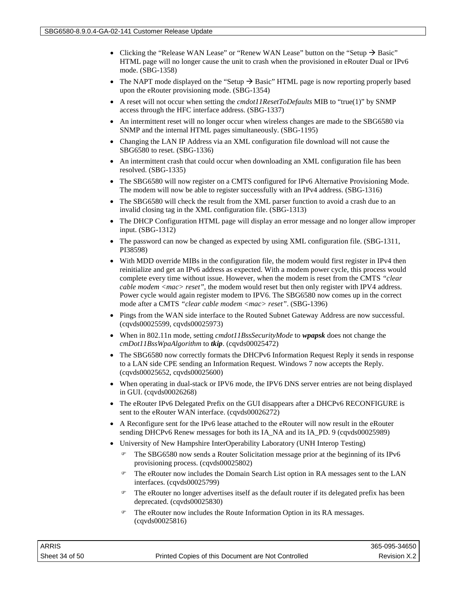- Clicking the "Release WAN Lease" or "Renew WAN Lease" button on the "Setup  $\rightarrow$  Basic" HTML page will no longer cause the unit to crash when the provisioned in eRouter Dual or IPv6 mode. (SBG-1358)
- The NAPT mode displayed on the "Setup  $\rightarrow$  Basic" HTML page is now reporting properly based upon the eRouter provisioning mode. (SBG-1354)
- A reset will not occur when setting the *cmdot11ResetToDefaults* MIB to "true(1)" by SNMP access through the HFC interface address. (SBG-1337)
- An intermittent reset will no longer occur when wireless changes are made to the SBG6580 via SNMP and the internal HTML pages simultaneously. (SBG-1195)
- Changing the LAN IP Address via an XML configuration file download will not cause the SBG6580 to reset. (SBG-1336)
- An intermittent crash that could occur when downloading an XML configuration file has been resolved. (SBG-1335)
- The SBG6580 will now register on a CMTS configured for IPv6 Alternative Provisioning Mode. The modem will now be able to register successfully with an IPv4 address. (SBG-1316)
- The SBG6580 will check the result from the XML parser function to avoid a crash due to an invalid closing tag in the XML configuration file. (SBG-1313)
- The DHCP Configuration HTML page will display an error message and no longer allow improper input. (SBG-1312)
- The password can now be changed as expected by using XML configuration file. (SBG-1311, PI38598)
- With MDD override MIBs in the configuration file, the modem would first register in IPv4 then reinitialize and get an IPv6 address as expected. With a modem power cycle, this process would complete every time without issue. However, when the modem is reset from the CMTS *"clear cable modem <mac> reset"*, the modem would reset but then only register with IPV4 address. Power cycle would again register modem to IPV6. The SBG6580 now comes up in the correct mode after a CMTS *"clear cable modem <mac> reset"*. (SBG-1396)
- Pings from the WAN side interface to the Routed Subnet Gateway Address are now successful. (cqvds00025599, cqvds00025973)
- When in 802.11n mode, setting *cmdot11BssSecurityMode* to *wpapsk* does not change the *cmDot11BssWpaAlgorithm* to *tkip*. (cqvds00025472)
- The SBG6580 now correctly formats the DHCPv6 Information Request Reply it sends in response to a LAN side CPE sending an Information Request. Windows 7 now accepts the Reply. (cqvds00025652, cqvds00025600)
- When operating in dual-stack or IPV6 mode, the IPV6 DNS server entries are not being displayed in GUI. (cqvds00026268)
- The eRouter IPv6 Delegated Prefix on the GUI disappears after a DHCPv6 RECONFIGURE is sent to the eRouter WAN interface. (cqvds00026272)
- A Reconfigure sent for the IPv6 lease attached to the eRouter will now result in the eRouter sending DHCPv6 Renew messages for both its IA\_NA and its IA\_PD. 9 (cqvds00025989)
- University of New Hampshire InterOperability Laboratory (UNH Interop Testing)
	- The SBG6580 now sends a Router Solicitation message prior at the beginning of its IPv6 provisioning process. (cqvds00025802)
	- The eRouter now includes the Domain Search List option in RA messages sent to the LAN interfaces. (cqvds00025799)
	- The eRouter no longer advertises itself as the default router if its delegated prefix has been deprecated. (cqvds00025830)
	- The eRouter now includes the Route Information Option in its RA messages. (cqvds00025816)

| ARRIS          |                                                    | 365-095-34650 |
|----------------|----------------------------------------------------|---------------|
| Sheet 34 of 50 | Printed Copies of this Document are Not Controlled | Revision X.2  |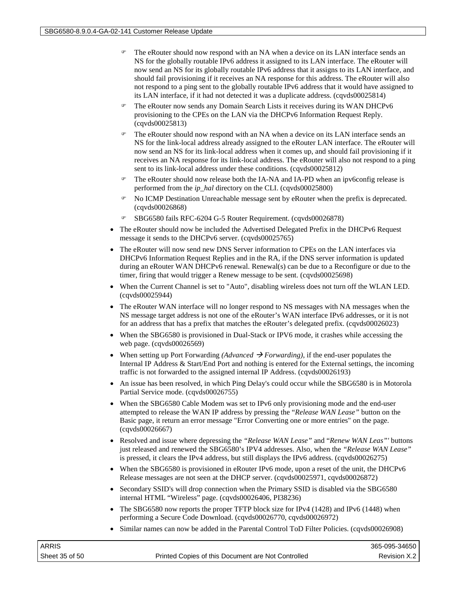- The eRouter should now respond with an NA when a device on its LAN interface sends an NS for the globally routable IPv6 address it assigned to its LAN interface. The eRouter will now send an NS for its globally routable IPv6 address that it assigns to its LAN interface, and should fail provisioning if it receives an NA response for this address. The eRouter will also not respond to a ping sent to the globally routable IPv6 address that it would have assigned to its LAN interface, if it had not detected it was a duplicate address. (cqvds00025814)
- The eRouter now sends any Domain Search Lists it receives during its WAN DHCPv6 provisioning to the CPEs on the LAN via the DHCPv6 Information Request Reply. (cqvds00025813)
- The eRouter should now respond with an NA when a device on its LAN interface sends an NS for the link-local address already assigned to the eRouter LAN interface. The eRouter will now send an NS for its link-local address when it comes up, and should fail provisioning if it receives an NA response for its link-local address. The eRouter will also not respond to a ping sent to its link-local address under these conditions. (cqvds00025812)
- The eRouter should now release both the IA-NA and IA-PD when an ipv6config release is performed from the *ip\_hal* directory on the CLI. (cqvds00025800)
- No ICMP Destination Unreachable message sent by eRouter when the prefix is deprecated. (cqvds00026868)
- SBG6580 fails RFC-6204 G-5 Router Requirement. (cqvds00026878)
- The eRouter should now be included the Advertised Delegated Prefix in the DHCPv6 Request message it sends to the DHCPv6 server. (cqvds00025765)
- The eRouter will now send new DNS Server information to CPEs on the LAN interfaces via DHCPv6 Information Request Replies and in the RA, if the DNS server information is updated during an eRouter WAN DHCPv6 renewal. Renewal(s) can be due to a Reconfigure or due to the timer, firing that would trigger a Renew message to be sent. (cqvds00025698)
- When the Current Channel is set to "Auto", disabling wireless does not turn off the WLAN LED. (cqvds00025944)
- The eRouter WAN interface will no longer respond to NS messages with NA messages when the NS message target address is not one of the eRouter's WAN interface IPv6 addresses, or it is not for an address that has a prefix that matches the eRouter's delegated prefix. (cqvds00026023)
- When the SBG6580 is provisioned in Dual-Stack or IPV6 mode, it crashes while accessing the web page. (cqvds00026569)
- When setting up Port Forwarding *(Advanced*  $\rightarrow$  *Forwarding)*, if the end-user populates the Internal IP Address & Start/End Port and nothing is entered for the External settings, the incoming traffic is not forwarded to the assigned internal IP Address. (cqvds00026193)
- An issue has been resolved, in which Ping Delay's could occur while the SBG6580 is in Motorola Partial Service mode. (cqvds00026755)
- When the SBG6580 Cable Modem was set to IPv6 only provisioning mode and the end-user attempted to release the WAN IP address by pressing the "*Release WAN Lease"* button on the Basic page, it return an error message "Error Converting one or more entries" on the page. (cqvds00026667)
- Resolved and issue where depressing the *"Release WAN Lease"* and "*Renew WAN Leas"'* buttons just released and renewed the SBG6580's IPV4 addresses. Also, when the *"Release WAN Lease"*  is pressed, it clears the IPv4 address, but still displays the IPv6 address. (cqvds00026275)
- When the SBG6580 is provisioned in eRouter IPv6 mode, upon a reset of the unit, the DHCPv6 Release messages are not seen at the DHCP server. (cqvds00025971, cqvds00026872)
- Secondary SSID's will drop connection when the Primary SSID is disabled via the SBG6580 internal HTML "Wireless" page. (cqvds00026406, PI38236)
- The SBG6580 now reports the proper TFTP block size for IPv4 (1428) and IPv6 (1448) when performing a Secure Code Download. (cqvds00026770, cqvds00026972)
- Similar names can now be added in the Parental Control ToD Filter Policies. (cqvds00026908)

| ARRIS          |                                                    | 365-095-34650 |
|----------------|----------------------------------------------------|---------------|
| Sheet 35 of 50 | Printed Copies of this Document are Not Controlled | Revision X.2  |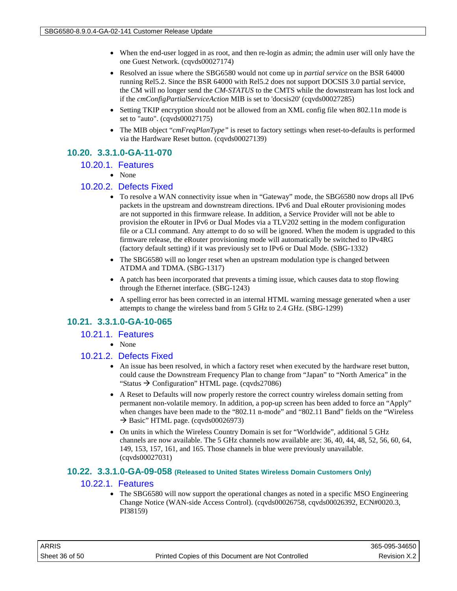- When the end-user logged in as root, and then re-login as admin; the admin user will only have the one Guest Network. (cqvds00027174)
- Resolved an issue where the SBG6580 would not come up in *partial service* on the BSR 64000 running Rel5.2. Since the BSR 64000 with Rel5.2 does not support DOCSIS 3.0 partial service, the CM will no longer send the *CM-STATUS* to the CMTS while the downstream has lost lock and if the *cmConfigPartialServiceAction* MIB is set to 'docsis20' (cqvds00027285)
- Setting TKIP encryption should not be allowed from an XML config file when 802.11n mode is set to "auto". (cqvds00027175)
- The MIB object "*cmFreqPlanType*" is reset to factory settings when reset-to-defaults is performed via the Hardware Reset button. (cqvds00027139)

## **10.20. 3.3.1.0-GA-11-070**

#### 10.20.1. Features

• None

## 10.20.2. Defects Fixed

- To resolve a WAN connectivity issue when in "Gateway" mode, the SBG6580 now drops all IPv6 packets in the upstream and downstream directions. IPv6 and Dual eRouter provisioning modes are not supported in this firmware release. In addition, a Service Provider will not be able to provision the eRouter in IPv6 or Dual Modes via a TLV202 setting in the modem configuration file or a CLI command. Any attempt to do so will be ignored. When the modem is upgraded to this firmware release, the eRouter provisioning mode will automatically be switched to IPv4RG (factory default setting) if it was previously set to IPv6 or Dual Mode. (SBG-1332)
- The SBG6580 will no longer reset when an upstream modulation type is changed between ATDMA and TDMA. (SBG-1317)
- A patch has been incorporated that prevents a timing issue, which causes data to stop flowing through the Ethernet interface. (SBG-1243)
- A spelling error has been corrected in an internal HTML warning message generated when a user attempts to change the wireless band from 5 GHz to 2.4 GHz. (SBG-1299)

## **10.21. 3.3.1.0-GA-10-065**

## 10.21.1. Features

• None

## 10.21.2. Defects Fixed

- An issue has been resolved, in which a factory reset when executed by the hardware reset button, could cause the Downstream Frequency Plan to change from "Japan" to "North America" in the "Status  $\rightarrow$  Configuration" HTML page. (cqvds27086)
- A Reset to Defaults will now properly restore the correct country wireless domain setting from permanent non-volatile memory. In addition, a pop-up screen has been added to force an "Apply" when changes have been made to the "802.11 n-mode" and "802.11 Band" fields on the "Wireless  $\rightarrow$  Basic" HTML page. (cqvds00026973)
- On units in which the Wireless Country Domain is set for "Worldwide", additional 5 GHz channels are now available. The 5 GHz channels now available are: 36, 40, 44, 48, 52, 56, 60, 64, 149, 153, 157, 161, and 165. Those channels in blue were previously unavailable. (cqvds00027031)

#### **10.22. 3.3.1.0-GA-09-058 (Released to United States Wireless Domain Customers Only)**

## 10.22.1. Features

• The SBG6580 will now support the operational changes as noted in a specific MSO Engineering Change Notice (WAN-side Access Control). (cqvds00026758, cqvds00026392, ECN#0020.3, PI38159)

| ARRIS          |                                                    | 365-095-34650 |
|----------------|----------------------------------------------------|---------------|
| Sheet 36 of 50 | Printed Copies of this Document are Not Controlled | Revision X.2  |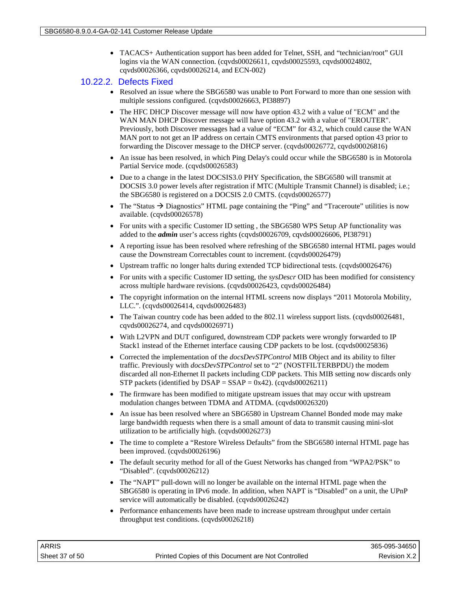• TACACS+ Authentication support has been added for Telnet, SSH, and "technician/root" GUI logins via the WAN connection. (cqvds00026611, cqvds00025593, cqvds00024802, cqvds00026366, cqvds00026214, and ECN-002)

#### 10.22.2. Defects Fixed

- Resolved an issue where the SBG6580 was unable to Port Forward to more than one session with multiple sessions configured. (cqvds00026663, PI38897)
- The HFC DHCP Discover message will now have option 43.2 with a value of "ECM" and the WAN MAN DHCP Discover message will have option 43.2 with a value of "EROUTER". Previously, both Discover messages had a value of "ECM" for 43.2, which could cause the WAN MAN port to not get an IP address on certain CMTS environments that parsed option 43 prior to forwarding the Discover message to the DHCP server. (cqvds00026772, cqvds00026816)
- An issue has been resolved, in which Ping Delay's could occur while the SBG6580 is in Motorola Partial Service mode. (cqvds00026583)
- Due to a change in the latest DOCSIS3.0 PHY Specification, the SBG6580 will transmit at DOCSIS 3.0 power levels after registration if MTC (Multiple Transmit Channel) is disabled; i.e.; the SBG6580 is registered on a DOCSIS 2.0 CMTS. (cqvds00026577)
- The "Status  $\rightarrow$  Diagnostics" HTML page containing the "Ping" and "Traceroute" utilities is now available. (cqvds00026578)
- For units with a specific Customer ID setting , the SBG6580 WPS Setup AP functionality was added to the *admin* user's access rights (cqvds00026709, cqvds00026606, PI38791)
- A reporting issue has been resolved where refreshing of the SBG6580 internal HTML pages would cause the Downstream Correctables count to increment. (cqvds00026479)
- Upstream traffic no longer halts during extended TCP bidirectional tests. (cqvds00026476)
- For units with a specific Customer ID setting, the *sysDescr* OID has been modified for consistency across multiple hardware revisions. (cqvds00026423, cqvds00026484)
- The copyright information on the internal HTML screens now displays "2011 Motorola Mobility, LLC.". (cqvds00026414, cqvds00026483)
- The Taiwan country code has been added to the 802.11 wireless support lists. (cqvds00026481, cqvds00026274, and cqvds00026971)
- With L2VPN and DUT configured, downstream CDP packets were wrongly forwarded to IP Stack1 instead of the Ethernet interface causing CDP packets to be lost. (cqvds00025836)
- Corrected the implementation of the *docsDevSTPControl* MIB Object and its ability to filter traffic. Previously with *docsDevSTPControl* set to "2" (NOSTFILTERBPDU) the modem discarded all non-Ethernet II packets including CDP packets. This MIB setting now discards only STP packets (identified by  $DSAP = SSAP = 0x42$ ). (cqvds00026211)
- The firmware has been modified to mitigate upstream issues that may occur with upstream modulation changes between TDMA and ATDMA. (cqvds00026320)
- An issue has been resolved where an SBG6580 in Upstream Channel Bonded mode may make large bandwidth requests when there is a small amount of data to transmit causing mini-slot utilization to be artificially high. (cqvds00026273)
- The time to complete a "Restore Wireless Defaults" from the SBG6580 internal HTML page has been improved. (cqvds00026196)
- The default security method for all of the Guest Networks has changed from "WPA2/PSK" to "Disabled". (cqvds00026212)
- The "NAPT" pull-down will no longer be available on the internal HTML page when the SBG6580 is operating in IPv6 mode. In addition, when NAPT is "Disabled" on a unit, the UPnP service will automatically be disabled. (cqvds00026242)
- Performance enhancements have been made to increase upstream throughput under certain throughput test conditions. (cqvds00026218)

| ARRIS          |                                                    | 365-095-34650 |
|----------------|----------------------------------------------------|---------------|
| Sheet 37 of 50 | Printed Copies of this Document are Not Controlled | Revision X.2  |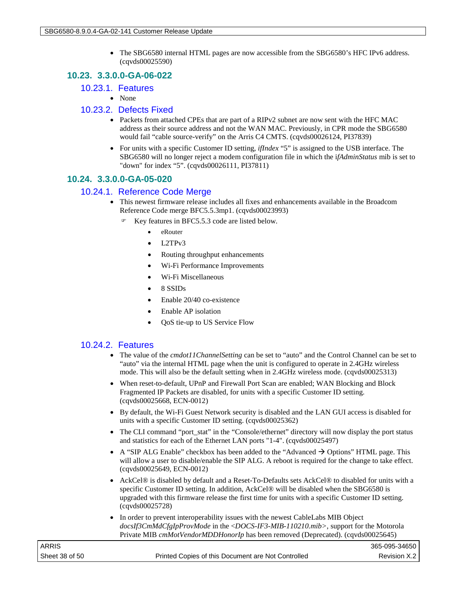• The SBG6580 internal HTML pages are now accessible from the SBG6580's HFC IPv6 address. (cqvds00025590)

## **10.23. 3.3.0.0-GA-06-022**

- 10.23.1. Features
	- None

#### 10.23.2. Defects Fixed

- Packets from attached CPEs that are part of a RIPv2 subnet are now sent with the HFC MAC address as their source address and not the WAN MAC. Previously, in CPR mode the SBG6580 would fail "cable source-verify" on the Arris C4 CMTS. (cqvds00026124, PI37839)
- For units with a specific Customer ID setting, *ifIndex* "5" is assigned to the USB interface. The SBG6580 will no longer reject a modem configuration file in which the i*fAdminStatus* mib is set to "down" for index "5". (cqvds00026111, PI37811)

## **10.24. 3.3.0.0-GA-05-020**

## 10.24.1. Reference Code Merge

- This newest firmware release includes all fixes and enhancements available in the Broadcom Reference Code merge BFC5.5.3mp1. (cqvds00023993)
	- Key features in BFC5.5.3 code are listed below.
		- eRouter
		- L2TPv3
		- Routing throughput enhancements
		- Wi-Fi Performance Improvements
		- Wi-Fi Miscellaneous
		- 8 SSIDs
		- Enable 20/40 co-existence
		- Enable AP isolation
		- QoS tie-up to US Service Flow

## 10.24.2. Features

- The value of the *cmdot11ChannelSetting* can be set to "auto" and the Control Channel can be set to "auto" via the internal HTML page when the unit is configured to operate in 2.4GHz wireless mode. This will also be the default setting when in 2.4GHz wireless mode. (cqvds00025313)
- When reset-to-default, UPnP and Firewall Port Scan are enabled; WAN Blocking and Block Fragmented IP Packets are disabled, for units with a specific Customer ID setting. (cqvds00025668, ECN-0012)
- By default, the Wi-Fi Guest Network security is disabled and the LAN GUI access is disabled for units with a specific Customer ID setting. (cqvds00025362)
- The CLI command "port\_stat" in the "Console/ethernet" directory will now display the port status and statistics for each of the Ethernet LAN ports "1-4". (cqvds00025497)
- A "SIP ALG Enable" checkbox has been added to the "Advanced  $\rightarrow$  Options" HTML page. This will allow a user to disable/enable the SIP ALG. A reboot is required for the change to take effect. (cqvds00025649, ECN-0012)
- AckCel® is disabled by default and a Reset-To-Defaults sets AckCel® to disabled for units with a specific Customer ID setting. In addition, AckCel® will be disabled when the SBG6580 is upgraded with this firmware release the first time for units with a specific Customer ID setting. (cqvds00025728)
- In order to prevent interoperability issues with the newest CableLabs MIB Object *docsIf3CmMdCfgIpProvMode* in the <*DOCS-IF3-MIB-110210.mib>*, support for the Motorola Private MIB *cmMotVendorMDDHonorIp* has been removed (Deprecated). (cqvds00025645)

| <b>ARRIS</b>   |                                                    | 365-095-34650  |
|----------------|----------------------------------------------------|----------------|
| Sheet 38 of 50 | Printed Copies of this Document are Not Controlled | Revision X.2 I |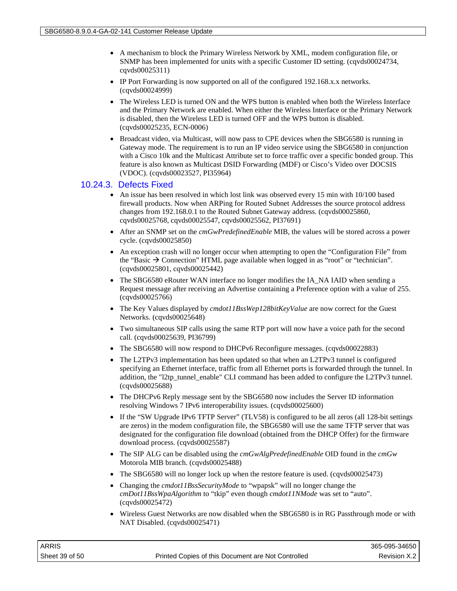- A mechanism to block the Primary Wireless Network by XML, modem configuration file, or SNMP has been implemented for units with a specific Customer ID setting. (cqvds00024734, cqvds00025311)
- IP Port Forwarding is now supported on all of the configured 192.168.x.x networks. (cqvds00024999)
- The Wireless LED is turned ON and the WPS button is enabled when both the Wireless Interface and the Primary Network are enabled. When either the Wireless Interface or the Primary Network is disabled, then the Wireless LED is turned OFF and the WPS button is disabled. (cqvds00025235, ECN-0006)
- Broadcast video, via Multicast, will now pass to CPE devices when the SBG6580 is running in Gateway mode. The requirement is to run an IP video service using the SBG6580 in conjunction with a Cisco 10k and the Multicast Attribute set to force traffic over a specific bonded group. This feature is also known as Multicast DSID Forwarding (MDF) or Cisco's Video over DOCSIS (VDOC). (cqvds00023527, PI35964)

#### 10.24.3. Defects Fixed

- An issue has been resolved in which lost link was observed every 15 min with 10/100 based firewall products. Now when ARPing for Routed Subnet Addresses the source protocol address changes from 192.168.0.1 to the Routed Subnet Gateway address. (cqvds00025860, cqvds00025768, cqvds00025547, cqvds00025562, PI37691)
- After an SNMP set on the *cmGwPredefinedEnable* MIB, the values will be stored across a power cycle. (cqvds00025850)
- An exception crash will no longer occur when attempting to open the "Configuration File" from the "Basic  $\rightarrow$  Connection" HTML page available when logged in as "root" or "technician". (cqvds00025801, cqvds00025442)
- The SBG6580 eRouter WAN interface no longer modifies the IA\_NA IAID when sending a Request message after receiving an Advertise containing a Preference option with a value of 255. (cqvds00025766)
- The Key Values displayed by *cmdot11BssWep128bitKeyValue* are now correct for the Guest Networks. (cqvds00025648)
- Two simultaneous SIP calls using the same RTP port will now have a voice path for the second call. (cqvds00025639, PI36799)
- The SBG6580 will now respond to DHCPv6 Reconfigure messages. (cqvds00022883)
- The L2TPv3 implementation has been updated so that when an L2TPv3 tunnel is configured specifying an Ethernet interface, traffic from all Ethernet ports is forwarded through the tunnel. In addition, the "l2tp\_tunnel\_enable" CLI command has been added to configure the L2TPv3 tunnel. (cqvds00025688)
- The DHCPv6 Reply message sent by the SBG6580 now includes the Server ID information resolving Windows 7 IPv6 interoperability issues. (cqvds00025600)
- If the "SW Upgrade IPv6 TFTP Server" (TLV58) is configured to be all zeros (all 128-bit settings are zeros) in the modem configuration file, the SBG6580 will use the same TFTP server that was designated for the configuration file download (obtained from the DHCP Offer) for the firmware download process. (cqvds00025587)
- The SIP ALG can be disabled using the *cmGwAlgPredefinedEnable* OID found in the *cmGw* Motorola MIB branch. (cqvds00025488)
- The SBG6580 will no longer lock up when the restore feature is used. (cqvds00025473)
- Changing the *cmdot11BssSecurityMode* to "wpapsk" will no longer change the *cmDot11BssWpaAlgorithm* to "tkip" even though *cmdot11NMode* was set to "auto". (cqvds00025472)
- Wireless Guest Networks are now disabled when the SBG6580 is in RG Passthrough mode or with NAT Disabled. (cqvds00025471)

| ARRIS          |                                                    | 365-095-34650 |
|----------------|----------------------------------------------------|---------------|
| Sheet 39 of 50 | Printed Copies of this Document are Not Controlled | Revision X.2  |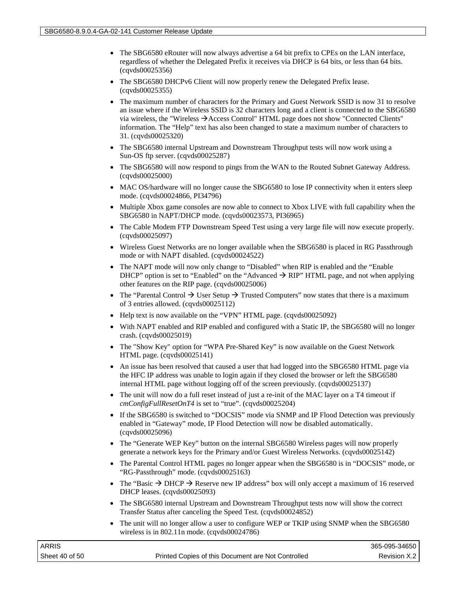- The SBG6580 eRouter will now always advertise a 64 bit prefix to CPEs on the LAN interface, regardless of whether the Delegated Prefix it receives via DHCP is 64 bits, or less than 64 bits. (cqvds00025356)
- The SBG6580 DHCPv6 Client will now properly renew the Delegated Prefix lease. (cqvds00025355)
- The maximum number of characters for the Primary and Guest Network SSID is now 31 to resolve an issue where if the Wireless SSID is 32 characters long and a client is connected to the SBG6580 via wireless, the "Wireless  $\rightarrow$  Access Control" HTML page does not show "Connected Clients" information. The "Help" text has also been changed to state a maximum number of characters to 31. (cqvds00025320)
- The SBG6580 internal Upstream and Downstream Throughput tests will now work using a Sun-OS ftp server. (cqvds00025287)
- The SBG6580 will now respond to pings from the WAN to the Routed Subnet Gateway Address. (cqvds00025000)
- MAC OS/hardware will no longer cause the SBG6580 to lose IP connectivity when it enters sleep mode. (cqvds00024866, PI34796)
- Multiple Xbox game consoles are now able to connect to Xbox LIVE with full capability when the SBG6580 in NAPT/DHCP mode. (cqvds00023573, PI36965)
- The Cable Modem FTP Downstream Speed Test using a very large file will now execute properly. (cqvds00025097)
- Wireless Guest Networks are no longer available when the SBG6580 is placed in RG Passthrough mode or with NAPT disabled. (cqvds00024522)
- The NAPT mode will now only change to "Disabled" when RIP is enabled and the "Enable DHCP" option is set to "Enabled" on the "Advanced  $\rightarrow$  RIP" HTML page, and not when applying other features on the RIP page. (cqvds00025006)
- The "Parental Control  $\rightarrow$  User Setup  $\rightarrow$  Trusted Computers" now states that there is a maximum of 3 entries allowed. (cqvds00025112)
- Help text is now available on the "VPN" HTML page. (cqvds00025092)
- With NAPT enabled and RIP enabled and configured with a Static IP, the SBG6580 will no longer crash. (cqvds00025019)
- The "Show Key" option for "WPA Pre-Shared Key" is now available on the Guest Network HTML page. (cqvds00025141)
- An issue has been resolved that caused a user that had logged into the SBG6580 HTML page via the HFC IP address was unable to login again if they closed the browser or left the SBG6580 internal HTML page without logging off of the screen previously. (cqvds00025137)
- The unit will now do a full reset instead of just a re-init of the MAC layer on a T4 timeout if *cmConfigFullResetOnT4* is set to "true". (cqvds00025204)
- If the SBG6580 is switched to "DOCSIS" mode via SNMP and IP Flood Detection was previously enabled in "Gateway" mode, IP Flood Detection will now be disabled automatically. (cqvds00025096)
- The "Generate WEP Key" button on the internal SBG6580 Wireless pages will now properly generate a network keys for the Primary and/or Guest Wireless Networks. (cqvds00025142)
- The Parental Control HTML pages no longer appear when the SBG6580 is in "DOCSIS" mode, or "RG-Passthrough" mode. (cqvds00025163)
- The "Basic  $\rightarrow$  DHCP  $\rightarrow$  Reserve new IP address" box will only accept a maximum of 16 reserved DHCP leases. (cqvds00025093)
- The SBG6580 internal Upstream and Downstream Throughput tests now will show the correct Transfer Status after canceling the Speed Test. (cqvds00024852)
- The unit will no longer allow a user to configure WEP or TKIP using SNMP when the SBG6580 wireless is in 802.11n mode. (cqvds00024786)

| <b>ARRIS</b>   |                                                    | 365-095-34650 |
|----------------|----------------------------------------------------|---------------|
| Sheet 40 of 50 | Printed Copies of this Document are Not Controlled | Revision X.2  |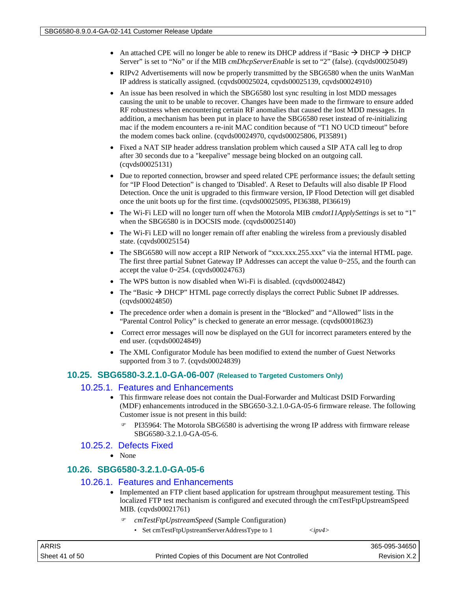- An attached CPE will no longer be able to renew its DHCP address if "Basic  $\rightarrow$  DHCP  $\rightarrow$  DHCP Server" is set to "No" or if the MIB *cmDhcpServerEnable* is set to "2" (false). (cqvds00025049)
- RIPv2 Advertisements will now be properly transmitted by the SBG6580 when the units WanMan IP address is statically assigned. (cqvds00025024, cqvds00025139, cqvds00024910)
- An issue has been resolved in which the SBG6580 lost sync resulting in lost MDD messages causing the unit to be unable to recover. Changes have been made to the firmware to ensure added RF robustness when encountering certain RF anomalies that caused the lost MDD messages. In addition, a mechanism has been put in place to have the SBG6580 reset instead of re-initializing mac if the modem encounters a re-init MAC condition because of "T1 NO UCD timeout" before the modem comes back online. (cqvds00024970, cqvds00025806, PI35891)
- Fixed a NAT SIP header address translation problem which caused a SIP ATA call leg to drop after 30 seconds due to a "keepalive" message being blocked on an outgoing call. (cqvds00025131)
- Due to reported connection, browser and speed related CPE performance issues; the default setting for "IP Flood Detection" is changed to 'Disabled'. A Reset to Defaults will also disable IP Flood Detection. Once the unit is upgraded to this firmware version, IP Flood Detection will get disabled once the unit boots up for the first time. (cqvds00025095, PI36388, PI36619)
- The Wi-Fi LED will no longer turn off when the Motorola MIB *cmdot11ApplySettings* is set to "1" when the SBG6580 is in DOCSIS mode. (cqvds00025140)
- The Wi-Fi LED will no longer remain off after enabling the wireless from a previously disabled state. (cqvds00025154)
- The SBG6580 will now accept a RIP Network of "xxx.xxx.255.xxx" via the internal HTML page. The first three partial Subnet Gateway IP Addresses can accept the value 0~255, and the fourth can accept the value 0~254. (cqvds00024763)
- The WPS button is now disabled when Wi-Fi is disabled. (cqvds00024842)
- The "Basic  $\rightarrow$  DHCP" HTML page correctly displays the correct Public Subnet IP addresses. (cqvds00024850)
- The precedence order when a domain is present in the "Blocked" and "Allowed" lists in the "Parental Control Policy" is checked to generate an error message. (cqvds00018623)
- Correct error messages will now be displayed on the GUI for incorrect parameters entered by the end user. (cqvds00024849)
- The XML Configurator Module has been modified to extend the number of Guest Networks supported from 3 to 7. (cqvds00024839)

## **10.25. SBG6580-3.2.1.0-GA-06-007 (Released to Targeted Customers Only)**

#### 10.25.1. Features and Enhancements

- This firmware release does not contain the Dual-Forwarder and Multicast DSID Forwarding (MDF) enhancements introduced in the SBG650-3.2.1.0-GA-05-6 firmware release. The following Customer issue is not present in this build:
	- PI35964: The Motorola SBG6580 is advertising the wrong IP address with firmware release SBG6580-3.2.1.0-GA-05-6.

#### 10.25.2. Defects Fixed

• None

## **10.26. SBG6580-3.2.1.0-GA-05-6**

#### 10.26.1. Features and Enhancements

- Implemented an FTP client based application for upstream throughput measurement testing. This localized FTP test mechanism is configured and executed through the cmTestFtpUpstreamSpeed MIB. (cqvds00021761)
	- *cmTestFtpUpstreamSpeed* (Sample Configuration)
		- Set cmTestFtpUpstreamServerAddressType to 1 *<ipv4>*

| <b>ARRIS</b>   |                                                    | 365-095-34650 |
|----------------|----------------------------------------------------|---------------|
| Sheet 41 of 50 | Printed Copies of this Document are Not Controlled | Revision X.2  |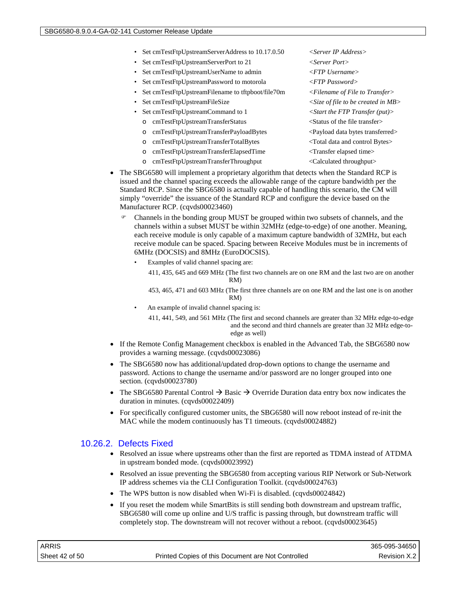- Set cmTestFtpUpstreamServerAddress to 10.17.0.50 <Server IP Address>
- Set cmTestFtpUpstreamServerPort to 21 < Server Port>
- Set cmTestFtpUpstreamUserName to admin *<FTP Username>*
- Set cmTestFtpUpstreamPassword to motorola *<FTP Password>*
- Set cmTestFtpUpstreamFilename to tftpboot/file70m *<Filename of File to Transfer>*
- 
- Set cmTestFtpUpstreamCommand to 1 *<Start the FTP Transfer (put)>*
	- o cmTestFtpUpstreamTransferStatus <Status of the file transfer>
	- o cmTestFtpUpstreamTransferPayloadBytes <Payload data bytes transferred>
	- o cmTestFtpUpstreamTransferTotalBytes <Total data and control Bytes>
	- o cmTestFtpUpstreamTransferElapsedTime <Transfer elapsed time>
	- o cmTestFtpUpstreamTransferThroughput <Calculated throughput>
- The SBG6580 will implement a proprietary algorithm that detects when the Standard RCP is issued and the channel spacing exceeds the allowable range of the capture bandwidth per the Standard RCP. Since the SBG6580 is actually capable of handling this scenario, the CM will simply "override" the issuance of the Standard RCP and configure the device based on the Manufacturer RCP. (cqvds00023460)
	- Channels in the bonding group MUST be grouped within two subsets of channels, and the channels within a subset MUST be within 32MHz (edge-to-edge) of one another. Meaning, each receive module is only capable of a maximum capture bandwidth of 32MHz, but each receive module can be spaced. Spacing between Receive Modules must be in increments of 6MHz (DOCSIS) and 8MHz (EuroDOCSIS).
		- Examples of valid channel spacing are: 411, 435, 645 and 669 MHz (The first two channels are on one RM and the last two are on another RM)

453, 465, 471 and 603 MHz (The first three channels are on one RM and the last one is on another RM)

An example of invalid channel spacing is: 411, 441, 549, and 561 MHz (The first and second channels are greater than 32 MHz edge-to-edge

and the second and third channels are greater than 32 MHz edge-toedge as well)

- If the Remote Config Management checkbox is enabled in the Advanced Tab, the SBG6580 now provides a warning message. (cqvds00023086)
- The SBG6580 now has additional/updated drop-down options to change the username and password. Actions to change the username and/or password are no longer grouped into one section. (cqvds00023780)
- The SBG6580 Parental Control  $\rightarrow$  Basic  $\rightarrow$  Override Duration data entry box now indicates the duration in minutes. (cqvds00022409)
- For specifically configured customer units, the SBG6580 will now reboot instead of re-init the MAC while the modem continuously has T1 timeouts. (cqvds00024882)

## 10.26.2. Defects Fixed

- Resolved an issue where upstreams other than the first are reported as TDMA instead of ATDMA in upstream bonded mode. (cqvds00023992)
- Resolved an issue preventing the SBG6580 from accepting various RIP Network or Sub-Network IP address schemes via the CLI Configuration Toolkit. (cqvds00024763)
- The WPS button is now disabled when Wi-Fi is disabled. (cqvds00024842)
- If you reset the modem while SmartBits is still sending both downstream and upstream traffic, SBG6580 will come up online and U/S traffic is passing through, but downstream traffic will completely stop. The downstream will not recover without a reboot. (cqvds00023645)

| ARRIS          |                                                    | 365-095-34650 |
|----------------|----------------------------------------------------|---------------|
| Sheet 42 of 50 | Printed Copies of this Document are Not Controlled | Revision X.2  |

• Set cmTestFtpUpstreamFileSize *<Size of file to be created in MB>*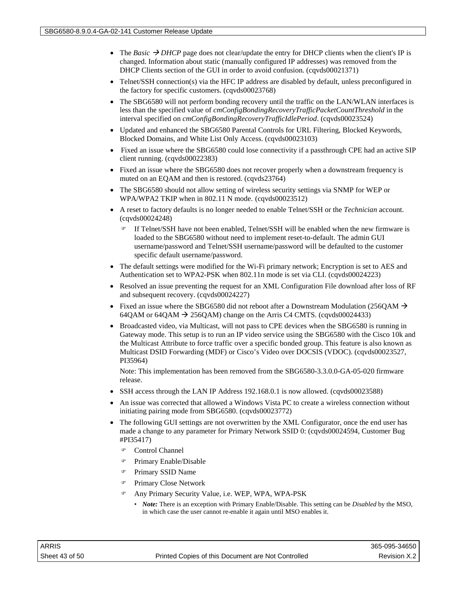- The *Basic*  $\rightarrow$  *DHCP* page does not clear/update the entry for DHCP clients when the client's IP is changed. Information about static (manually configured IP addresses) was removed from the DHCP Clients section of the GUI in order to avoid confusion. (cqvds00021371)
- Telnet/SSH connection(s) via the HFC IP address are disabled by default, unless preconfigured in the factory for specific customers. (cqvds00023768)
- The SBG6580 will not perform bonding recovery until the traffic on the LAN/WLAN interfaces is less than the specified value of *cmConfigBondingRecoveryTrafficPacketCountThreshold* in the interval specified on *cmConfigBondingRecoveryTrafficIdlePeriod*. (cqvds00023524)
- Updated and enhanced the SBG6580 Parental Controls for URL Filtering, Blocked Keywords, Blocked Domains, and White List Only Access. (cqvds00023103)
- Fixed an issue where the SBG6580 could lose connectivity if a passthrough CPE had an active SIP client running. (cqvds00022383)
- Fixed an issue where the SBG6580 does not recover properly when a downstream frequency is muted on an EQAM and then is restored. (cqvds23764)
- The SBG6580 should not allow setting of wireless security settings via SNMP for WEP or WPA/WPA2 TKIP when in 802.11 N mode. (cqvds00023512)
- A reset to factory defaults is no longer needed to enable Telnet/SSH or the *Technician* account. (cqvds00024248)
	- If Telnet/SSH have not been enabled, Telnet/SSH will be enabled when the new firmware is loaded to the SBG6580 without need to implement reset-to-default. The admin GUI username/password and Telnet/SSH username/password will be defaulted to the customer specific default username/password.
- The default settings were modified for the Wi-Fi primary network; Encryption is set to AES and Authentication set to WPA2-PSK when 802.11n mode is set via CLI. (cqvds00024223)
- Resolved an issue preventing the request for an XML Configuration File download after loss of RF and subsequent recovery. (cqvds00024227)
- Fixed an issue where the SBG6580 did not reboot after a Downstream Modulation (256QAM  $\rightarrow$ 64QAM or 64QAM  $\rightarrow$  256QAM) change on the Arris C4 CMTS. (cqvds00024433)
- Broadcasted video, via Multicast, will not pass to CPE devices when the SBG6580 is running in Gateway mode. This setup is to run an IP video service using the SBG6580 with the Cisco 10k and the Multicast Attribute to force traffic over a specific bonded group. This feature is also known as Multicast DSID Forwarding (MDF) or Cisco's Video over DOCSIS (VDOC). (cqvds00023527, PI35964)

Note: This implementation has been removed from the SBG6580-3.3.0.0-GA-05-020 firmware release.

- SSH access through the LAN IP Address 192.168.0.1 is now allowed. (cqvds00023588)
- An issue was corrected that allowed a Windows Vista PC to create a wireless connection without initiating pairing mode from SBG6580. (cqvds00023772)
- The following GUI settings are not overwritten by the XML Configurator, once the end user has made a change to any parameter for Primary Network SSID 0: (cqvds00024594, Customer Bug #PI35417)
	- Control Channel
	- Primary Enable/Disable
	- Primary SSID Name
	- Primary Close Network
	- Any Primary Security Value, i.e. WEP, WPA, WPA-PSK
		- *Note:* There is an exception with Primary Enable/Disable. This setting can be *Disabled* by the MSO, in which case the user cannot re-enable it again until MSO enables it.

| ARRIS          |                                                    | 365-095-34650 |
|----------------|----------------------------------------------------|---------------|
| Sheet 43 of 50 | Printed Copies of this Document are Not Controlled | Revision X.2  |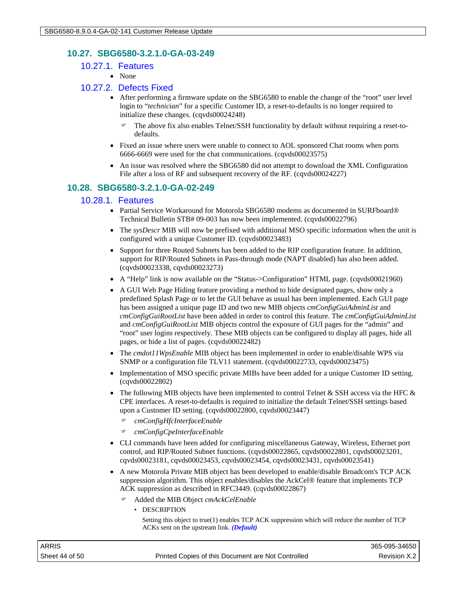## **10.27. SBG6580-3.2.1.0-GA-03-249**

- 10.27.1. Features
	- None

#### 10.27.2. Defects Fixed

- After performing a firmware update on the SBG6580 to enable the change of the "root" user level login to "*technician*" for a specific Customer ID, a reset-to-defaults is no longer required to initialize these changes. (cqvds00024248)
	- The above fix also enables Telnet/SSH functionality by default without requiring a reset-todefaults.
- Fixed an issue where users were unable to connect to AOL sponsored Chat rooms when ports 6666-6669 were used for the chat communications. (cqvds00023575)
- An issue was resolved where the SBG6580 did not attempt to download the XML Configuration File after a loss of RF and subsequent recovery of the RF. (cqvds00024227)

## **10.28. SBG6580-3.2.1.0-GA-02-249**

## 10.28.1. Features

- Partial Service Workaround for Motorola SBG6580 modems as documented in SURFboard® Technical Bulletin STB# 09-003 has now been implemented. (cqvds00022796)
- The *sysDescr* MIB will now be prefixed with additional MSO specific information when the unit is configured with a unique Customer ID. (cqvds00023483)
- Support for three Routed Subnets has been added to the RIP configuration feature. In addition, support for RIP/Routed Subnets in Pass-through mode (NAPT disabled) has also been added. (cqvds00023338, cqvds00023273)
- A "Help" link is now available on the "Status->Configuration" HTML page. (cqvds00021960)
- A GUI Web Page Hiding feature providing a method to hide designated pages, show only a predefined Splash Page or to let the GUI behave as usual has been implemented. Each GUI page has been assigned a unique page ID and two new MIB objects *cmConfigGuiAdminList* and *cmConfigGuiRootList* have been added in order to control this feature. The *cmConfigGuiAdminList* and *cmConfigGuiRootList* MIB objects control the exposure of GUI pages for the "admin" and "root" user logins respectively. These MIB objects can be configured to display all pages, hide all pages, or hide a list of pages. (cqvds00022482)
- The *cmdot11WpsEnable* MIB object has been implemented in order to enable/disable WPS via SNMP or a configuration file TLV11 statement. (cqvds00022733, cqvds00023475)
- Implementation of MSO specific private MIBs have been added for a unique Customer ID setting. (cqvds00022802)
- The following MIB objects have been implemented to control Telnet & SSH access via the HFC  $\&$ CPE interfaces. A reset-to-defaults is required to initialize the default Telnet/SSH settings based upon a Customer ID setting. (cqvds00022800, cqvds00023447)
	- *cmConfigHfcInterfaceEnable*
	- *cmConfigCpeInterfaceEnable*
- CLI commands have been added for configuring miscellaneous Gateway, Wireless, Ethernet port control, and RIP/Routed Subnet functions. (cqvds00022865, cqvds00022801, cqvds00023201, cqvds00023181, cqvds00023453, cqvds00023454, cqvds00023431, cqvds00023541)
- A new Motorola Private MIB object has been developed to enable/disable Broadcom's TCP ACK suppression algorithm. This object enables/disables the AckCel® feature that implements TCP ACK suppression as described in RFC3449. (cqvds00022867)
	- Added the MIB Object *cmAckCelEnable*
		- DESCRIPTION

Setting this object to true(1) enables TCP ACK suppression which will reduce the number of TCP ACKs sent on the upstream link. *(Default)*

| ARRIS          |                                                    | 365-095-34650 |
|----------------|----------------------------------------------------|---------------|
| Sheet 44 of 50 | Printed Copies of this Document are Not Controlled | Revision X.2  |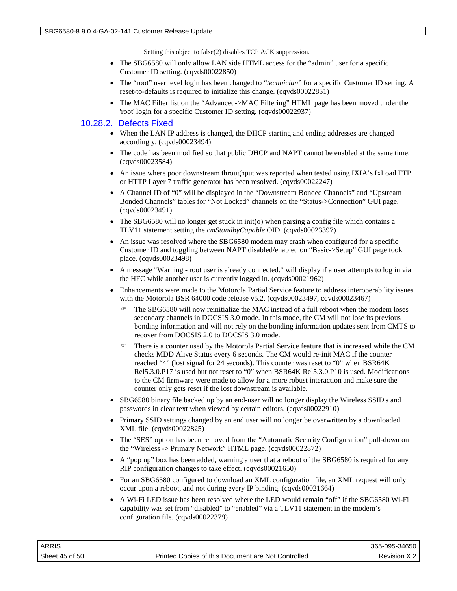Setting this object to false(2) disables TCP ACK suppression.

- The SBG6580 will only allow LAN side HTML access for the "admin" user for a specific Customer ID setting. (cqvds00022850)
- The "root" user level login has been changed to "*technician*" for a specific Customer ID setting. A reset-to-defaults is required to initialize this change. (cqvds00022851)
- The MAC Filter list on the "Advanced->MAC Filtering" HTML page has been moved under the 'root' login for a specific Customer ID setting. (cqvds00022937)

#### 10.28.2. Defects Fixed

- When the LAN IP address is changed, the DHCP starting and ending addresses are changed accordingly. (cqvds00023494)
- The code has been modified so that public DHCP and NAPT cannot be enabled at the same time. (cqvds00023584)
- An issue where poor downstream throughput was reported when tested using IXIA's IxLoad FTP or HTTP Layer 7 traffic generator has been resolved. (cqvds00022247)
- A Channel ID of "0" will be displayed in the "Downstream Bonded Channels" and "Upstream Bonded Channels" tables for "Not Locked" channels on the "Status->Connection" GUI page. (cqvds00023491)
- The SBG6580 will no longer get stuck in init(o) when parsing a config file which contains a TLV11 statement setting the *cmStandbyCapable* OID. (cqvds00023397)
- An issue was resolved where the SBG6580 modem may crash when configured for a specific Customer ID and toggling between NAPT disabled/enabled on "Basic->Setup" GUI page took place. (cqvds00023498)
- A message "Warning root user is already connected." will display if a user attempts to log in via the HFC while another user is currently logged in. (cqvds00021962)
- Enhancements were made to the Motorola Partial Service feature to address interoperability issues with the Motorola BSR 64000 code release v5.2. (cqvds00023497, cqvds00023467)
	- The SBG6580 will now reinitialize the MAC instead of a full reboot when the modem loses secondary channels in DOCSIS 3.0 mode. In this mode, the CM will not lose its previous bonding information and will not rely on the bonding information updates sent from CMTS to recover from DOCSIS 2.0 to DOCSIS 3.0 mode.
	- There is a counter used by the Motorola Partial Service feature that is increased while the CM checks MDD Alive Status every 6 seconds. The CM would re-init MAC if the counter reached "4" (lost signal for 24 seconds). This counter was reset to "0" when BSR64K Rel5.3.0.P17 is used but not reset to "0" when BSR64K Rel5.3.0.P10 is used. Modifications to the CM firmware were made to allow for a more robust interaction and make sure the counter only gets reset if the lost downstream is available.
- SBG6580 binary file backed up by an end-user will no longer display the Wireless SSID's and passwords in clear text when viewed by certain editors. (cqvds00022910)
- Primary SSID settings changed by an end user will no longer be overwritten by a downloaded XML file. (cqvds00022825)
- The "SES" option has been removed from the "Automatic Security Configuration" pull-down on the "Wireless -> Primary Network" HTML page. (cqvds00022872)
- A "pop up" box has been added, warning a user that a reboot of the SBG6580 is required for any RIP configuration changes to take effect. (cqvds00021650)
- For an SBG6580 configured to download an XML configuration file, an XML request will only occur upon a reboot, and not during every IP binding. (cqvds00021664)
- A Wi-Fi LED issue has been resolved where the LED would remain "off" if the SBG6580 Wi-Fi capability was set from "disabled" to "enabled" via a TLV11 statement in the modem's configuration file. (cqvds00022379)

| ARRIS          |                                                    | 365-095-34650 |
|----------------|----------------------------------------------------|---------------|
| Sheet 45 of 50 | Printed Copies of this Document are Not Controlled | Revision X.2  |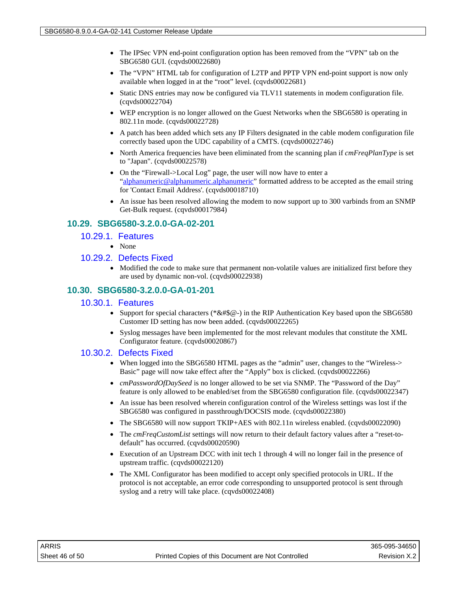- The IPSec VPN end-point configuration option has been removed from the "VPN" tab on the SBG6580 GUI. (cqvds00022680)
- The "VPN" HTML tab for configuration of L2TP and PPTP VPN end-point support is now only available when logged in at the "root" level. (cqvds00022681)
- Static DNS entries may now be configured via TLV11 statements in modem configuration file. (cqvds00022704)
- WEP encryption is no longer allowed on the Guest Networks when the SBG6580 is operating in 802.11n mode. (cqvds00022728)
- A patch has been added which sets any IP Filters designated in the cable modem configuration file correctly based upon the UDC capability of a CMTS. (cqvds00022746)
- North America frequencies have been eliminated from the scanning plan if *cmFreqPlanType* is set to "Japan". (cqvds00022578)
- On the "Firewall->Local Log" page, the user will now have to enter a ["alphanumeric@alphanumeric.alphanumeric"](mailto:alphanumeric@alphanumeric.alphanumeric) formatted address to be accepted as the email string for 'Contact Email Address'. (cqvds00018710)
- An issue has been resolved allowing the modem to now support up to 300 varbinds from an SNMP Get-Bulk request. (cqvds00017984)

## **10.29. SBG6580-3.2.0.0-GA-02-201**

#### 10.29.1. Features

• None

#### 10.29.2. Defects Fixed

• Modified the code to make sure that permanent non-volatile values are initialized first before they are used by dynamic non-vol. (cqvds00022938)

## **10.30. SBG6580-3.2.0.0-GA-01-201**

#### 10.30.1. Features

- Support for special characters (\*&#\$@-) in the RIP Authentication Key based upon the SBG6580 Customer ID setting has now been added. (cqvds00022265)
- Syslog messages have been implemented for the most relevant modules that constitute the XML Configurator feature. (cqvds00020867)

## 10.30.2. Defects Fixed

- When logged into the SBG6580 HTML pages as the "admin" user, changes to the "Wireless-> Basic" page will now take effect after the "Apply" box is clicked. (cqvds00022266)
- *cmPasswordOfDaySeed* is no longer allowed to be set via SNMP. The "Password of the Day" feature is only allowed to be enabled/set from the SBG6580 configuration file. (cqvds00022347)
- An issue has been resolved wherein configuration control of the Wireless settings was lost if the SBG6580 was configured in passthrough/DOCSIS mode. (cqvds00022380)
- The SBG6580 will now support TKIP+AES with 802.11n wireless enabled. (cqvds00022090)
- The *cmFreqCustomList* settings will now return to their default factory values after a "reset-todefault" has occurred. (cqvds00020590)
- Execution of an Upstream DCC with init tech 1 through 4 will no longer fail in the presence of upstream traffic. (cqvds00022120)
- The XML Configurator has been modified to accept only specified protocols in URL. If the protocol is not acceptable, an error code corresponding to unsupported protocol is sent through syslog and a retry will take place. (cqvds00022408)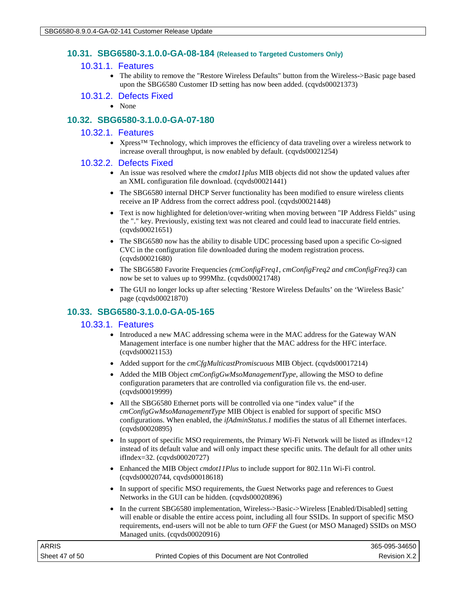#### **10.31. SBG6580-3.1.0.0-GA-08-184 (Released to Targeted Customers Only)**

#### 10.31.1. Features

• The ability to remove the "Restore Wireless Defaults" button from the Wireless->Basic page based upon the SBG6580 Customer ID setting has now been added. (cqvds00021373)

#### 10.31.2. Defects Fixed

• None

## **10.32. SBG6580-3.1.0.0-GA-07-180**

#### 10.32.1. Features

• Xpress™ Technology, which improves the efficiency of data traveling over a wireless network to increase overall throughput, is now enabled by default. (cqvds00021254)

#### 10.32.2. Defects Fixed

- An issue was resolved where the *cmdot11plus* MIB objects did not show the updated values after an XML configuration file download. (cqvds00021441)
- The SBG6580 internal DHCP Server functionality has been modified to ensure wireless clients receive an IP Address from the correct address pool. (cqvds00021448)
- Text is now highlighted for deletion/over-writing when moving between "IP Address Fields" using the "." key. Previously, existing text was not cleared and could lead to inaccurate field entries. (cqvds00021651)
- The SBG6580 now has the ability to disable UDC processing based upon a specific Co-signed CVC in the configuration file downloaded during the modem registration process. (cqvds00021680)
- The SBG6580 Favorite Frequencies *(cmConfigFreq1, cmConfigFreq2 and cmConfigFreq3)* can now be set to values up to 999Mhz. (cqvds00021748)
- The GUI no longer locks up after selecting 'Restore Wireless Defaults' on the 'Wireless Basic' page (cqvds00021870)

## **10.33. SBG6580-3.1.0.0-GA-05-165**

#### 10.33.1. Features

- Introduced a new MAC addressing schema were in the MAC address for the Gateway WAN Management interface is one number higher that the MAC address for the HFC interface. (cqvds00021153)
- Added support for the *cmCfgMulticastPromiscuous* MIB Object. (cqvds00017214)
- Added the MIB Object *cmConfigGwMsoManagementType*, allowing the MSO to define configuration parameters that are controlled via configuration file vs. the end-user. (cqvds00019999)
- All the SBG6580 Ethernet ports will be controlled via one "index value" if the *cmConfigGwMsoManagementType* MIB Object is enabled for support of specific MSO configurations. When enabled, the *ifAdminStatus.1* modifies the status of all Ethernet interfaces. (cqvds00020895)
- In support of specific MSO requirements, the Primary Wi-Fi Network will be listed as ifIndex=12 instead of its default value and will only impact these specific units. The default for all other units ifIndex=32. (cqvds00020727)
- Enhanced the MIB Object *cmdot11Plus* to include support for 802.11n Wi-Fi control. (cqvds00020744, cqvds00018618)
- In support of specific MSO requirements, the Guest Networks page and references to Guest Networks in the GUI can be hidden. (cqvds00020896)
- In the current SBG6580 implementation, Wireless->Basic->Wireless [Enabled/Disabled] setting will enable or disable the entire access point, including all four SSIDs. In support of specific MSO requirements, end-users will not be able to turn *OFF* the Guest (or MSO Managed) SSIDs on MSO Managed units. (cqvds00020916)

| <b>ARRIS</b>   |                                                    | 365-095-34650 |
|----------------|----------------------------------------------------|---------------|
| Sheet 47 of 50 | Printed Copies of this Document are Not Controlled | Revision X.2  |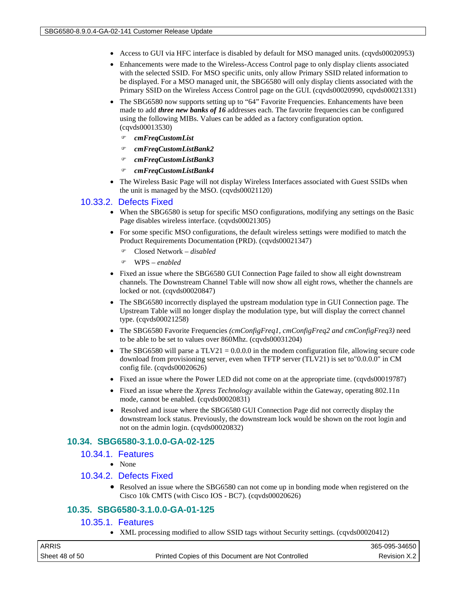- Access to GUI via HFC interface is disabled by default for MSO managed units. (cqvds00020953)
- Enhancements were made to the Wireless-Access Control page to only display clients associated with the selected SSID. For MSO specific units, only allow Primary SSID related information to be displayed. For a MSO managed unit, the SBG6580 will only display clients associated with the Primary SSID on the Wireless Access Control page on the GUI. (cqvds00020990, cqvds00021331)
- The SBG6580 now supports setting up to "64" Favorite Frequencies. Enhancements have been made to add *three new banks of 16* addresses each. The favorite frequencies can be configured using the following MIBs. Values can be added as a factory configuration option. (cqvds00013530)
	- *cmFreqCustomList*
	- *cmFreqCustomListBank2*
	- *cmFreqCustomListBank3*
	- *cmFreqCustomListBank4*
- The Wireless Basic Page will not display Wireless Interfaces associated with Guest SSIDs when the unit is managed by the MSO. (cqvds00021120)

#### 10.33.2. Defects Fixed

- When the SBG6580 is setup for specific MSO configurations, modifying any settings on the Basic Page disables wireless interface. (cqvds00021305)
- For some specific MSO configurations, the default wireless settings were modified to match the Product Requirements Documentation (PRD). (cqvds00021347)
	- Closed Network *disabled*
	- WPS *enabled*
- Fixed an issue where the SBG6580 GUI Connection Page failed to show all eight downstream channels. The Downstream Channel Table will now show all eight rows, whether the channels are locked or not. (cqvds00020847)
- The SBG6580 incorrectly displayed the upstream modulation type in GUI Connection page. The Upstream Table will no longer display the modulation type, but will display the correct channel type. (cqvds00021258)
- The SBG6580 Favorite Frequencies *(cmConfigFreq1, cmConfigFreq2 and cmConfigFreq3)* need to be able to be set to values over 860Mhz. (cqvds00031204)
- The SBG6580 will parse a TLV21 =  $0.0.0.0$  in the modem configuration file, allowing secure code download from provisioning server, even when TFTP server (TLV21) is set to"0.0.0.0" in CM config file. (cqvds00020626)
- Fixed an issue where the Power LED did not come on at the appropriate time. (cqvds00019787)
- Fixed an issue where the *Xpress Technology* available within the Gateway, operating 802.11n mode, cannot be enabled. (cqvds00020831)
- Resolved and issue where the SBG6580 GUI Connection Page did not correctly display the downstream lock status. Previously, the downstream lock would be shown on the root login and not on the admin login. (cqvds00020832)

## **10.34. SBG6580-3.1.0.0-GA-02-125**

## 10.34.1. Features

• None

## 10.34.2. Defects Fixed

• Resolved an issue where the SBG6580 can not come up in bonding mode when registered on the Cisco 10k CMTS (with Cisco IOS - BC7). (cqvds00020626)

## **10.35. SBG6580-3.1.0.0-GA-01-125**

#### 10.35.1. Features

• XML processing modified to allow SSID tags without Security settings. (cqvds00020412)

| ARRIS          |                                                    | 365-095-34650 |
|----------------|----------------------------------------------------|---------------|
| Sheet 48 of 50 | Printed Copies of this Document are Not Controlled | Revision X.2  |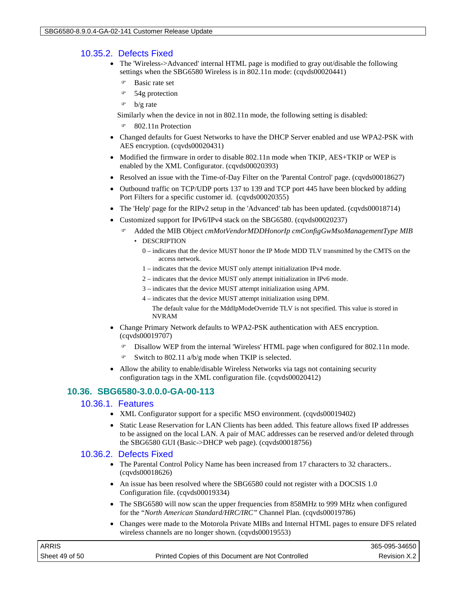## 10.35.2. Defects Fixed

- The 'Wireless->Advanced' internal HTML page is modified to gray out/disable the following settings when the SBG6580 Wireless is in 802.11n mode: (cqvds00020441)
	- Basic rate set
	- 54g protection
	- $\circ$  b/g rate

Similarly when the device in not in 802.11n mode, the following setting is disabled:

- 802.11n Protection
- Changed defaults for Guest Networks to have the DHCP Server enabled and use WPA2-PSK with AES encryption. (cqvds00020431)
- Modified the firmware in order to disable 802.11n mode when TKIP, AES+TKIP or WEP is enabled by the XML Configurator. (cqvds00020393)
- Resolved an issue with the Time-of-Day Filter on the 'Parental Control' page. (cqvds00018627)
- Outbound traffic on TCP/UDP ports 137 to 139 and TCP port 445 have been blocked by adding Port Filters for a specific customer id. (cqvds00020355)
- The 'Help' page for the RIPv2 setup in the 'Advanced' tab has been updated. (cqvds00018714)
- Customized support for IPv6/IPv4 stack on the SBG6580. (cqvds00020237)
	- Added the MIB Object *cmMotVendorMDDHonorIp cmConfigGwMsoManagementType MIB*
		- DESCRIPTION
			- 0 indicates that the device MUST honor the IP Mode MDD TLV transmitted by the CMTS on the access network.
			- 1 indicates that the device MUST only attempt initialization IPv4 mode.
			- 2 indicates that the device MUST only attempt initialization in IPv6 mode.
			- 3 indicates that the device MUST attempt initialization using APM.
			- 4 indicates that the device MUST attempt initialization using DPM.
				- The default value for the MddIpModeOverride TLV is not specified. This value is stored in NVRAM
- Change Primary Network defaults to WPA2-PSK authentication with AES encryption. (cqvds00019707)
	- Disallow WEP from the internal 'Wireless' HTML page when configured for 802.11n mode.
	- Switch to 802.11 a/b/g mode when TKIP is selected.
- Allow the ability to enable/disable Wireless Networks via tags not containing security configuration tags in the XML configuration file. (cqvds00020412)

## **10.36. SBG6580-3.0.0.0-GA-00-113**

## 10.36.1. Features

- XML Configurator support for a specific MSO environment. (cqvds00019402)
- Static Lease Reservation for LAN Clients has been added. This feature allows fixed IP addresses to be assigned on the local LAN. A pair of MAC addresses can be reserved and/or deleted through the SBG6580 GUI (Basic->DHCP web page). (cqvds00018756)

## 10.36.2. Defects Fixed

- The Parental Control Policy Name has been increased from 17 characters to 32 characters.. (cqvds00018626)
- An issue has been resolved where the SBG6580 could not register with a DOCSIS 1.0 Configuration file. (cqvds00019334)
- The SBG6580 will now scan the upper frequencies from 858MHz to 999 MHz when configured for the "*North American Standard/HRC/IRC"* Channel Plan*.* (cqvds00019786)
- Changes were made to the Motorola Private MIBs and Internal HTML pages to ensure DFS related wireless channels are no longer shown. (cqvds00019553)

| <b>ARRIS</b>   |                                                    | 365-095-34650 |
|----------------|----------------------------------------------------|---------------|
| Sheet 49 of 50 | Printed Copies of this Document are Not Controlled | Revision X.2  |